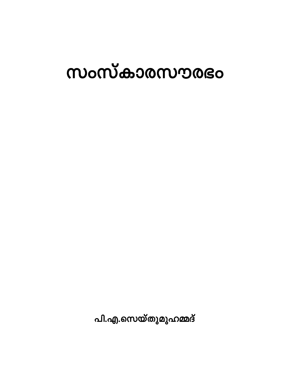# സംസ്കാരസൗരഭം

പി.എ.സെയ്തുമുഹമ്മദ്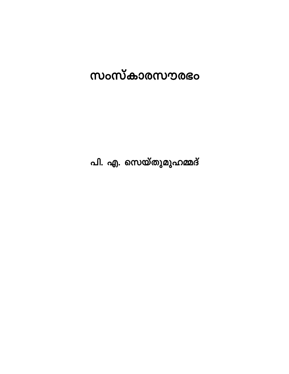# സംസ്കാരസൗരഭം

പി. എ. സെയ്തുമുഹമ്മദ്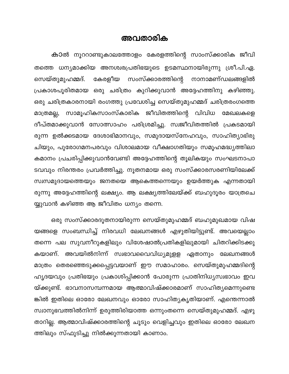#### അവതാരിക

കാൽ നൂററാണ്ടുകാലത്തോളം കേരളത്തിന്റെ സാംസ്ക്കാരിക ജീവി തത്തെ ധന്യമാക്കിയ അനശ്വരപ്രതിഭയുടെ ഉടമസ്ഥനായിരുന്നു ശ്രീ.പി.ഏ. കേരളീയ സംസ്ക്കാരത്തിന്റെ സെയ്തുമുഹമ്മദ്. നാനാമണ്ഡലങ്ങളിൽ പ്രകാശപൂരിതമായ ഒരു ചരിത്രം കുറിക്കുവാൻ അദ്ദേഹത്തിനു കഴിഞ്ഞു. ഒരു ചരിത്രകാരനായി രംഗത്തു പ്രവേശിച്ച സെയ്തുമുഹമ്മദ് ചരിത്രരംഗത്തെ സാമൂഹികസാംസ്കാരിക ജീവിതത്തിന്റെ വിവിധ മേഖലകളെ മാത്രമല്ല, ദീപ്തമാക്കുവാൻ സോത്സാഹം പരിശ്രമിച്ചു. സ്വജീവിതത്തിൽ പ്രകടമായി രുന്ന ഉൽക്കടമായ ദേശാഭിമാനവും, സമുദായസ്നേഹവും, സാഹിത്യാഭിരു ചിയും, പുരോഗമനപരവും വിശാലമായ വീക്ഷാഗതിയും സമൂഹമദ്ധ്യത്തിലാ കമാനം പ്രചരിപ്പിക്കുവാൻവേണ്ടി അദ്ദേഹത്തിന്റെ തൂലികയും സംഘടനാപാ ടവവും നിരന്തരം പ്രവർത്തിച്ചു. നൂതനമായ ഒരു സംസ്ക്കാരസരണിയിലേക്ക് സ്വസമുദായത്തെയും ജനതയെ ആകെത്തന്നെയും ഉയർത്തുക എന്നതായി രുന്നു അദ്ദേഹത്തിന്റെ ലക്ഷ്യം. ആ ലക്ഷ്യത്തിലേയ്ക്ക് ബഹുദൂരം യാത്രചെ യ്യുവാൻ കഴിഞ്ഞ ആ ജീവിതം ധന്യം തന്നെ.

ഒരു സംസ്ക്കാരദൂതനായിരുന്ന സെയ്തുമുഹമ്മദ് ബഹുമുഖമായ വിഷ യങ്ങളെ സംബന്ധിച്ച് നിരവധി ലേഖനങ്ങൾ എഴുതിയിട്ടുണ്ട്. അവയെല്ലാം തന്നെ പല സുവനീറുകളിലും വിശേഷാൽപ്രതികളിലുമായി ചിതറിക്കിടക്കു കയാണ്. അവയിൽനിന്ന് സ്വഭാവവൈവിധ്യമുളള ഏതാനും ലേഖനങ്ങൾ മാത്രം തെരഞ്ഞെടുക്കപ്പെട്ടവയാണ് ഈ സമാഹാരം. സെയ്തുമുഹമ്മദിന്റെ ഹൃദയവും പ്രതിഭയും പ്രകാശിപ്പിക്കാൻ പോരുന്ന പ്രാതിനിധ്യസ്വഭാവം ഇവ യ്ക്കുണ്ട്. ഭാവനാസമ്പന്നമായ ആത്മാവിഷ്ക്കാരമാണ് സാഹിത്യമെന്നുണ്ടെ ങ്കിൽ ഇതിലെ ഓരോ ലേഖനവും ഓരോ സാഹിത്യകൃതിയാണ്. എന്തെന്നാൽ സ്വാനുഭവത്തിൽനിന്ന് ഉരുത്തിരിയാത്ത ഒന്നുംതന്നെ സെയ്തുമുഹമ്മദ്. എഴു താറില്ല. ആത്മാവിഷ്ക്കാരത്തിന്റെ ചൂടും വെളിച്ചവും ഇതിലെ ഓരോ ലേഖന ത്തിലും സ്ഫുടിച്ചു നിൽക്കുന്നതായി കാണാം.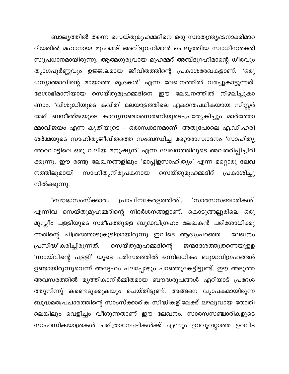ബാല്യത്തിൽ തന്നെ സെയ്തുമുഹമ്മദിനെ ഒരു സ്വാതന്ത്ര്യഭടനാക്കിമാറ റിയതിൽ മഹാനായ മുഹമ്മദ് അബ്ദുറഹിമാൻ ചെലുത്തിയ സ്വാധീനശക്തി സുപ്രധാനമായിരുന്നു. ആത്മഗുരുവായ മുഹമ്മദ് അബ്ദുറഹിമാന്റെ ധീരവും ത്യാഗപൂർണ്ണവും ഉജ്ജ്വലമായ ജീവിതത്തിന്റെ പ്രകാശരേഖകളാണ്. 'ഒരു ധന്യാത്മാവിന്റെ മായാത്ത മുദ്രകൾ' എന്ന ലേഖനത്തിൽ വരച്ചുകാട്ടുന്നത്. ദേശാഭിമാനിയായ സെയ്തുമുഹമ്മദിനെ ഈ ലേഖനത്തിൽ നിഴലിച്ചുകാ ണാം. 'വിശുദ്ധിയുടെ കവിത' മലയാളത്തിലെ ഏകാന്തപഥികയായ സിസ്റ്റർ മേരി ബനീഞ്ജയുടെ കാവ്യസഞ്ചാരസരണിയുടെ–പ്രത്യേകിച്ചും മാർത്തോ മ്മാവിജയം എന്ന കൃതിയുടെ - ഒരാസ്വാദനമാണ്. അതുപോലെ എ.ഡി.ഹരി ശർമ്മയുടെ സാഹിത്യജീവിതത്തെ സംബന്ധിച്ച മറ്റൊരാസ്വാദനം 'സാഹിത്യ ത്തറവാട്ടിലെ ഒരു വലിയ മനുഷ്യൻ' എന്ന ലേഖനത്തിലൂടെ അവതരിപ്പിച്ചിരി ക്കുന്നു. ഈ രണ്ടു ലേഖനങ്ങളിലും 'മാപ്പിളസാഹിത്യം' എന്ന മറ്റൊരു ലേഖ സാഹിത്യനിരൂപകനായ സെയ്തുമുഹമ്മദിദ് നത്തിലുമായി പ്രകാശിച്ചു നിൽക്കുന്നു.

'ബൗദ്ധസംസ്ക്കാരം പ്രാചീനകേരളത്തിൽ', 'സാരസസഞ്ചാരികൾ' എന്നിവ സെയ്തുമുഹമ്മദിന്റെ നിദർശനങ്ങളാണ്. കൊടുങ്ങല്ലൂരിലെ ഒരു മുസ്ലീം പളളിയുടെ സമീപത്തുളള ബുദ്ധവിഗ്രഹം ലേഖകൻ പരിശോധിക്കു ന്നതിന്റെ ചിത്രത്തോടുകൂടിയായിരുന്നു ഇവിടെ ആദ്യംപറഞ്ഞ ലേഖനം പ്രസിദ്ധീകരിച്ചിരുന്നത്. സെയ്തുമുഹമ്മദിന്റെ ജന്മദേശത്തുതന്നെയുളള 'സായ്വിന്റെ പളളി' യുടെ പരിസരത്തിൽ ഒന്നിലധികം ബുദ്ധവിഗ്രഹങ്ങൾ ഉണ്ടായിരുന്നുവെന്ന് അദ്ദേഹം പലപ്പോഴും പറഞ്ഞുകേട്ടിട്ടുണ്ട്. ഈ അടുത്ത അവസരത്തിൽ മൃത്തികാനിർമ്മിതമായ ബൗദ്ധരൂപങ്ങൾ എറിയാട് പ്രദേശ ത്തുനിന്നു് കണ്ടെടുക്കുകയും ചെയ്തിട്ടുണ്ട്. അങ്ങനെ വ്യാപകമായിരുന്ന ബുദ്ധമതപ്രചാരത്തിന്റെ സാംസ്ക്കാരിക സിദ്ധികളിലേക്ക് ലഘുവായ തോതി ലെങ്കിലും വെളിച്ചം വീശുന്നതാണ് ഈ ലേഖനം. സാരസസഞ്ചാരികളുടെ സാഹസികയാത്രകൾ ചരിത്രാന്വേഷികൾക്ക് എന്നും ഉറവുവറ്റാത്ത ഉറവിട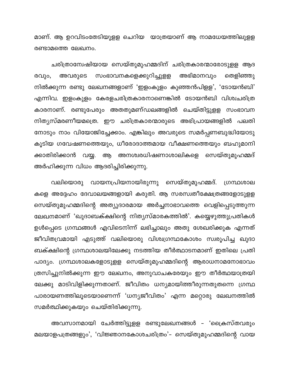മാണ്. ആ ഉറവിടംതേടിയുളള ചെറിയ യാത്രയാണ് ആ നാമധേയത്തിലുളള രണ്ടാമത്തെ ലേഖനം.

ചരിത്രാന്വേഷിയായ സെയ്തുമുഹമ്മദിന് ചരിത്രകാരന്മാരോടുളള ആദ സംഭാവനകളെക്കുറിച്ചുളള അഭിമാനവും അവരുടെ രവും, തെളിഞ്ഞു നിൽക്കുന്ന രണ്ടു ലേഖനങ്ങളാണ് 'ഇളംകുളം കുഞ്ഞൻപിളള', 'ടോയൻബി' എന്നിവ. ഇളംകുളം കേരളചരിത്രകാരനാണെങ്കിൽ ടോയൻബി വിശ്വചരിത്ര കാരനാണ്. രണ്ടുപേരും അതതുമണ്ഡലങ്ങളിൽ ചെയ്തിട്ടുളള സംഭാവന നിത്യസ്മരണീയമത്രെ. ഈ ചരിത്രകാരന്മാരുടെ അഭിപ്രായങ്ങളിൽ പലതി നോടും നാം വിയോജിച്ചേക്കാം. എങ്കിലും അവരുടെ സമർപ്പണബുദ്ധിയോടു കൂടിയ ഗവേഷണത്തെയും, ധീരോദാത്തമായ വീക്ഷണത്തെയും ബഹുമാനി ക്കാതിരിക്കാൻ വയ്യ. ആ അനശ്വരധിഷണാശാലികളെ സെയ്തുമുഹമ്മദ് അർഹിക്കുന്ന വിധം ആദരിച്ചിരിക്കുന്നു.

വായനപ്രിയനായിരുന്നു സെയ്തുമുഹമ്മദ്. വലിയൊരു ഗ്രന്ഥശാല കളെ അദ്ദേഹം ദേവാലയങ്ങളായി കരുതി. ആ സരസ്വതീക്ഷേത്രങ്ങളോടുളള സെയ്തുമുഹമ്മദിന്റെ അത്യുദാരമായ അർച്ചനാഭാവത്തെ വെളിപ്പെടുത്തുന്ന ലേഖനമാണ് 'ഖുദാബക്ക്ഷിന്റെ നിത്യസ്മാരകത്തിൽ'. കയ്യെഴുത്തുപ്രതികൾ ഉൾപ്പെടെ ഗ്രന്ഥങ്ങൾ എവിടെനിന്ന് ലഭിച്ചാലും അതു ശേഖരിക്കുക എന്നത് ജീവിതവ്രമായി എടുത്ത് വലിയൊരു വിശ്വഗ്രന്ഥകോശം സ്വരൂപിച്ച ഖുദാ ബക്ക്ഷിന്റെ ഗ്രന്ഥശാലയിലേക്കു നടത്തിയ തീർത്ഥാടനമാണ് ഇതിലെ പ്രതി പാദ്യം. ഗ്രന്ഥശാലകളോടുളള സെയ്തുമുഹമ്മദിന്റെ ആരാധനാമനോഭാവം ത്രസിച്ചുനിൽക്കുന്ന ഈ ലേഖനം, അനുവാചകരേയും ഈ തീർത്ഥയാത്രയി ലേക്കു മാടിവിളിക്കുന്നതാണ്. ജീവിതം ധന്യമായിത്തീരുന്നതുതന്നെ ഗ്രന്ഥ പാരായണത്തിലൂടെയാണെന്ന് 'ധന്യജീവിതം' എന്ന മറ്റൊരു ലേഖനത്തിൽ സമർത്ഥിക്കുകയും ചെയ്തിരിക്കുന്നു.

അവസാനമായി ചേർത്തിട്ടുളള രണ്ടുലേഖനങ്ങൾ – 'ക്രൈസ്തവരും മലയാളപത്രങ്ങളും', 'വിജ്ഞാനകോശചരിത്രം'– സെയ്തുമുഹമ്മദിന്റെ വായ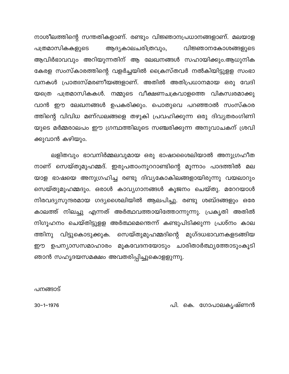നാശീലത്തിന്റെ സന്തതികളാണ്. രണ്ടും വിജ്ഞാനപ്രധാനങ്ങളാണ്. മലയാള ആദ്യകാലചരിത്രവും, വിജ്ഞാനകോശങ്ങളുടെ പത്രമാസികകളുടെ ആവിർഭാവവും അറിയുന്നതിന് ആ ലേഖനങ്ങൾ സഹായിക്കും.ആധുനിക കേരള സംസ്കാരത്തിന്റെ വളർച്ചയിൽ ക്രൈസ്തവർ നൽകിയിട്ടുളള സംഭാ വനകൾ പ്രാതഃസ്മരണീയങ്ങളാണ്. അതിൽ അതിപ്രധാനമായ ഒരു വേദി യത്രെ പത്രമാസികകൾ. നമ്മുടെ വീക്ഷണചക്രവാളത്തെ വികസ്വരമാക്കു വാൻ ഈ ലേഖനങ്ങൾ ഉപകരിക്കും. പൊതുവെ പറഞ്ഞാൽ സംസ്കാര ത്തിന്റെ വിവിധ മണ്ഡലങ്ങളെ തഴുകി പ്രവഹിക്കുന്ന ഒരു ദിവ്യതരംഗിണി യുടെ മർമ്മരാലപം ഈ ഗ്രന്ഥത്തിലൂടെ സഞ്ചരിക്കുന്ന അനുവാചകന് ശ്രവി ക്കുവാൻ കഴിയും.

ലളിതവും ഭാവനിർമ്മലവുമായ ഒരു ഭാഷാശൈലിയാൽ അനുഗ്രഹീത നാണ് സെയ്തുമുഹമ്മദ്. ഇരുപതാംനൂററാണ്ടിന്റെ മൂന്നാം പാദത്തിൽ മല യാള ഭാഷയെ അനുഗ്രഹിച്ച രണ്ടു ദിവ്യകോകിലങ്ങളായിരുന്നു വയലാറും സെയ്തുമുഹമ്മദും. ഒരാൾ കാവ്യഗാനങ്ങൾ കൂജനം ചെയ്തു. മറേറയാൾ നിരവദ്യസുന്ദരമായ ഗദ്യശൈലിയിൽ ആലപിച്ചു. രണ്ടു ശബ്ദങ്ങളും ഒരേ കാലത്ത് നിലച്ചു എന്നത് അർത്ഥവത്തായിത്തോന്നുന്നു. പ്രകൃതി അതിൽ നിഗൂഹനം ചെയ്തിട്ടുളള അർത്ഥമെന്തെന്ന് കണ്ടുപിടിക്കുന്ന പ്രശ്നം കാല ത്തിനു വിട്ടുകൊടുക്കുക. സെയ്തുമുഹമ്മദിന്റെ മുഗ്ദധഭാവനകളടങ്ങിയ ഈ ഉപന്യാസസമാഹാരം മൂകവേദനയോടും ചാരിതാർത്ഥ്യത്തോടുംകൂടി ഞാൻ സഹൃദയസമക്ഷം അവതരിപ്പിച്ചുകൊളളുന്നു.

പനങ്ങാട്

പി. കെ. ഗോപാലകൃഷ്ണൻ

 $30 - 1 - 1976$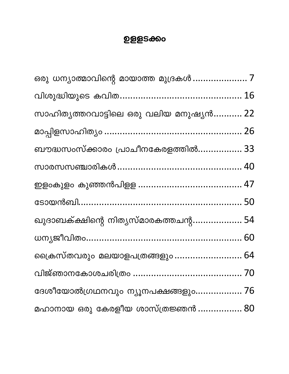## **ഉളളടക്കം**

| ഒരു ധന്യാത്മാവിന്റെ മായാത്ത മുദ്രകൾ  7  |  |
|-----------------------------------------|--|
|                                         |  |
| സാഹിത്യത്തറവാട്ടിലെ ഒരു വലിയ മനുഷ്യൻ 22 |  |
|                                         |  |
| ബൗദ്ധസംസ്ക്കാരം പ്രാചീനകേരളത്തിൽ 33     |  |
|                                         |  |
|                                         |  |
|                                         |  |
| ഖുദാബക്ക്ഷിന്റെ നിത്യസ്മാരകത്തചന്റ 54   |  |
|                                         |  |
| ഷ്രൈസ്തവരും മലയാളപത്രങ്ങളും  64         |  |
|                                         |  |
| ദേശീയോൽഗ്രഥനവും ന്യൂനപക്ഷങ്ങളും 76      |  |
| മഹാനായ ഒരു കേരളീയ ശാസ്ത്രജ്ഞൻ  80       |  |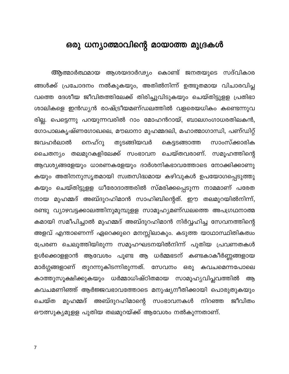### <span id="page-7-0"></span>ഒരു ധന്യാത്മാവിന്റെ മായാത്ത മുദ്രകൾ

ആത്മാർത്ഥമായ ആശയദാർഢ്യം കൊണ്ട് ജനതയുടെ സദ്വികാര ങ്ങൾക്ക് പ്രചോദനം നൽകുകയും, അതിൽനിന്ന് ഉത്ഭൂതമായ വിചാരവിപ്ല വത്തെ ദേശീയ ജീവിതത്തിലേക്ക് തിരിച്ചുവിടുകയും ചെയ്തിട്ടുളള പ്രതിഭാ ശാലികളെ ഇൻഡ്യൻ രാഷ്ട്രീയമണ്ഡലത്തിൽ വളരെയധികം കണ്ടെന്നുവ രില്ല. പെട്ടെന്നു പറയുന്നവരിൽ റാം മോഹൻറായ്, ബാലഗംഗാധരതിലകൻ, ഗോപാലകൃഷ്ണഗോഖലെ, മൗലാനാ മുഹമ്മദലി, മഹാത്മാഗാന്ധി, പണ്ഡിറ്റ് നെഹ്റു തുടങ്ങിയവർ ജവഹർലാൽ കെട്ടടങ്ങാത്ത സാംസ്ക്കാരിക ചൈതന്യം തലമുറകളിലേക്ക് സംഭാവന ചെയ്തവരാണ്. സമൂഹത്തിന്റെ ആവശ്യങ്ങളേയും ധാരണകളേയും ദാർശനികഭാവത്തോടെ നോക്കിക്കാണു കയും അതിനനുസൃതമായി സ്വതസിദ്ധമായ കഴിവുകൾ ഉപയോഗപ്പെടുത്തു കയും ചെയ്തിട്ടുളള ധീരോദാത്തരിൽ സ്മരിക്കപ്പെടുന്ന നാമമാണ് പരേത നായ മുഹമ്മദ് അബ്ദുറഹിമാൻ സാഹിബിന്റെത്. ഈ തലമുറയിൽനിന്ന്, രണ്ടു വ്യാഴവട്ടക്കാലത്തിനുമുമ്പുളള സാമൂഹ്യമണ്ഡലത്തെ അപഗ്രഥനാത്മ കമായി സമീപിച്ചാൽ മുഹമ്മദ് അബ്ദുറഹിമാൻ നിർവ്വഹിച്ച സേവനത്തിന്റെ അളവ് എന്താണെന്ന് ഏറെക്കുറെ മനസ്സിലാകും. കടുത്ത യാഥാസ്ഥിതികത്വം പ്രേരണ ചെലുത്തിയിരുന്ന സമൂഹഘടനയിൽനിന്ന് പുതിയ പ്രവണതകൾ ഉൾക്കൊളളാൻ ആവേശം പൂണ്ട ആ ധർമ്മഭടന് കണ്ടകാകീർണ്ണങ്ങളായ മാർഗ്ഗങ്ങളാണ് തുറന്നുകിടന്നിരുന്നത്. സേവനം ഒരു കവചമെന്നപോലെ കാത്തുസൂക്ഷിക്കുകയും ധർമ്മാധിഷ്ഠിതമായ സാമൂഹ്യവിപ്ലവത്തിൽ ആ കവചമണിഞ്ഞ് ആർജ്ജവഭാവത്തോടെ മനുഷ്യനീതിക്കായി പൊരുതുകയും മുഹമ്മദ് അബ്ദുറഹിമാന്റെ സംഭാവനകൾ ചെയ്ത നിറഞ്ഞ ജീവിതം ഔത്സുകൃമുളള പുതിയ തലമുറയ്ക്ക് ആവേശം നൽകുന്നതാണ്.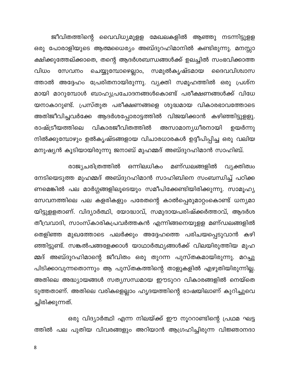ജീവിതത്തിന്റെ വൈവിധ്യമുളള മേഖലകളിൽ ആഞ്ഞു നടന്നിട്ടുളള ഒരു പോരാളിയുടെ ആത്മധൈര്യം അബ്ദുറഹിമാനിൽ കണ്ടിരുന്നു. മനസ്സാ ക്ഷിക്കുത്തേല്ക്കാതെ, തന്റെ ആദർശബന്ധങ്ങൾക്ക് ഉലച്ചിൽ സംഭവിക്കാത്ത ചെയ്യുമ്പോഴെല്ലാം, സമുൽകൃഷ്ടമായ വിധം സേവനം ദൈവവിശ്വാസ ത്താൽ അദ്ദേഹം പ്രേരിതനായിരുന്നു. വ്യക്തി സമൂഹത്തിൽ ഒരു പ്രശ്ന മായി മാറുമ്പോൾ ബാഹ്യപ്രചോദനങ്ങൾകൊണ്ട് പരീക്ഷണങ്ങൾക്ക് വിധേ യനാകാറുണ്ട്. പ്രസ്തുത പരീക്ഷണങ്ങളെ ശുദ്ധമായ വികാരഭാവത്തോടെ അതിജീവിച്ചവർക്കേ ആദർശപ്പോരാട്ടത്തിൽ വിജയിക്കാൻ കഴിഞ്ഞിട്ടുളളു. രാഷ്ട്രീയത്തിലെ വികാരജീവിതത്തിൽ അസാമാന്യധീരനായി ഉയർന്നു നിൽക്കുമ്പോഴും ഉൽകൃഷ്ടങ്ങളായ വിചാരധാരകൾ ഉദ്ദീപിപ്പിച്ച ഒരു വലിയ മനുഷ്യൻ കൂടിയായിരുന്നു ജനാബ് മുഹമ്മദ് അബ്ദുറഹിമാൻ സാഹിബ്.

രാജ്യചരിത്രത്തിൽ ഒന്നിലധികം മണ്ഡലങ്ങളിൽ വ്യക്തിത്വം നേടിയെടുത്ത മുഹമ്മദ് അബ്ദുറഹിമാൻ സാഹിബിനെ സംബന്ധിച്ച് പഠിക്ക ണമെങ്കിൽ പല മാർഗ്ഗങ്ങളിലൂടെയും സമീപിക്കേണ്ടിയിരിക്കുന്നു. സാമൂഹ്യ സേവനത്തിലെ പല കളരികളും പരേതന്റെ കാൽപ്പെരുമാറ്റംകൊണ്ട് ധന്യമാ യിട്ടുളളതാണ്. വിദ്യാർത്ഥി, യോദ്ധാവ്, സമുദായപരിഷ്ക്കർത്താവ്, ആദർശ തീവ്രവാദി, സാംസ്കാരികപ്രവർത്തകൻ എന്നിങ്ങനെയുളള മണ്ഡലങ്ങളിൽ തെളിഞ്ഞ മുഖത്തോടെ പലർക്കും അദ്ദേഹത്തെ പരിചയപ്പെടുവാൻ കഴി ഞ്ഞിട്ടുണ്ട്. സങ്കൽപങ്ങളേക്കാൾ യാഥാർത്ഥ്യങ്ങൾക്ക് വിലയിരുത്തിയ മുഹ മ്മദ് അബ്ദുറഹിമാന്റെ ജീവിതം ഒരു തുറന്ന പുസ്തകമായിരുന്നു. മറച്ചു പിടിക്കാവുന്നതൊന്നും ആ പുസ്തകത്തിന്റെ താളുകളിൽ എഴുതിയിരുന്നില്ല. അതിലെ അദ്ധ്യായങ്ങൾ സത്യസന്ധമായ ഈടുററ വികാരങ്ങളിൽ നെയ്തെ ടുത്തതാണ്. അതിലെ വരികളെല്ലാം ഹൃദയത്തിന്റെ ഭാഷയിലാണ് കുറിച്ചുവെ ച്ചിരിക്കുന്നത്.

ഒരു വിദ്യാർത്ഥി എന്ന നിലയ്ക്ക് ഈ നൂററാണ്ടിന്റെ പ്രഥമ ഘട്ട ത്തിൽ പല പുതിയ വിവരങ്ങളും അറിയാൻ ആഗ്രഹിച്ചിരുന്ന വിജ്ഞാനദാ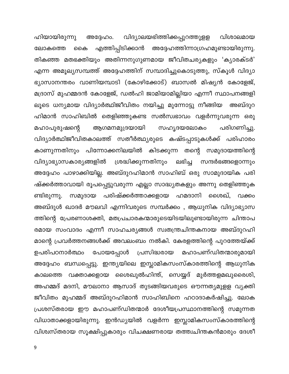ഹിയായിരുന്നു വിദ്യാലയഭിത്തിക്കപ്പുറത്തുളള അദ്ദേഹം. വിശാലമായ എത്തിപ്പിടിക്കാൻ അദ്ദേഹത്തിന്നാഗ്രഹമുണ്ടായിരുന്നു. ലോകത്തെ കൈ തികഞ്ഞ മതഭക്തിയും അതിന്നനുഗുണമായ ജീവിതചര്യകളും 'കൃാരക്ടർ' എന്ന അമൂല്യസമ്പത്ത് അദ്ദേഹത്തിന് സമ്പാദിച്ചുകൊടുത്തു, സ്കൂൾ വിദ്യാ ഭ്യാസാനന്തരം വാണിയമ്പാടി (കോഴിക്കോട്) ബാസൽ മിഷ്യൻ കോളേജ്, മദ്രാസ് മുഹമ്മദൻ കോളേജ്, ഡൽഹി ജാമിയാമില്ലിയാ എന്നീ സ്ഥാപനങ്ങളി ലൂടെ ധന്യമായ വിദ്യാർത്ഥിജീവിതം നയിച്ചു മുന്നോട്ടു നീങ്ങിയ അബ്ദുറ ഹിമാൻ സാഹിബിൽ തെളിഞ്ഞുകണ്ട സൽസ്വഭാവം വളർന്നുവരുന്ന ഒരു ആഗമനമുദ്രയായി പരിഗണിച്ചു. മഹാപുരുഷന്റെ സഹൃദയലോകം വിദ്യാർത്ഥിജീവിതകാലത്ത് സതീർത്ഥ്യരുടെ കഷ്ടപ്പാടുകൾക്ക് പരിഹാരം കാണുന്നതിനും പിന്നോക്കനിലയിൽ കിടക്കുന്ന തന്റെ സമുദായത്തിന്റെ വിദ്യാഭ്യാസകാര്യങ്ങളിൽ ശ്രദ്ധിക്കുന്നതിനും ലഭിച്ച സന്ദർഭങ്ങളൊന്നും അദ്ദേഹം പാഴാക്കിയില്ല. അബ്ദുറഹിമാൻ സാഹിബ് ഒരു സാമുദായിക പരി ഷ്ക്കർത്താവായി രൂപപ്പെട്ടുവരുന്ന എല്ലാ സാദ്ധ്യതകളും അന്നു തെളിഞ്ഞുക സമുദായ പരിഷ്ക്കർത്താക്കളായ ഹമദാനി ശൈഖ്, വക്കം ണ്ടിരുന്നു. അബ്ദുൾ ഖാദർ മൗലവി എന്നിവരുടെ സമ്പർക്കം , ആധുനിക വിദ്യാഭ്യാസ ത്തിന്റെ പ്രേരണാശക്തി, മതപ്രചാരകന്മാരുടെയിടയിലുണ്ടായിരുന്ന ചിന്താപ രമായ സംവാദം എന്നീ സാഹചര്യങ്ങൾ സ്വതന്ത്രചിന്തകനായ അബ്ദുറഹി മാന്റെ പ്രവർത്തനങ്ങൾക്ക് അവലംബം നൽകി. കേരളത്തിന്റെ പുറത്തേയ്ക്ക് പോയപ്പോൾ പ്രസിദ്ധരായ മഹാപണ്ഡിതന്മാരുമായി ഉപരിപഠനാർത്ഥം അദ്ദേഹം ബന്ധപ്പെട്ടു. ഇന്ത്യയിലെ ഇസ്ലാമികസംസ്കാരത്തിന്റെ ആധുനിക കാലത്തെ വക്താക്കളായ ശൈഖുൽഹിന്ത്, സെയ്യദ് മുർത്തളമഖുരൈശി, അഹമ്മദ് മദനി, മൗലാനാ ആസാദ് തുടങ്ങിയവരുടെ ഔന്നത്യമുളള വ്യക്തി ജീവിതം മുഹമ്മദ് അബ്ദുറഹിമാൻ സാഹിബിനെ ഹഠാദാകർഷിച്ചു. ലോക പ്രശസ്തരായ ഈ മഹാപണ്ഡിതന്മാർ ദേശീയപ്രസ്ഥാനത്തിന്റെ സമുന്നത വിധാതാക്കളായിരുന്നു. ഇൻഡ്യയിൽ വളർന്ന ഇസ്ലാമികസംസ്കാരത്തിന്റെ വിശ്വസ്തരായ സൂക്ഷിപ്പുകാരും വിചക്ഷണരായ തത്ത്വചിന്തകൻമാരും ദേശീ

 $9\,$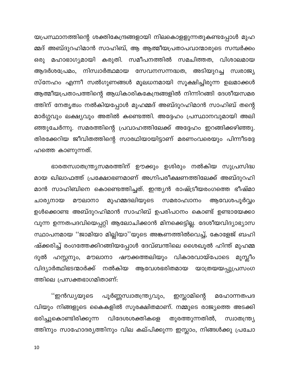യപ്രസ്ഥാനത്തിന്റെ ശക്തികേന്ദ്രങ്ങളായി നിലകൊളളുന്നതുകണ്ടപ്പോൾ മുഹ മ്മദ് അബ്ദുറഹിമാൻ സാഹിബ്, ആ ആത്മീയപ്രതാപവാന്മാരുടെ സമ്പർക്കം ഒരു മഹാഭാഗ്യമായി കരുതി. സമീപനത്തിൽ സമചിത്തത, വിശാലമായ ആദർശപ്രേമം, നിസ്വാർത്ഥമായ സേവനസന്നദ്ധത, അടിയുറച്ച സ്വരാജ്യ സ്നേഹം എന്നീ സൽഗുണങ്ങൾ മൂലധനമായി സൂക്ഷിച്ചിരുന്ന ഉലമാക്കൾ ആത്മീയപ്രതാപത്തിന്റെ ആധികാരികകേന്ദ്രങ്ങളിൽ നിന്നിറങ്ങി ദേശീയസമര ത്തിന് നേതൃത്വം നൽകിയപ്പോൾ മുഹമ്മദ് അബ്ദുറഹിമാൻ സാഹിബ് തന്റെ മാർഗ്ഗവും ലക്ഷ്യവും അതിൽ കണ്ടെത്തി. അദ്ദേഹം പ്രസ്ഥാനവുമായി അലി ഞ്ഞുചേർന്നു. സമരത്തിന്റെ പ്രവാഹത്തിലേക്ക് അദ്ദേഹം ഇറങ്ങിക്കഴിഞ്ഞു. തിരക്കേറിയ ജീവിതത്തിന്റെ സാരഥിയായിട്ടാണ് മരണംവരെയും പിന്നീടദ്ദേ ഹത്തെ കാണുന്നത്.

ഭാരതസ്വാതന്ത്ര്യസമരത്തിന് ഊക്കും ഉശിരും നൽകിയ സുപ്രസിദ്ധ മായ ഖിലാഫത്ത് പ്രക്ഷോഭണമാണ് അഗ്നിപരീക്ഷണത്തിലേക്ക് അബ്ദുറഹി മാൻ സാഹിബിനെ കൊണ്ടെത്തിച്ചത്. ഇന്ത്യൻ രാഷ്ട്രീയരംഗത്തെ ഭീഷ്മാ മുഹമ്മദലിയുടെ സമരാഹ്വാനം ചാര്യനായ മൗലാനാ ആവേശപൂർവ്വം ഉൾക്കൊണ്ട അബ്ദുറഹിമാൻ സാഹിബ് ഉപരിപഠനം കൊണ്ട് ഉണ്ടായേക്കാ വുന്ന ഉന്നതപദവിയെപ്പറ്റി ആലോചിക്കാൻ മിനക്കെട്ടില്ല. ദേശീയവിദ്യാഭ്യാസ സ്ഥാപനമായ ''ജാമിയാ മില്ലിയാ''യുടെ അങ്കണത്തിൽവെച്ച്, കോളേജ് ബഹി ഷ്ക്കരിച്ച് രംഗത്തേക്കിറങ്ങിയപ്പോൾ ദേവ്ബന്തിലെ ശൈഖൂൽ ഹിന്ത് മുഹമ്മ ദുൽ ഹസ്സനും, മൗലാനാ ഷൗക്കത്തലിയും വികാരവായ്പോടെ മുസ്ലീം വിദ്യാർത്ഥിഭടന്മാർക്ക് നൽകിയ ആവേശഭരിതമായ യാത്രയയപ്പുപ്രസംഗ ത്തിലെ പ്രസക്തഭാഗമിതാണ്:

''ഇൻഡ്യയുടെ പൂർണ്ണസ്വാതന്ത്ര്യവും, ഇസ്ലാമിന്റെ മഹോന്നതപദ വിയും നിങ്ങളുടെ കൈകളിൽ സുരക്ഷിതമാണ്. നമ്മുടെ രാജ്യത്തെ അടക്കി ഭരിച്ചുകൊണ്ടിരിക്കുന്ന വിദേശശക്തികളെ തുരത്തുന്നതിൽ, സ്വാതന്ത്ര്യ ത്തിനും സാഹോദര്യത്തിനും വില കല്പിക്കുന്ന ഇസ്ലാം, നിങ്ങൾക്കു പ്രചോ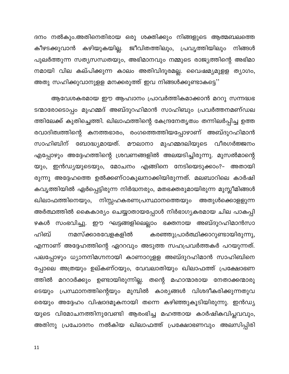ദനം നൽകും.അതിനെതിരായ ഒരു ശക്തിക്കും നിങ്ങളുടെ ആത്മബലത്തെ കീഴടക്കുവാൻ കഴിയുകയില്ല. ജീവിതത്തിലും, പ്രവൃത്തിയിലും നിങ്ങൾ പുലർത്തുന്ന സത്യസന്ധതയും, അഭിമാനവും നമ്മുടെ രാജ്യത്തിന്റെ അഭിമാ നമായി വില കല്പിക്കുന്ന കാലം അതിവിദൂരമല്ല. വൈഷമ്യമുളള ത്യാഗം, അതു സഹിക്കുവാനുളള മനക്കരുത്ത് ഇവ നിങ്ങൾക്കുണ്ടാകട്ടെ''

ആവേശകരമായ ഈ ആഹ്വാനം പ്രാവർത്തികമാക്കാൻ മററു സന്നദ്ധഭ ടന്മാരോടൊപ്പം മുഹമ്മദ് അബ്ദുറഹിമാൻ സാഹിബും പ്രവർത്തനമണ്ഡല ത്തിലേക്ക് കുതിച്ചെത്തി. ഖിലാഫത്തിന്റെ കേന്ദ്രനേതൃത്വം തന്നിലർപ്പിച്ച ഉത്ത രവാദിത്വത്തിന്റെ കനത്തഭാരം, രംഗത്തെത്തിയപ്പോഴാണ് അബ്ദുറഹിമാൻ സാഹിബിന് ബോദ്ധ്യമായത്. മൗലാനാ മുഹമ്മദലിയുടെ വീരഗർജ്ജനം എപ്പോഴും അദ്ദേഹത്തിന്റെ ശ്രവണങ്ങളിൽ അലയടിച്ചിരുന്നു. മുസൽമാന്റെ യും, ഇൻഡ്യയുടെയും, മോചനം എങ്ങിനെ നേടിയെടുക്കാം?– അതായി രുന്നു അദ്ദേഹത്തെ ഉൽക്കണ്ഠാകുലനാക്കിയിരുന്നത്. മലബാറിലെ കാർഷി കവൃത്തിയിൽ ഏർപ്പെട്ടിരുന്ന നിർദ്ധനരും, മതഭക്തരുമായിരുന്ന മുസ്ലീമിങ്ങൾ ഖിലാഫത്തിനെയും, നിസ്സഹകരണപ്രസ്ഥാനത്തെയും അതുൾക്കൊളളുന്ന അർത്ഥത്തിൽ കൈകാര്യം ചെയ്യാതായപ്പോൾ നിർഭാഗ്യകരമായ ചില പാകപ്പി ഴകൾ സംഭവിച്ചു. ഈ ഘട്ടങ്ങളിലെല്ലാം ഭക്തനായ അബ്ദുറഹിമാൻസാ ഹിബ് നമസ്ക്കാരവേളകളിൽ കരഞ്ഞുപ്രാർത്ഥിക്കാറുണ്ടായിരുന്നു, എന്നാണ് അദ്ദേഹത്തിന്റെ ഏററവും അടുത്ത സഹപ്രവർത്തകർ പറയുന്നത്. പലപ്പോഴും ധ്യാനനിമഗ്നനായി കാണാറുളള അബ്ദുറഹിമാൻ സാഹിബിനെ പ്പോലെ അത്രയും ഉല്കണ്ഠയും, വേവലാതിയും ഖിലാഫത്ത് പ്രക്ഷോഭണ ത്തിൽ മററാർക്കും ഉണ്ടായിരുന്നില്ല. തന്റെ മഹാന്മാരായ നേതാക്കന്മാരു ടെയും പ്രസ്ഥാനത്തിന്റെയും മുമ്പിൽ കാര്യങ്ങൾ വിശദീകരിക്കുന്നതുവ രെയും അദ്ദേഹം വിഷാദമൂകനായി തന്നെ കഴിഞ്ഞുകൂടിയിരുന്നു. ഇൻഡ്യ യുടെ വിമോചനത്തിനുവേണ്ടി ആരംഭിച്ച മഹത്തായ കാർഷികവിപ്ലവവും, അതിനു പ്രചോദനം നൽകിയ ഖിലാഫത്ത് പ്രക്ഷോഭണവും അലസിപ്പിരി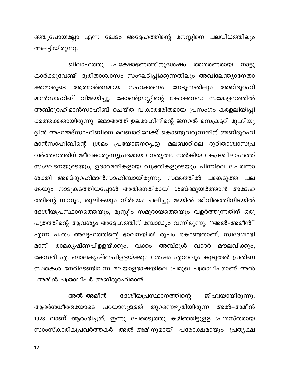ഞ്ഞുപോയല്ലോ എന്ന ഖേദം അദ്ദേഹത്തിന്റെ മനസ്സിനെ പലവിധത്തിലും അലട്ടിയിരുന്നു.

ഖിലാഫത്തു പ്രക്ഷോഭണത്തിനുശേഷം അശരണരായ നാട്ടു കാർക്കുവേണ്ടി ദുരിതാശ്വാസം സംഘടിപ്പിക്കുന്നതിലും അഖിലേന്ത്യാനേതാ ആത്മാർത്ഥമായ സഹകരണം നേടുന്നതിലും അബ്ദുറഹി ക്കന്മാരുടെ മാൻസാഹിബ് വിജയിച്ചു. കോൺഗ്രസ്സിന്റെ കോക്കനഡ സമ്മേളനത്തിൽ അബ്ദുറഹിമാൻസാഹിബ് ചെയ്ത വികാരഭരിതമായ പ്രസംഗം കരളലിയിപ്പി ക്കത്തക്കതായിരുന്നു. ജമാഅത്ത് ഉലമാഹിന്ദിന്റെ ജനറൽ സെക്രട്ടറി മുഹിയു ദ്ദീൻ അഹമ്മദ്സാഹിബിനെ മലബാറിലേക്ക് കൊണ്ടുവരുന്നതിന് അബ്ദുറഹി മാൻസാഹിബിന്റെ ശ്രമം പ്രയോജനപ്പെട്ടു. മലബാറിലെ ദുരിതാശ്വാസപ്ര വർത്തനത്തിന് ജീവകാരുണ്യപ്രദമായ നേതൃത്വം നൽകിയ കേന്ദ്രഖിലാഫത്ത് സംഘടനയുടെയും, ഉദാരമതികളായ വ്യക്തികളുടെയും പിന്നിലെ പ്രേരണാ ശക്തി അബ്ദുറഹിമാൻസാഹിബായിരുന്നു. സമരത്തിൽ പങ്കെടുത്ത പല രേയും നാടുകടത്തിയപ്പോൾ അതിനെതിരായി ശബ്ദമുയർത്താൻ അദ്ദേഹ ത്തിന്റെ നാവും, തൂലികയും നിർഭയം ചലിച്ചു. ജയിൽ ജീവിതത്തിനിടയിൽ ദേശീയപ്രസ്ഥാനത്തെയും, മുസ്ലീം സമുദായത്തെയും വളർത്തുന്നതിന് ഒരു പത്രത്തിന്റെ ആവശ്യം അദ്ദേഹത്തിന് ബോദ്ധ്യം വന്നിരുന്നു. ''അൽ–അമീൻ'' എന്ന പത്രം അദ്ദേഹത്തിന്റെ ഭാവനയിൽ രൂപം കൊണ്ടതാണ്. സ്വദേശാഭി രാമകൃഷ്ണപിളളയ്ക്കും, വക്കം അബ്ദുൾ ഖാദർ മൗലവിക്കും, മാനി കേസരി എ. ബാലകൃഷ്ണപിളളയ്ക്കും ശേഷം ഏററവും കൂടുതൽ പ്രതിബ ന്ധതകൾ നേരിടേണ്ടിവന്ന മലയാളഭാഷയിലെ പ്രമുഖ പത്രാധിപരാണ് അൽ -അമീൻ പത്രാധിപർ അബ്ദുറഹിമാൻ.

അൽ–അമീൻ ദേശീയപ്രസ്ഥാനത്തിന്റെ ജിഹ്വയായിരുന്നു. ആദർശധീരതയോടെ പറയാനുളളത് തുറന്നെഴുതിയിരുന്ന അൽ–അമീൻ 1928 ലാണ് ആരംഭിച്ചത്. ഇന്നു പേരെടുത്തു കഴിഞ്ഞിട്ടുളള പ്രശസ്തരായ സാംസ്കാരികപ്രവർത്തകർ അൽ–അമീനുമായി പരോക്ഷമായും പ്രത്യക്ഷ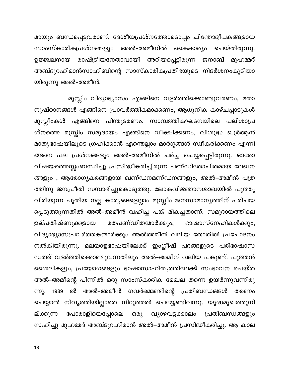മായും ബന്ധപ്പെട്ടവരാണ്. ദേശീയപ്രശ്നത്തോടൊപ്പം ചിന്തോദ്ദീപകങ്ങളായ സാംസ്കാരികപ്രശ്നങ്ങളും അൽ–അമീനിൽ കൈകാര്യം ചെയ്തിരുന്നു. ഉജ്ജ്വലനായ രാഷ്ട്രീയനേതാവായി അറിയപ്പെട്ടിരുന്ന ജനാബ് മുഹമ്മദ് അബ്ദുറഹിമാൻസാഹിബിന്റെ സാസ്കാരികപ്രതിഭയുടെ നിദർശനംകൂടിയാ യിരുന്നു അൽ–അമീൻ.

മുസ്ലിം വിദ്യാഭ്യാസം എങ്ങിനെ വളർത്തിക്കൊണ്ടുവരണം, മതാ നുഷ്ഠാനങ്ങൾ എങ്ങിനെ പ്രാവർത്തികമാക്കണം, ആധുനിക കാഴ്ചപ്പാടുകൾ മുസ്ലീംകൾ എങ്ങിനെ പിന്തുടരണം, സാമ്പത്തികഘടനയിലെ പലിശാപ്ര ശ്നത്തെ മുസ്ലിം സമുദായം എങ്ങിനെ വീക്ഷിക്കണം, വിശുദ്ധ ഖുർആൻ മാതൃഭാഷയിലൂടെ ഗ്രഹിക്കാൻ എന്തെല്ലാം മാർഗ്ഗങ്ങൾ സ്വീകരിക്കണം എന്നി ങ്ങനെ പല പ്രശ്നങ്ങളും അൽ–അമീനിൽ ചർച്ച ചെയ്യപ്പെട്ടിരുന്നു. ഓരോ വിഷയത്തെസ്സംബന്ധിച്ചു പ്രസിദ്ധീകരിച്ചിരുന്ന പണ്ഡിതോചിതമായ ലേഖന ങ്ങളും , ആരോഗ്യകരങ്ങളായ ഖണ്ഡനമണ്ഡനങ്ങളും, അൽ–അമീൻ പത്ര ത്തിനു ജനപ്രീതി സമ്പാദിച്ചുകൊടുത്തു. ലോകവിജ്ഞാനശാഖയിൽ പൂത്തു വിരിയുന്ന പുതിയ നല്ല കാര്യങ്ങളെല്ലാം മുസ്ലീം ജനസാമാന്യത്തിന് പരിചയ പ്പെടുത്തുന്നതിൽ അൽ–അമീൻ വഹിച്ച പങ്ക് മികച്ചതാണ്. സമുദായത്തിലെ മതപണ്ഡിതന്മാർക്കും, ഉല്പതിഷ്ണുക്കളായ ഭാഷാസ്നേഹികൾക്കും, വിദ്യാഭ്യാസപ്രവർത്തകന്മാർക്കും അൽഅമീൻ വലിയ തോതിൽ പ്രചോദനം നൽകിയിരുന്നു. മലയാളഭാഷയിലേക്ക് ഇംഗ്ലീഷ് പദങ്ങളുടെ പരിഭാഷാസ മ്പത്ത് വളർത്തിക്കൊണ്ടുവന്നതിലും അൽ–അമീന് വലിയ പങ്കുണ്ട്. പുത്തൻ ശൈലികളും, പ്രയോഗങ്ങളും ഭാഷാസാഹിത്യത്തിലേക്ക് സംഭാവന ചെയ്ത അൽ–അമീന്റെ പിന്നിൽ ഒരു സാംസ്കാരിക മേഖല തന്നെ ഉയർന്നുവന്നിരു അൽ–അമീൻ ഗവർമ്മെണ്ടിന്റെ പ്രതിബന്ധങ്ങൾ ൽ ന്നു. 1939 തരണം ചെയ്യാൻ നിവൃത്തിയില്ലാതെ നിറുത്തൽ ചെയ്യേണ്ടിവന്നു. യുദ്ധമുഖത്തുനി ല്ക്കുന്ന പോരാളിയെപ്പോലെ ഒരു വ്യാഴവട്ടക്കാലം പ്രതിബന്ധങ്ങളും സഹിച്ചു മുഹമ്മദ് അബ്ദുറഹിമാൻ അൽ–അമീൻ പ്രസിദ്ധീകരിച്ചു. ആ കാല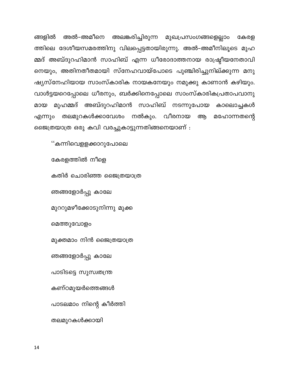അലങ്കരിച്ചിരുന്ന മുഖപ്രസംഗങ്ങളെല്ലാം ങ്ങളിൽ അൽ–അമീനെ കേരള ത്തിലെ ദേശീയസമരത്തിനു വിലപ്പെട്ടതായിരുന്നു. അൽ–അമീനിലൂടെ മുഹ മ്മദ് അബ്ദുറഹിമാൻ സാഹിബ് എന്ന ധീരോദാത്തനായ രാഷ്ട്രീയനേതാവി നെയും, അതിനതീതമായി സ്നേഹവായ്പോടെ പുഞ്ചിരിച്ചുനില്ക്കുന്ന മനു ഷ്യസ്നേഹിയായ സാംസ്കാരിക നായകനേയും നമുക്കു കാണാൻ കഴിയും. വാൾട്ടയറെപ്പോലെ ധീരനും, ബർക്കിനെപ്പോലെ സാംസ്കാരികപ്രതാപവാനു മായ മുഹമ്മദ് അബ്ദുറഹിമാൻ സാഹിബ് നടന്നുപോയ കാലൊച്ചകൾ എന്നും തലമുറകൾക്കാവേശം നൽകും. വീരനായ ആ മഹോന്നതന്റെ ജൈത്രയാത്ര ഒരു കവി വരച്ചുകാട്ടുന്നതിങ്ങനെയാണ് :

''കന്നിവെളളക്കാറുപോലെ

കേരളത്തിൽ നീളെ

കതിർ ചൊരിഞ്ഞ ജൈത്രയാത്ര

ഞങ്ങളോർപ്പു കാലേ

മുററുമഴീക്കോടുനിന്നു മുക്ക

മെത്തുവോളം

മുക്തമാം നിൻ ജൈത്രയാത്ര

ഞങ്ങളോർപ്പു കാലേ

പാടിടട്ടെ സുസ്വതന്ത്ര

കണ്ഠമുയർത്തെങ്ങൾ

പാടലമാം നിന്റെ കീർത്തി

തലമുറകൾക്കായി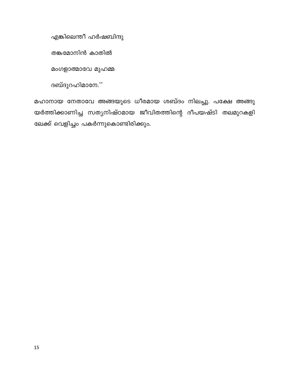എങ്കിലെന്തീ ഹർഷബിന്ദു

തങ്കമോനിൻ കാതിൽ

മംഗളാത്മാവേ മുഹമ്മ

ദബ്ദുറഹിമാനേ.''

മഹാനായ നേതാവേ അങ്ങയുടെ ധീരമായ ശബ്ദം നിലച്ചു. പക്ഷേ അങ്ങു യർത്തിക്കാണിച്ച സത്യനിഷ്ഠമായ ജീവിതത്തിന്റെ ദീപയഷ്ടി തലമുറകളി ലേക്ക് വെളിച്ചം പകർന്നുകൊണ്ടിരിക്കും.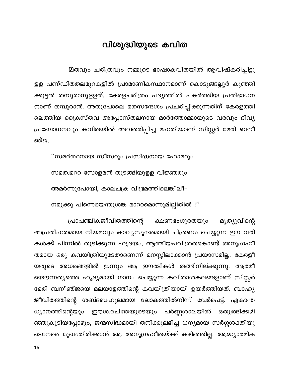#### വിശുദ്ധിയുടെ കവിത

**മ**തവും ചരിത്രവും നമ്മുടെ ഭാഷാകവിതയിൽ ആവിഷ്കരിച്ചിട്ടു

<span id="page-16-0"></span>ളള പണ്ഡിതതലമുറകളിൽ പ്രാമാണികസ്ഥാനമാണ് കൊടുങ്ങല്ലൂർ കുഞ്ഞി ക്കുട്ടൻ തമ്പുരാനുളളത്. കേരളചരിത്രം പദ്യത്തിൽ പകർത്തിയ പ്രതിഭാധന നാണ് തമ്പുരാൻ. അതുപോലെ മതസന്ദേശം പ്രചരിപ്പിക്കുന്നതിന് കേരളത്തി ലെത്തിയ ക്രൈസ്തവ അപ്പോസ്തലനായ മാർത്തോമ്മായുടെ വരവും ദിവ്യ പ്രബോധനവും കവിതയിൽ അവതരിപ്പിച്ച മഹതിയാണ് സിസ്റ്റർ മേരി ബനീ ഞ്ജ.

"സമർത്ഥനായ സീസറും പ്രസിദ്ധനായ ഹോമറും

സമത്വമററ സോളമൻ തുടങ്ങിയുളള വിജ്ഞരും

അമർന്നുപോയി, കാലചക്ര വിഭ്രമത്തിലെങ്കിലീ-

നമുക്കു പിന്നെയെന്തുശങ്ക മാററമൊന്നുമില്ലിതിൽ !"

പ്രാപഞ്ചികജീവിതത്തിന്റെ ക്ഷണഭംഗുരതയും മൃത്യുവിന്റെ അപ്രതിഹതമായ നിയമവും കാവ്യസുന്ദരമായി ചിത്രണം ചെയ്യുന്ന ഈ വരി കൾക്ക് പിന്നിൽ തുടിക്കുന്ന ഹൃദയം, ആത്മീയപവിത്രതകൊണ്ട് അനുഗ്രഹീ തമായ ഒരു കവയിത്രിയുടേതാണെന്ന് മനസ്സിലാക്കാൻ പ്രയാസമില്ല. കേരളീ യരുടെ അധരങ്ങളിൽ ഇന്നും ആ ഈരടികൾ തങ്ങിനില്ക്കുന്നു. ആത്മീ യൌന്നത്യത്തെ ഹൃദ്യമായി ഗാനം ചെയ്യുന്ന കവിതാശകലങ്ങളാണ് സിസ്റ്റർ മേരി ബനീഞ്ജയെ മലയാളത്തിന്റെ കവയിത്രിയായി ഉയർത്തിയത്. ബാഹ്യ ജീവിതത്തിന്റെ ശബ്ദബഹുലമായ ലോകത്തിൽനിന്ന് വേർപെട്ട്, ഏകാന്ത പർണ്ണശാലയിൽ ഒതുങ്ങിക്കഴി ധ്യാനത്തിന്റെയും ഈശ്വരചിന്തയുടെയും ഞ്ഞുകൂടിയപ്പോഴും, ജന്മസിദ്ധമായി തനിക്കുലഭിച്ച ധന്യമായ സർഗ്ഗശക്തിയു ടെനേരെ മുഖംതിരിക്കാൻ ആ അനുഗ്രഹീതയ്ക്ക് കഴിഞ്ഞില്ല. ആദ്ധ്യാത്മിക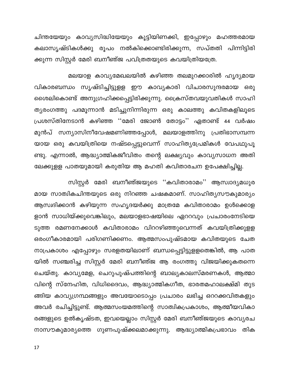ചിന്തയേയും കാവ്യസിദ്ധിയേയും കൂട്ടിയിണക്കി, ഇപ്പോഴും മഹത്തരമായ കലാസൃഷ്ടികൾക്കു രൂപം നൽകിക്കൊണ്ടിരിക്കുന്ന, സപ്തതി പിന്നിട്ടിരി ക്കുന്ന സിസ്റ്റർ മേരി ബനീഞ്ജ പവിത്രതയുടെ കവയിത്രിയത്രേ.

മലയാള കാവ്യമേഖലയിൽ കഴിഞ്ഞ തലമുറക്കാരിൽ ഹൃദ്യമായ വികാരബന്ധം സൃഷ്ടിച്ചിട്ടുളള ഈ കാവൃകാരി വിചാരസുന്ദരമായ ഒരു ശൈലികൊണ്ട് അനുഗ്രഹിക്കപ്പെട്ടിരിക്കുന്നു. ക്രൈസ്തവയുവതികൾ സാഹി ത്യരംഗത്തു പദമൂന്നാൻ മടിച്ചുനിന്നിരുന്ന ഒരു കാലത്തു കവിതകളിലൂടെ പ്രശസ്തിനേടാൻ കഴിഞ്ഞ ''മേരി ജോൺ തോട്ടം'' ഏതാണ്ട് 44 വർഷം മുൻപ് സന്യാസിനീവേഷമണിഞ്ഞപ്പോൾ, മലയാളത്തിനു പ്രതിഭാസമ്പന്ന യായ ഒരു കവയിത്രിയെ നഷ്ടപ്പെട്ടുവെന്ന് സാഹിത്യപ്രേമികൾ വേപഥുപൂ ണ്ടു. എന്നാൽ, ആദ്ധ്യാത്മികജീവിതം തന്റെ ലക്ഷ്യവും കാവ്യസാധന അതി ലേക്കുളള പാതയുമായി കരുതിയ ആ മഹതി കവിതാരചന ഉപേക്ഷിച്ചില്ല.

സിസ്റ്റർ മേരി ബനീഞ്ജയുടെ ''കവിതാരാമം'' ആസ്വാദ്യമധുര മായ സാത്വികചിന്തയുടെ ഒരു നിറഞ്ഞ ചഷകമാണ്. സാഹിത്യസൗകുമാര്യം ആസ്വദിക്കാൻ കഴിയുന്ന സഹൃദയർക്കു മാത്രമേ കവിതാരാമം ഉൾക്കൊള ളാൻ സാധിയ്ക്കുവെങ്കിലും, മലയാളഭാഷയിലെ ഏററവും പ്രചാരംനേടിയെ ടുത്ത രമണനേക്കാൾ കവിതാരാമം വിററഴിഞ്ഞുവെന്നത് കവയിത്രിക്കുളള ഒരംഗീകാരമായി പരിഗണിക്കണം. ആത്മസംപുഷ്ടമായ കവിതയുടെ ചേത നാപ്രകാശം എപ്പോഴും സരളതയിലാണ് ബന്ധപ്പെട്ടിട്ടുളളതെങ്കിൽ, ആ പാത യിൽ സഞ്ചരിച്ച സിസ്റ്റർ മേരി ബനീഞ്ജ ആ രംഗത്തു വിജയിക്കുകതന്നെ ചെയ്തു. കാവ്യമേള, ചെറുപുഷ്പത്തിന്റെ ബാല്യകാലസ്മരണകൾ, ആത്മാ വിന്റെ സ്നേഹിത, വിധിദൈവം, ആദ്ധ്യാത്മികഗീത, ഭാരതമഹാലക്ഷ്മി തുട ങ്ങിയ കാവ്യഗ്രന്ഥങ്ങളും അവയോടൊപ്പം പ്രചാരം ലഭിച്ച ഒററക്കവിതകളും അവർ രചിച്ചിട്ടുണ്ട്. ആത്മസംയമത്തിന്റെ സാത്വികപ്രകാശം, ആത്മീയവികാ രങ്ങളുടെ ഉൽകൃഷ്ടത, ഇവയെല്ലാം സിസ്റ്റർ മേരി ബനീഞ്ജയുടെ കാവ്യരച നാസൗകുമാര്യത്തെ ഗുണപുഷ്ക്കലമാക്കുന്നു. ആദ്ധ്യാത്മികപ്രഭാവം തിക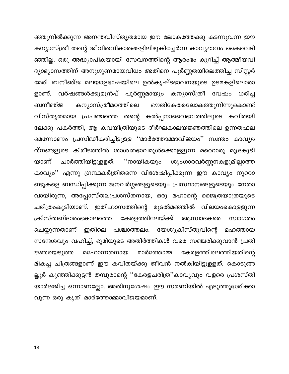ഞ്ഞുനിൽക്കുന്ന അനന്തവിസ്തൃതമായ ഈ ലോകത്തേക്കു കടന്നുവന്ന ഈ കന്യാസ്ത്രീ തന്റെ ജീവിതവികാരങ്ങളിലിഴുകിച്ചേർന്ന കാവ്യഭാവം കൈവെടി ഞ്ഞില്ല. ഒരു അദ്ധ്യാപികയായി സേവനത്തിന്റെ ആരംഭം കുറിച്ച് ആത്മീയവി ദ്യാഭ്യാസത്തിന് അനുഗുണമായവിധം അതിനെ പൂർണ്ണതയിലെത്തിച്ച സിസ്റ്റർ മേരി ബനീഞ്ജ മലയാളഭാഷയിലെ ഉൽകൃഷ്ടഭാവനയുടെ ഉടമകളിലൊരാ വർഷങ്ങൾക്കുമുൻപ് പൂർണ്ണമായും കന്യാസ്ത്രീ വേഷം ധരിച്ച ളാണ്. ബനീഞ്ജ കന്യാസ്ത്രീമഠത്തിലെ ഭൗതികേതരലോകത്തുനിന്നുകൊണ്ട് വിസ്തൃതമായ പ്രപഞ്ചത്തെ തന്റെ കൽപ്പനാവൈഭവത്തിലൂടെ കവിതയി ലേക്കു പകർത്തി, ആ കവയിത്രിയുടെ ദീർഘകാലയജ്ഞത്തിലെ ഉന്നതഫല മെന്നോണം പ്രസിദ്ധീകരിച്ചിട്ടുളള ''മാർത്തോമ്മാവിജയം'' സ്വന്തം കാവ്യര ത്നങ്ങളുടെ കിരീടത്തിൽ ശാശ്വതഭാവമുൾക്കൊളളുന്ന മറെറാരു മുദ്രകൂടി യാണ് ചാർത്തിയിട്ടുളളത്. <sup>ാ</sup>നായികയും ശൃംഗാരവർണ്ണനകളുമില്ലാത്ത കാവ്യം'' എന്നു ഗ്രന്ഥകർത്രിതന്നെ വിശേഷിപ്പിക്കുന്ന ഈ കാവ്യം നൂററാ ണ്ടുകളെ ബന്ധിപ്പിക്കുന്ന ജനവർഗ്ഗങ്ങളുടെയും പ്രസ്ഥാനങ്ങളുടെയും നേതാ വായിരുന്ന, അപ്പോസ്തലപ്രശസ്തനായ, ഒരു മഹാന്റെ ജൈത്രയാത്രയുടെ ചരിത്രംകൂടിയാണ്. ഇതിഹാസത്തിന്റെ മൂടൽമഞ്ഞിൽ വിലയംകൊളളുന്ന ക്രിസ്ത്വബ്ദാരംഭകാലത്തെ കേരളത്തിലേയ്ക്ക് ആസ്വാദകരെ സ്വാഗതം ഇതിലെ പശ്ചാത്തലം. യേശുക്രിസ്തുവിന്റെ ചെയ്യുന്നതാണ് മഹത്തായ സന്ദേശവും വഹിച്ച്, ഭൂമിയുടെ അതിർത്തികൾ വരെ സഞ്ചരിക്കുവാൻ പ്രതി ജ്ഞയെടുത്ത മാർത്തോമ്മ കേരളത്തിലെത്തിയതിന്റെ മഹോന്നതനായ മികച്ച ചിത്രങ്ങളാണ് ഈ കവിതയ്ക്കു ജീവൻ നൽകിയിട്ടുളളത്. കൊടുങ്ങ ല്ലൂർ കുഞ്ഞിക്കുട്ടൻ തമ്പുരാന്റെ ''കേരളചരിത്ര''കാവ്യവും വളരെ പ്രശസ്തി യാർജ്ജിച്ച ഒന്നാണല്ലോ. അതിനുശേഷം ഈ സരണിയിൽ എടുത്തുദ്ധരിക്കാ വുന്ന ഒരു കൃതി മാർത്തോമ്മാവിജയമാണ്.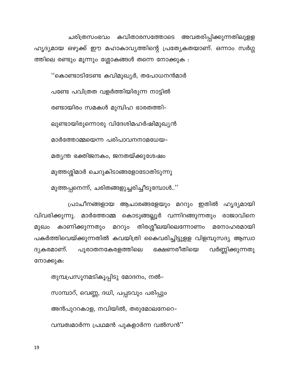ചരിത്രസംഭവം കവിതാരസത്തോടെ അവതരിപ്പിക്കുന്നതിലുളള ഹൃദ്യമായ ഒഴുക്ക് ഈ മഹാകാവ്യത്തിന്റെ പ്രത്യേകതയാണ്. ഒന്നാം സർഗ്ഗ ത്തിലെ രണ്ടും മൂന്നും ശ്ലോകങ്ങൾ തന്നെ നോക്കുക :

''കൊണ്ടാടിടേണ്ട കവിമുഖ്യർ, തപോധനൻമാർ പണ്ടേ പവിത്രത വളർത്തിയിരുന്ന നാട്ടിൽ രണ്ടായിരം സമകൾ മുമ്പിഹ ഭാരതത്തി– ലുണ്ടായിരുന്നൊരു വിദേശിമഹർഷിമുഖ്യൻ മാർത്തോമ്മയെന്ന പരിപാവനനാമധേയ– മത്യന്ത ഭക്തിജനകം, ജനതയ്ക്കുശേഷം മുത്തശ്ശിമാർ ചെറുകിടാങ്ങളോടോതിടുന്നു മുത്തപ്പനെന്ന്, ചരിതങ്ങളുച്ചരിച്ചീടുമ്പോൾ..''

പ്രാചീനങ്ങളായ ആചാരങ്ങളേയും മററും ഇതിൽ ഹൃദ്യമായി വിവരിക്കുന്നു. മാർത്തോമ്മ കൊടുങ്ങല്ലൂർ വന്നിറങ്ങുന്നതും രാജാവിനെ കാണിക്കുന്നതും മററും തിരശ്ശീലയിലെന്നോണം മനോഹരമായി മുഖം പകർത്തിവെയ്ക്കുന്നതിൽ കവയിത്രി കൈവരിച്ചിട്ടുളള വിളമ്പുസദ്യ ആസ്വാ വർണ്ണിക്കുന്നതു പുരാതനകേരളത്തിലെ ഭക്ഷണരീതിയെ ദൃകരമാണ്. നോക്കുക:

തുമ്പപ്രസൂനമടികൂപ്പിടു മോദനം, നൽ– സാമ്പാറ്, വെണ്ണ, ദധി, പപ്പടവും പരിപ്പും അൻപുററകാള, നവിയിൽ, തരുമോലനേറെ-വമ്പത്വമാർന്ന പ്രഥമൻ പുകളാർന്ന വൽസൻ''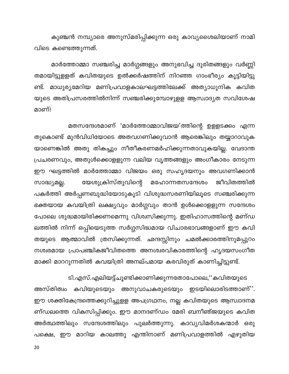കുഞ്ചൻ നമ്പ്യാരെ അനുസ്മരിപ്പിക്കുന്ന ഒരു കാവ്യശൈലിയാണ് നാമി വിടെ കണ്ടെത്തുന്നത്.

മാർത്തോമ്മാ സഞ്ചരിച്ച മാർഗ്ഗങ്ങളും അനുഭവിച്ച ദുരിതങ്ങളും വർണ്ണി തമായിട്ടുളളത് കവിതയുടെ ഉൽക്കർഷത്തിന് നിറഞ്ഞ ഗാംഭീര്യം കൂട്ടിയിട്ടു ണ്ട്. മാധുര്യമേറിയ മണിപ്രവാളകാലഘട്ടത്തിലേക്ക് അത്യാധുനിക കവിത യുടെ അതിപ്രസരത്തിൽനിന്ന് സഞ്ചരിക്കുമ്പോഴുളള ആസ്വാദ്യത സവിശേഷ മാണ്!

മതസന്ദേശമാണ് 'മാർത്തോമ്മാവിജയ'ത്തിന്റെ ഉളളടക്കം എന്ന തുകൊണ്ട് മുൻവിധിയോടെ അതവഗണിക്കുവാൻ ആരെങ്കിലും തയ്യാറാവുക യാണെങ്കിൽ അതു തികച്ചും നീതീകരണമർഹിക്കുന്നതാവുകയില്ല. വേദാന്ത പ്രചരണവും, അതുൾക്കൊളളുന്ന വലിയ വൃത്തങ്ങളും അംഗീകാരം നേടുന്ന ഈ ഘട്ടത്തിൽ മാർത്തോമ്മാ വിജയം ഒരു സഹൃദയനും അവഗണിക്കാൻ യേശുക്രിസ്തുവിന്റെ സാദ്ധ്യമല്ല. മഹോന്നതസന്ദേശം ജീവിതത്തിൽ പകർത്തി അർപ്പണബുദ്ധിയോടുകൂടി വിശുദ്ധസരണിയിലൂടെ സഞ്ചരിക്കുന്ന ഭക്തയായ കവയിത്രി ലക്ഷ്യവും മാർഗ്ഗവും താൻ ഉൾക്കൊളളുന്ന സന്ദേശം പോലെ ശുദ്ധമായിരിക്കണമെന്നു വിശ്വസിക്കുന്നു. ഇതിഹാസത്തിന്റെ മണ്ഡ ലത്തിൽ നിന്ന് ഒപ്പിയെടുത്ത സർഗ്ഗസിദ്ധമായ വിചാരഭാവങ്ങളാണ് ഈ കവി തയുടെ ആത്മാവിൽ ത്രസിക്കുന്നത്. ഛന്ദസ്സിനും ചമൽക്കാരത്തിനുമപ്പുറം നശ്വരമായ പ്രാപഞ്ചികജീവിതത്തെ അനശ്വരവികാരത്തിന്റെ ഹൃദയസംഗീത മാക്കി മാററുന്നതിൽ കവയിത്രി അനല്പമായ കരവിരുത് കാണിച്ചിട്ടുണ്ട്.

ടി.എസ്.എലിയട്ട്ചൂണ്ടിക്കാണിക്കുന്നതോപോലെ,''കവിതയുടെ

അസ്തിത്വം കവിയുടെയും അനുവാചകരുടെയും ഇടയിലൊരിടത്താണ്''. ഈ ശക്തികേന്ദ്രത്തെക്കുറിച്ചുളള അപഗ്രഥനം, നല്ല കവിതയുടെ ആസ്വാദനമ ണ്ഡലത്തെ വികസിപ്പിക്കും. ഈ മാനദണ്ഡം മേരി ബനീഞ്ജയുടെ കവിത അർത്ഥത്തിലും സന്ദേശത്തിലും പുലർത്തുന്നു. കാവ്യവിമർശകന്മാർ ഒരു പക്ഷെ, ഈ മാറിയ കാലത്തു എന്തിനാണ് മണിപ്രവാളത്തിൽ എഴുതിയ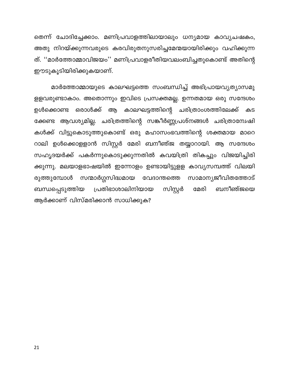തെന്ന് ചോദിച്ചേക്കാം. മണിപ്രവാളത്തിലായാലും ധന്യമായ കാവ്യചഷകം, അതു നിറയ്ക്കുന്നവരുടെ കരവിരുതനുസരിച്ചമേന്മയായിരിക്കും വഹിക്കുന്ന ത്. ''മാർത്തോമ്മാവിജയം'' മണിപ്രവാളരീതിയവലംബിച്ചതുകൊണ്ട് അതിന്റെ ഈടുകൂടിയിരിക്കുകയാണ്.

മാർത്തോമ്മായുടെ കാലഘട്ടത്തെ സംബന്ധിച്ച് അഭിപ്രായവൃത്യാസമു ളളവരുണ്ടാകാം. അതൊന്നും ഇവിടെ പ്രസക്തമല്ല. ഉന്നതമായ ഒരു സന്ദേശം കാലഘട്ടത്തിന്റെ ചരിത്രാംശത്തിലേക്ക് ഉൾക്കൊണ്ട ഒരാൾക്ക് ആ കട ക്കേണ്ട ആവശ്യമില്ല. ചരിത്രത്തിന്റെ സങ്കീർണ്ണപ്രശ്നങ്ങൾ ചരിത്രാന്വേഷി കൾക്ക് വിട്ടുകൊടുത്തുകൊണ്ട് ഒരു മഹാസംഭവത്തിന്റെ ശക്തമായ മാറെ റാലി ഉൾക്കൊളളാൻ സിസ്റ്റർ മേരി ബനീഞ്ജ തയ്യാറായി. ആ സന്ദേശം സഹൃദയർക്ക് പകർന്നുകൊടുക്കുന്നതിൽ കവയിത്രി തികച്ചും വിജയിച്ചിരി ക്കുന്നു. മലയാളഭാഷയിൽ ഇന്നോളം ഉണ്ടായിട്ടുളള കാവ്യസമ്പത്ത് വിലയി സന്മാർഗ്ഗസിദ്ധമായ വേദാന്തത്തെ സാമാന്യജീവിതത്തോട് രുത്തുമ്പോൾ സിസ്റ്റർ പ്രതിഭാശാലിനിയായ മേരി ബനീഞ്ജയെ ബന്ധപ്പെടുത്തിയ ആർക്കാണ് വിസ്മരിക്കാൻ സാധിക്കുക?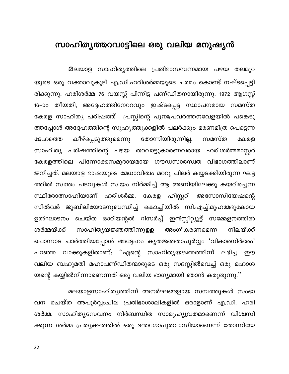#### <span id="page-22-0"></span>സാഹിത്യത്തറവാട്ടിലെ ഒരു വലിയ മനുഷ്യൻ

മലയാള സാഹിത്യത്തിലെ പ്രതിഭാസമ്പന്നമായ പഴയ തലമുറ യുടെ ഒരു വക്താവുകൂടി എ.ഡി.ഹരിശർമ്മയുടെ ചരമം കൊണ്ട് നഷ്ടപ്പെട്ടി രിക്കുന്നു. ഹരിശർമ്മ 76 വയസ്സ് പിന്നിട്ട പണ്ഡിതനായിരുന്നു. 1972 ആഗസ്റ്റ് 16–ാം തീയതി, അദ്ദേഹത്തിനേററവും ഇഷ്ടപ്പെട്ട സ്ഥാപനമായ സമസ്ത കേരള സാഹിത്യ പരിഷത്ത് പ്രസ്സിന്റെ പുനഃപ്രവർത്തനവേളയിൽ പങ്കെടു ത്തപ്പോൾ അദ്ദേഹത്തിന്റെ സുഹൃത്തുക്കളിൽ പലർക്കും മരണമിത്ര പെട്ടെന്ന തോന്നിയിരുന്നില്ല. കീഴ്പ്പെടുത്തുമെന്നു സമസ്ത കേരള ദേഹത്തെ സാഹിത്യ പരിഷത്തിന്റെ പഴയ തറവാട്ടുകാരണവരായ ഹരിശർമ്മമാസ്റ്റർ കേരളത്തിലെ പിന്നോക്കസമുദായമായ ഗൗഡസാരസ്വത വിഭാഗത്തിലാണ് ജനിച്ചത്. മലയാള ഭാഷയുടെ മേധാവിത്വം മററു ചിലർ കയ്യടക്കിയിരുന്ന ഘട്ട ത്തിൽ സ്വന്തം പടവുകൾ സ്വയം നിർമ്മിച്ച് ആ അണിയിലേക്കു കയറിച്ചെന്ന സ്ഥിരോത്സാഹിയാണ് ഹരിശർമ്മ. കേരള ഹിസ്റ്ററി അസോസിയേഷന്റെ സിൽവർ ജൂബിലിയോടനുബന്ധിച്ച് കൊച്ചിയിൽ സി.എച്ച്.മുഹമ്മദുകോയ ഉൽഘാടനം ചെയ്ത ഓറിയന്റൽ റിസർച്ച് ഇൻസ്റ്റിറ്റ്യൂട്ട് സമ്മേളനത്തിൽ സാഹിത്യയജ്ഞത്തിന്നുളള അംഗീകരണമെന്ന ശർമ്മയ്ക്ക് നിലയ്ക്ക് പൊന്നാട ചാർത്തിയപ്പോൾ അദ്ദേഹം കൃതജ്ഞതാപൂർവ്വം 'വികാരനിർഭരം' വാക്കുകളിതാണ്: ''എന്റെ സാഹിത്യയജ്ഞത്തിന്ന് ലഭിച്ച പറഞ്ഞ றற വലിയ ബഹുമതി മഹാപണ്ഡിതന്മാരുടെ ഒരു സദസ്സിൽവെച്ച് ഒരു മഹാശ യന്റെ കയ്യിൽനിന്നാണെന്നത് ഒരു വലിയ ഭാഗ്യമായി ഞാൻ കരുതുന്നു.''

മലയാളസാഹിത്യത്തിന്ന് അനർഘങ്ങളായ സമ്പത്തുകൾ സംഭാ വന ചെയ്ത അപൂർവ്വംചില പ്രതിഭാശാലികളിൽ ഒരാളാണ് എ.ഡി. ഹരി ശർമ്മ. സാഹിത്യസേവനം നിർബന്ധിത സാമൂഹ്യവ്രതമാണെന്ന് വിശ്വസി ക്കുന്ന ശർമ്മ പ്രത്യക്ഷത്തിൽ ഒരു ദന്തഗോപുരവാസിയാണെന്ന് തോന്നിയേ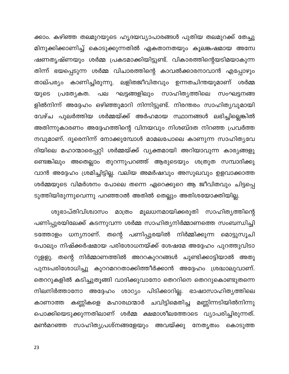ക്കാം. കഴിഞ്ഞ തലമുറയുടെ ഹൃദയവ്യാപാരങ്ങൾ പുതിയ തലമുറക്ക് തേച്ചു മിനുക്കിക്കാണിച്ച് കൊടുക്കുന്നതിൽ ഏകതാനതയും കൂലങ്കഷമായ അന്വേ ഷണതൃഷ്ണയും ശർമ്മ പ്രകടമാക്കിയിട്ടുണ്ട്. വികാരത്തിന്റെയടിമയാകുന്ന തിന്ന് ഭയപ്പെടുന്ന ശർമ്മ വിചാരത്തിന്റെ കാവൽക്കാരനാവാൻ എപ്പോഴും താല്പര്യം കാണിച്ചിരുന്നു. ലളിതജീവിതവും ഉന്നതചിന്തയുമാണ് ശർമ്മ ഘട്ടങ്ങളിലും സാഹിത്യത്തിലെ സംഘട്ടനങ്ങ യുടെ പ്രത്യേകത. പല ളിൽനിന്ന് അദ്ദേഹം ഒഴിഞ്ഞുമാറി നിന്നിട്ടുണ്ട്. നിരന്തരം സാഹിത്യവുമായി വേഴ്ച പുലർത്തിയ ശർമ്മയ്ക്ക് അർഹമായ സ്ഥാനങ്ങൾ ലഭിച്ചില്ലെങ്കിൽ അതിന്നുകാരണം അദ്ദേഹത്തിന്റെ വിനയവും നിശബ്ദത നിറഞ്ഞ പ്രവർത്ത നവുമാണ്. ദൂരെനിന്ന് നോക്കുമ്പോൾ മാമലപോലെ കാണുന്ന സാഹിത്യവേ ദിയിലെ മഹാന്മാരെപ്പറ്റി ശർമ്മയ്ക്ക് വ്യക്തമായി അറിയാവുന്ന കാര്യങ്ങളു ണ്ടെങ്കിലും അതെല്ലാം തുറന്നുപറഞ്ഞ് ആരുടെയും ശത്രുത സമ്പാദിക്കു വാൻ അദ്ദേഹം ശ്രമിച്ചിട്ടില്ല. വലിയ അമർഷവും അസുഖവും ഉളവാക്കാത്ത ശർമ്മയുടെ വിമർശനം പോലെ തന്നെ ഏറെക്കുറെ ആ ജീവിതവും ചിട്ടപ്പെ ടുത്തിയിരുന്നുവെന്നു പറഞ്ഞാൽ അതിൽ തെല്ലും അതിശയോക്തിയില്ല.

ശുഭാപ്തിവിശ്വാസം മാത്രം മൂലധനമായിക്കരുതി സാഹിത്യത്തിന്റെ പണിപ്പുരയിലേക്ക് കടന്നുവന്ന ശർമ്മ സാഹിത്യനിർമ്മാണത്തെ സംബന്ധിച്ചി ടത്തോളം ധന്യനാണ്. തന്റെ പണിപ്പുരയിൽ നിർമ്മിക്കുന്ന മൊട്ടുസൂചി പോലും നിഷ്ക്കർഷമായ പരിശോധനയ്ക്ക് ശേഷമേ അദ്ദേഹം പുറത്തുവിടാ റുളളു. തന്റെ നിർമ്മാണത്തിൽ അററകുററങ്ങൾ ചൂണ്ടിക്കാട്ടിയാൽ അതു പുനഃപരിശോധിച്ചു കുററമററതാക്കിത്തീർക്കാൻ അദ്ദേഹം ശ്രദ്ധാലുവാണ്. തെററുകളിൽ കടിച്ചുതൂങ്ങി വാദിക്കുവാനോ തെററിനെ തെററുകൊണ്ടുതന്നെ നിലനിർത്താനോ അദ്ദേഹം ശാഠ്യം പിടിക്കാറില്ല. ഭാഷാസാഹിത്യത്തിലെ കണ്ണികളെ മഹാരഥന്മാർ ചവിട്ടിമെതിച്ച മണ്ണിന്നടിയിൽനിന്നു കാണാത്ത പൊക്കിയെടുക്കുന്നതിലാണ് ശർമ്മ ക്ഷമാശീലത്തോടെ വ്യാപരിച്ചിരുന്നത്. മൺമറഞ്ഞ സാഹിത്യപ്രശ്നങ്ങളേയും അവയ്ക്കു നേതൃത്വം കൊടുത്ത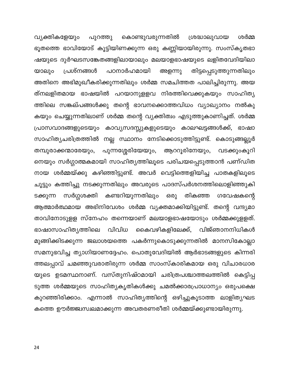വ്യക്തികളേയും പുറത്തു കൊണ്ടുവരുന്നതിൽ ശ്രദ്ധാലുവായ ശർമ്മ ഭൂതത്തെ ഭാവിയോട് കൂട്ടിയിണക്കുന്ന ഒരു കണ്ണിയായിരുന്നു. സംസ്കൃതഭാ ഷയുടെ ദുർഘടസങ്കേതങ്ങളിലായാലും മലയാളഭാഷയുടെ ലളിതവേദിയിലാ യാലും പ്രശ്നങ്ങൾ പഠനാർഹമായി തിട്ടപ്പെടുത്തുന്നതിലും അളന്നു അതിനെ അഭിമുഖീകരിക്കുന്നതിലും ശർമ്മ സമചിത്തത പാലിച്ചിരുന്നു. അയ ത്നലളിതമായ ഭാഷയിൽ പറയാനുളളവ നിരത്തിവെക്കുകയും സാഹിത്യ ത്തിലെ സങ്കല്പങ്ങൾക്കു തന്റെ ഭാവനക്കൊത്തവിധം വ്യാഖ്യാനം നൽകു കയും ചെയ്യുന്നതിലാണ് ശർമ്മ തന്റെ വ്യക്തിത്വം എടുത്തുകാണിച്ചത്. ശർമ്മ പ്രാസവാദങ്ങളുടെയും കാവ്യസദസ്സുകളുടെയും കാലഘട്ടങ്ങൾക്ക്, ഭാഷാ സാഹിത്യചരിത്രത്തിൽ നല്ല സ്ഥാനം നേടിക്കൊടുത്തിട്ടുണ്ട്. കൊടുങ്ങല്ലൂർ പുന്നശ്ശേരിയേയും, തമ്പുരാക്കന്മാരേയും, ആററൂരിനേയും, വടക്കുംകൂറി നെയും സർഗ്ഗാത്മകമായി സാഹിത്യത്തിലൂടെ പരിചയപ്പെടുത്താൻ പണ്ഡിത നായ ശർമ്മയ്ക്കു കഴിഞ്ഞിട്ടുണ്ട്. അവർ വെട്ടിത്തെളിയിച്ച പാതകളിലൂടെ ചൂട്ടും കത്തിച്ചു നടക്കുന്നതിലും അവരുടെ പാദസ്പർശനത്തിലൊളിഞ്ഞുകി സർഗ്ഗശക്തി കണ്ടറിയുന്നതിലും ഒരു ഗവേഷകന്റെ ടക്കുന്ന തികഞ്ഞ ആത്മാർത്ഥമായ അഭിനിവേശം ശർമ്മ വ്യക്തമാക്കിയിട്ടുണ്ട്. തന്റെ വന്ദ്യമാ താവിനോടുളള സ്നേഹം തന്നെയാണ് മലയാളഭാഷയോടും ശർമ്മക്കുളളത്. ഭാഷാസാഹിത്യത്തിലെ വിവിധ കൈവഴികളിലേക്ക്, വിജ്ഞാനനിധികൾ മുങ്ങിക്കിടക്കുന്ന ജലാശയത്തെ പകർന്നുകൊടുക്കുന്നതിൽ മാനസികോല്ലാ സമനുഭവിച്ച ത്യാഗിയാണദ്ദേഹം. പൊതുവേദിയിൽ ആർഭാടങ്ങളുടെ കിന്നരി ത്തലപ്പാവ് ചമഞ്ഞുവരാതിരുന്ന ശർമ്മ സാംസ്കാരികമായ ഒരു വിചാരധാര യുടെ ഉടമസ്ഥനാണ്. വസ്തുനിഷ്ഠമായി ചരിത്രപശ്ചാത്തലത്തിൽ കെട്ടിപ്പ ടുത്ത ശർമ്മയുടെ സാഹിത്യകൃതികൾക്കു ചമൽക്കാരപ്രാധാന്യം ഒരുപക്ഷെ കുറഞ്ഞിരിക്കാം. എന്നാൽ സാഹിത്യത്തിന്റെ ഒഴിച്ചുകൂടാത്ത ലാളിത്യഘട കത്തെ ഊർജ്ജ്വസ്വലമാക്കുന്ന അവതരണരീതി ശർമ്മയ്ക്കുണ്ടായിരുന്നു.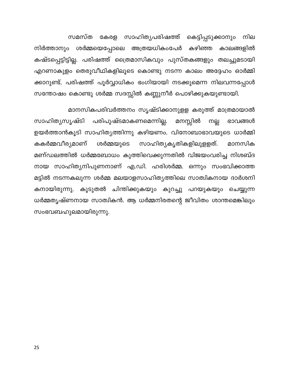കേരള സാഹിത്യപരിഷത്ത് കെട്ടിപ്പടുക്കാനും സമസ്ത നില നിർത്താനും ശർമ്മയെപ്പോലെ അത്രയധികംപേർ കഴിഞ്ഞ കാലങ്ങളിൽ കഷ്ടപ്പെട്ടിട്ടില്ല. പരിഷത്ത് ത്രൈമാസികവും പുസ്തകങ്ങളും തലച്ചുമടായി എറണാകുളം തെരുവീഥികളിലൂടെ കൊണ്ടു നടന്ന കാലം അദ്ദേഹം ഓർമ്മി ക്കാറുണ്ട്. പരിഷത്ത് പൂർവ്വാധികം ഭംഗിയായി നടക്കുമെന്ന നിലവന്നപ്പോൾ സന്തോഷം കൊണ്ടു ശർമ്മ സദസ്സിൽ കണ്ണുനീർ പൊഴിക്കുകയുണ്ടായി.

മാനസികപരിവർത്തനം സൃഷ്ടിക്കാനുളള കരുത്ത് മാത്രമായാൽ സാഹിതൃസൃഷ്ടി പരിപുഷ്ടമാകണമെന്നില്ല. മനസ്സിൽ നല്ല ഭാവങ്ങൾ ഉയർത്താൻകൂടി സാഹിത്യത്തിന്നു കഴിയണം. വിനോബാഭാവയുടെ ധാർമ്മി കകർമ്മവീര്യമാണ് സാഹിത്യകൃതികളിലുളളത്. ശർമ്മയുടെ മാനസിക മണ്ഡലത്തിൽ ധർമ്മബോധം കുത്തിവെക്കുന്നതിൽ വിജയംവരിച്ച നിശബ്ദ നായ സാഹിത്യനിപുണനാണ് എ.ഡി. ഹരിശർമ്മ. ഒന്നും സംഭവിക്കാത്ത മട്ടിൽ നടന്നകലുന്ന ശർമ്മ മലയാളസാഹിത്യത്തിലെ സാത്വികനായ ദാർശനി കനായിരുന്നു. കൂടുതൽ ചിന്തിക്കുകയും കുറച്ചു പറയുകയും ചെയ്യുന്ന ധർമ്മതൃഷ്ണനായ സാത്വികൻ. ആ ധർമ്മനിരതന്റെ ജീവിതം ശാന്തമെങ്കിലും സംഭവബഹുലമായിരുന്നു.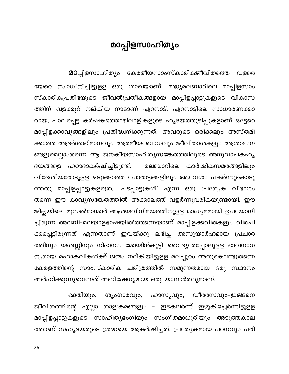#### മാപ്പിളസാഹിത്യം

<span id="page-26-0"></span>മാപ്പിളസാഹിത്യം കേരളീയസാംസ്കാരികജീവിതത്തെ വളരെ യേറെ സ്വാധീനിച്ചിട്ടുളള ഒരു ശാഖയാണ്. മദ്ധ്യമലബാറിലെ മാപ്പിളസാം സ്കാരികപ്രതിഭയുടെ ജീവൽപ്രതീകങ്ങളായ മാപ്പിളപ്പാട്ടുകളുടെ വികാസ ത്തിന് വളക്കൂറ് നല്കിയ നാടാണ് ഏറനാട്. ഏറനാട്ടിലെ സാധാരണക്കാ രായ, പാവപ്പെട്ട കർഷകത്തൊഴിലാളികളുടെ ഹൃദയത്തുടിപ്പുകളാണ് ഒട്ടേറെ മാപ്പിളക്കാവ്യങ്ങളിലും പ്രതിദ്ധ്വനിക്കുന്നത്. അവരുടെ ഒരിക്കലും അസ്തമി ക്കാത്ത ആദർശാഭിമാനവും ആത്മീയബോധവും ജീവിതാശകളും ആശാഭംഗ ങ്ങളുമെല്ലാംതന്നെ ആ ജനകീയസാഹിത്യസങ്കേതത്തിലൂടെ അനുവാചകഹൃ ദയങ്ങളെ ഹഠാദാകർഷിച്ചിട്ടുണ്ട്. മലബാറിലെ കാർഷികസമരങ്ങളിലും വിദേശീയരോടുളള ഒടുങ്ങാത്ത പോരാട്ടങ്ങളിലും ആവേശം പകർന്നുകൊടു ത്തതു മാപ്പിളപ്പാട്ടുകളത്രെ. 'പടപ്പാട്ടുകൾ' എന്ന ഒരു പ്രത്യേക വിഭാഗം തന്നെ ഈ കാവ്യസങ്കേതത്തിൽ അക്കാലത്ത് വളർന്നുവരികയുണ്ടായി. ഈ ജില്ലയിലെ മുസൽമാന്മാർ ആശയവിനിമയത്തിനുളള മാദ്ധ്യമമായി ഉപയോഗി ച്ചിരുന്ന അറബി–മലയാളഭാഷയിൽത്തന്നെയാണ് മാപ്പിളക്കവിതകളും വിരചി ക്കപ്പെട്ടിരുന്നത് എന്നതാണ് ഇവയ്ക്കു ലഭിച്ച അസൂയാർഹമായ പ്രചാര ത്തിനും യശസ്സിനും നിദാനം. മോയിൻകുട്ടി വൈദ്യരേപ്പോലുളള ഭാവനാധ ന്യരായ മഹാകവികൾക്ക് ജന്മം നല്കിയിട്ടുളള മലപ്പുറം അതുകൊണ്ടുതന്നെ കേരളത്തിന്റെ സാംസ്കാരിക ചരിത്രത്തിൽ സമുന്നതമായ ഒരു സ്ഥാനം അർഹിക്കുന്നുവെന്നത് അനിഷേധ്യമായ ഒരു യാഥാർത്ഥ്യമാണ്.

ഭക്തിയും, ശൃംഗാരവും, ഹാസ്യവും, വീരരസവും–ഇങ്ങനെ ജീവിതത്തിന്റെ എല്ലാ താളക്രമങ്ങളും – ഇടകലർന്ന് ഇഴുകിച്ചേർന്നിട്ടുളള മാപ്പിളപ്പാട്ടുകളുടെ സാഹിത്യഭംഗിയും സംഗീതമാധുരിയും അടുത്തകാല ത്താണ് സഹൃദയരുടെ ശ്രദ്ധയെ ആകർഷിച്ചത്. പ്രത്യേകമായ പഠനവും പരി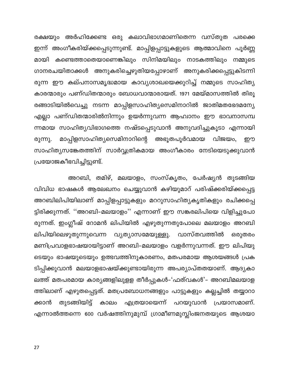രക്ഷയും അർഹിക്കേണ്ട ഒരു കലാവിഭാഗമാണിതെന്ന വസ്തുത പരക്കെ ഇന്ന് അംഗീകരിയ്ക്കപ്പെടുന്നുണ്ട്. മാപ്പിളപ്പാട്ടുകളുടെ ആത്മാവിനെ പൂർണ്ണ മായി കണ്ടെത്താതെയാണെങ്കിലും സിനിമയിലും നാടകത്തിലും നമ്മുടെ ഗാനരചയിതാക്കൾ അനുകരിച്ചെഴുതിയപ്പോഴാണ് അനുകരിക്കപ്പെട്ടുകിടന്നി രുന്ന ഈ കല്പനാസമൃദ്ധമായ കാവൃശാഖയെക്കുറിച്ച് നമ്മുടെ സാഹിത്യ കാരന്മാരും പണ്ഡിതന്മാരും ബോധവാന്മാരായത്. 1971 മേയ്മാസത്തിൽ തിരൂ രങ്ങാടിയിൽവെച്ചു നടന്ന മാപ്പിളസാഹിത്യസെമിനാറിൽ ജാതിമതഭേദമന്യേ എല്ലാ പണ്ഡിതന്മാരിൽനിന്നും ഉയർന്നുവന്ന ആഹ്വാനം ഈ ഭാവനാസമ്പ ന്നമായ സാഹിത്യവിഭാഗത്തെ നഷ്ടപ്പെടുവാൻ അനുവദിച്ചുകൂടാ എന്നായി മാപ്പിളസാഹിത്യസെമിനാറിന്റെ അഭൂതപൂർവമായ വിജയം, രുന്നു. றற സാഹിത്യസങ്കേതത്തിന് സാർവ്വത്രികമായ അംഗീകാരം നേടിയെടുക്കുവാൻ പ്രയോജകീഭവിച്ചിട്ടുണ്ട്.

അറബി, തമിഴ്, മലയാളം, സംസ്കൃതം, പേർഷ്യൻ തുടങ്ങിയ വിവിധ ഭാഷകൾ ആലേഖനം ചെയ്യുവാൻ കഴിയുമാറ് പരിഷ്ക്കരിയ്ക്കപ്പെട്ട അറബിലിപിയിലാണ് മാപ്പിളപ്പാട്ടുകളും മററുസാഹിത്യകൃതികളും രചിക്കപ്പെ ട്ടിരിക്കുന്നത്. ''അറബി-മലയാളം'' എന്നാണ് ഈ സങ്കരലിപിയെ വിളിച്ചുപോ രുന്നത്. ഇംഗ്ലീഷ് റോമൻ ലിപിയിൽ എഴുതുന്നതുപോലെ മലയാളം അറബി ലിപിയിലെഴുതുന്നുവെന്ന വ്യത്യാസമേയുള്ളു. വാസ്തവത്തിൽ ഒരുതരം മണിപ്രവാളഭാഷയായിട്ടാണ് അറബി-മലയാളം വളർന്നുവന്നത്. ഈ ലിപിയു ടെയും ഭാഷയുടെയും ഉത്ഭവത്തിനുകാരണം, മതപരമായ ആശയങ്ങൾ പ്രക ടിപ്പിക്കുവാൻ മലയാളഭാഷയ്ക്കുണ്ടായിരുന്ന അപര്യാപ്തതയാണ്. ആദ്യകാ ലത്ത് മതപരമായ കാര്യങ്ങളിലുളള തീർപ്പുകൾ–'ഫത്വകൾ'– അറബിമലയാള ത്തിലാണ് എഴുതപ്പെട്ടത്. മതപ്രബോധനങ്ങളും പാട്ടുകളും കല്ലച്ചിൽ തയ്യാറാ തുടങ്ങിയിട്ട് ക്കാൻ കാലം എത്രയായെന്ന് പറയുവാൻ പ്രയാസമാണ്. എന്നാൽത്തന്നെ 600 വർഷത്തിനുമുമ്പ് ഗ്രാമീണമുസ്ലിംജനതയുടെ ആശയാ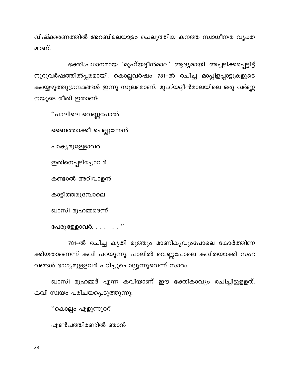വിഷ്ക്കരണത്തിൽ അറബിമലയാളം ചെലുത്തിയ കനത്ത സ്വാധീനത വ്യക്ത മാണ്.

ഭക്തിപ്രധാനമായ 'മുഹ്യദ്ദീൻമാല' ആദ്യമായി അച്ചടിക്കപ്പെട്ടിട്ട് നൂറുവർഷത്തിൽപ്പരമായി. കൊല്ലവർഷം 781–ൽ രചിച്ച മാപ്പിളപ്പാട്ടുകളുടെ കയ്യെഴുത്തുഗ്രന്ഥങ്ങൾ ഇന്നു സുലഭമാണ്. മുഹ്യദ്ദീൻമാലയിലെ ഒരു വർണ്ണ നയുടെ രീതി ഇതാണ്:

''പാലിലെ വെണ്ണപോൽ

ബൈത്താക്കീ ചെല്ലുന്നേൻ

പാക്യമുള്ളോവർ

ഇതിനെപ്പടിച്ചോവർ

കണ്ടാൽ അറിവാളൻ

കാട്ടിത്തരുമ്പോലെ

ഖാസി മുഹമ്മദെന്ന്

പേരുള്ളോവർ $\dots\dots\dots$ 

781-ൽ രചിച്ച കൃതി മുത്തും മാണികൃവുംപോലെ കോർത്തിണ ക്കിയതാണെന്ന് കവി പറയുന്നു. പാലിൽ വെണ്ണപോലെ കവിതയാക്കി സംഭ വങ്ങൾ ഭാഗ്യമുളളവർ പഠിച്ചുചൊല്ലുന്നുവെന്ന് സാരം.

ഖാസി മുഹമ്മദ് എന്ന കവിയാണ് ഈ ഭക്തികാവ്യം രചിച്ചിട്ടുളളത്. കവി സ്വയം പരിചയപ്പെടുത്തുന്നു:

''കൊല്ലം എളുന്നൂററ്

എൺപത്തിരണ്ടിൽ ഞാൻ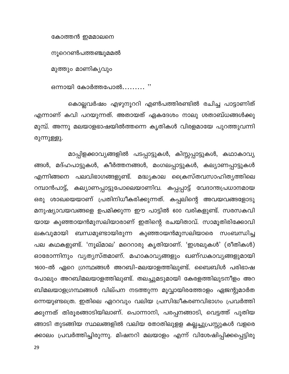കോത്തൻ ഇമമാലനെ

നൂറെറൺപത്തഞ്ചുമമൽ

മുത്തും മാണികൃവും

ഒന്നായി കോർത്തപോൽ......... ''

കൊല്ലവർഷം എഴുനൂററി എൺപത്തിരണ്ടിൽ രചിച്ച പാട്ടാണിത് എന്നാണ് കവി പറയുന്നത്. അതായത് ഏകദേശം നാലു ശതാബ്ധങ്ങൾക്കു മുമ്പ്. അന്നു മലയാളഭാഷയിൽത്തന്നെ കൃതികൾ വിരളമായേ പുറത്തുവന്നി രുന്നുള്ളു.

മാപ്പിളക്കാവ്യങ്ങളിൽ പടപ്പാട്ടുകൾ, കിസ്സപ്പാട്ടുകൾ, കഥാകാവ്യ ങ്ങൾ, മദ്ഹപാട്ടുകൾ, കീർത്തനങ്ങൾ, മംഗലപ്പാട്ടുകൾ, കല്യാണപ്പാട്ടുകൾ എന്നിങ്ങനെ പലവിഭാഗങ്ങളുണ്ട്. മദ്ധ്യകാല ക്രൈസ്തവസാഹിത്യത്തിലെ റമ്പാൻപാട്ട്, കല്യാണപ്പാട്ടുപോലെയാണിവ. കപ്പപ്പാട്ട് വേദാന്തപ്രധാനമായ ഒരു ശാഖയെയാണ് പ്രതിനിധീകരിക്കുന്നത്. കപ്പലിന്റെ അവയവങ്ങളോടു മനുഷ്യാവയവങ്ങളെ ഉപമിക്കുന്ന ഈ പാട്ടിൽ 600 വരികളുണ്ട്. സരസകവി യായ കുഞ്ഞായൻമുസലിയാരാണ് ഇതിന്റെ രചയിതാവ്. സാമൂതിരിക്കോവി ലകവുമായി ബന്ധമുണ്ടായിരുന്ന കുഞ്ഞായൻമുസലിയാരെ സംബന്ധിച്ച പല കഥകളുണ്ട്. 'നൂല്മാല' മറെറാരു കൃതിയാണ്. 'ഇശലുകൾ' (രീതികൾ) ഓരോന്നിനും വ്യത്യസ്തമാണ്. മഹാകാവ്യങ്ങളും ഖണ്ഡകാവ്യങ്ങളുമായി 1600–ൽ ഏറെ ഗ്രന്ഥങ്ങൾ അറബി–മലയാളത്തിലുണ്ട്. ബൈബിൾ പരിഭാഷ പോലും അറബിമലയാളത്തിലുണ്ട്. തലച്ചുമടുമായി കേരളത്തിലുടനീളം അറ ബിമലയാളഗ്രന്ഥങ്ങൾ വില്പന നടത്തുന്ന മൂവ്വായിരത്തോളം ഏജന്റുമാർത ന്നെയുണ്ടത്രെ. ഇതിലെ ഏററവും വലിയ പ്രസിദ്ധീകരണവിഭാഗം പ്രവർത്തി ക്കുന്നത് തിരൂരങ്ങാടിയിലാണ്. പൊന്നാനി, പരപ്പനങ്ങാടി, വെട്ടത്ത് പുതിയ ങ്ങാടി തുടങ്ങിയ സ്ഥലങ്ങളിൽ വലിയ തോതിലുളള കല്ലച്ചുപ്രസ്സുകൾ വളരെ ക്കാലം പ്രവർത്തിച്ചിരുന്നു. മിഷനറി മലയാളം എന്ന് വിശേഷിപ്പിക്കപ്പെട്ടിരു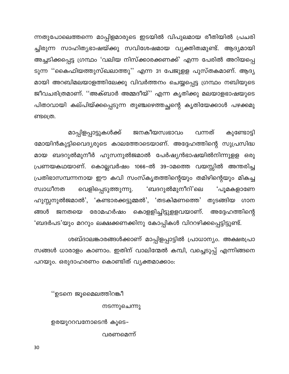ന്നതുപോലെത്തന്നെ മാപ്പിളമാരുടെ ഇടയിൽ വിപുലമായ രീതിയിൽ പ്രചരി ച്ചിരുന്ന സാഹിത്യഭാഷയ്ക്കു സവിശേഷമായ വ്യക്തിത്വമുണ്ട്. ആദ്യമായി അച്ചടിക്കപ്പെട്ട ഗ്രന്ഥം 'വലിയ നിസ്ക്കാരക്കണക്ക്' എന്ന പേരിൽ അറിയപ്പെ ടുന്ന ''കൈഫിയത്തുസ്ഖലാത്തു'' എന്ന 31 പേജുളള പുസ്തകമാണ്. ആദ്യ മായി അറബിമലയാളത്തിലേക്കു വിവർത്തനം ചെയ്യപ്പെട്ട ഗ്രന്ഥം നബിയുടെ ജീവചരിത്രമാണ്. ''അക്ബാർ അമ്മദീയ്'' എന്ന കൃതിക്കു മലയാളഭാഷയുടെ പിതാവായി കല്പിയ്ക്കപ്പെടുന്ന തുഞ്ചഴെത്തച്ഛന്റെ കൃതിയേക്കാൾ പഴക്കമു ണ്ടത്രെ.

ജനകീയസ്വഭാവം മാപ്പിളപ്പാട്ടുകൾക്ക് വന്നത് കുണ്ടോട്ടി മോയിൻകുട്ടിവൈദ്യരുടെ കാലത്തോടെയാണ്. അദ്ദേഹത്തിന്റെ സുപ്രസിദ്ധ മായ ബദറുൽമുനീർ ഹുസനുൽജമാൽ പേർഷ്യൻഭാഷയിൽനിന്നുളള ഒരു പ്രണയകഥയാണ്. കൊല്ലവർഷം 1066–ൽ 39–ാമത്തെ വയസ്സിൽ അന്തരിച്ച പ്രതിഭാസമ്പന്നനായ ഈ കവി സംസ്കൃതത്തിന്റെയും തമിഴിന്റെയും മികച്ച വെളിപ്പെടുത്തുന്നു. 'ബദറുൽമുനീറി'ലെ സ്വാധീനത **'പൂമകളാണേ** ഹുസ്സനുൽജമാൽ', 'കണ്ടാരക്കട്ടുമ്മൽ', 'തടകിമണത്തെ' തുടങ്ങിയ ഗാന ജനതയെ രോമഹർഷം കൊളളിച്ചിട്ടുളളവയാണ്. ങ്ങൾ അദ്ദേഹത്തിന്റെ 'ബദർപട'യും മററും ലക്ഷക്കണക്കിനു കോപ്പികൾ വിററഴിക്കപ്പെട്ടിട്ടുണ്ട്.

ശബ്ദാലങ്കാരങ്ങൾക്കാണ് മാപ്പിളപ്പാട്ടിൽ പ്രാധാന്യം. അക്ഷരപ്രാ സങ്ങൾ ധാരാളം കാണാം. ഇതിന് വാലിന്മേൽ കമ്പി, വച്ചെടുപ്പ് എന്നിങ്ങനെ പറയും. ഒരുദാഹരണം കൊണ്ടിത് വൃക്തമാക്കാം:

''ഉടനെ ജൂമൈലത്തിറങ്കീ

നടന്നുചെന്നു

ഉരയുററവനോടെൻ കൂടെ–

വരണമെന്ന്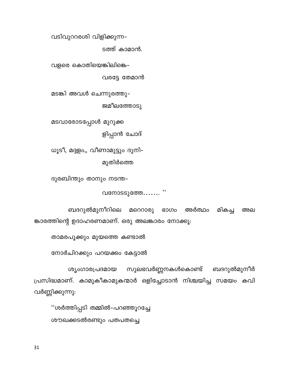വടിവുററരശി വിളിക്കുന്ന–

ടത്ത് കാമാൻ.

വളരെ കൊതിയെങ്കിലിങ്കെ–

വരട്ടേ തേമാൻ

മടങ്കി അവൾ ചെന്നുരത്തു–

ജമീലത്തോടു

മടവാരോടപ്പോൾ മുറുക്ക

ളിപ്പാൻ ചോദ്

ധൂടീ, മദ്ദളം,, വീണാമുട്ടും ദുനി-മുതിർത്തെ

ദുരബിന്തും താനും നടന്ത–

വനോടടുത്തേ....... "

ബദറുൽമുനീറിലെ മറെറാരു മികച്ച അർത്ഥം ഭാഗം അല ങ്കാരത്തിന്റെ ഉദാഹരണമാണ്. ഒരു അലങ്കാരം നോക്കൂ:

താമരപൂക്കും മുയത്തെ കണ്ടാൽ

നോർചിറക്കും പറയക്കം കേട്ടാൽ

ബദറുൽമുനീർ സുലഭവർണ്ണനകൾകൊണ്ട് ശ്യംഗാരപ്രദമായ പ്രസിദ്ധമാണ്. കാമുകീകാമുകന്മാർ ഒളിച്ചോടാൻ നിശ്ചയിച്ച സമയം കവി വർണ്ണിക്കുന്നു:

''ശർത്തിപ്പടി തമ്മിൽ-പറഞ്ഞൂറച്ചേ ശൗഖക്കടൽരണ്ടും പതപതച്ചെ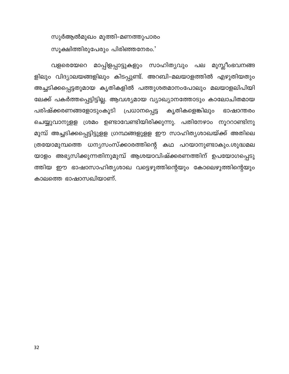സുർആൽമുഖം മുത്തി–മണത്തുപാരം സൂക്ഷിത്തിരുപേരും പിരിഞ്ഞനേരം.'

വളരെയേറെ മാപ്പിളപ്പാട്ടുകളും സാഹിത്യവും പല മുസ്ലീംഭവനങ്ങ ളിലും വിദ്യാലയങ്ങളിലും കിടപ്പുണ്ട്. അറബി–മലയാളത്തിൽ എഴുതിയതും അച്ചടിക്കപ്പെട്ടതുമായ കൃതികളിൽ പത്തുശതമാനംപോലും മലയാളലിപിയി ലേക്ക് പകർത്തപ്പെട്ടിട്ടില്ല. ആവശ്യമായ വ്യാഖ്യാനത്തോടും കാലോചിതമായ പരിഷ്ക്കരണങ്ങളോടുംകൂടി പ്രധാനപ്പെട്ട കൃതികളെങ്കിലും ഭാഷാന്തരം ചെയ്യുവാനുളള ശ്രമം ഉണ്ടാവേണ്ടിയിരിക്കുന്നു. പതിനേഴാം നൂററാണ്ടിനു മുമ്പ് അച്ചടിക്കപ്പെട്ടിട്ടുളള ഗ്രന്ഥങ്ങളുളള ഈ സാഹിത്യശാഖയ്ക്ക് അതിലെ ത്രയോമുമ്പത്തെ ധന്യസംസ്ക്കാരത്തിന്റെ കഥ പറയാനുണ്ടാകും.ശുദ്ധമല യാളം അഭ്യസിക്കുന്നതിനുമുമ്പ് ആശയാവിഷ്ക്കരണത്തിന് ഉപയോഗപ്പെടു ത്തിയ ഈ ഭാഷാസാഹിത്യശാഖ വട്ടെഴുത്തിന്റെയും കോലെഴുത്തിന്റെയും കാലത്തെ ഭാഷാസഖിയാണ്.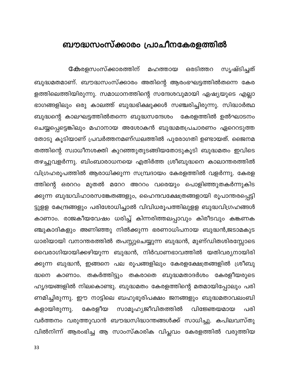#### <span id="page-33-0"></span>ബൗദ്ധസംസ്ക്കാരം പ്രാചീനകേരളത്തിൽ

**േക**രളസംസ്ക്കാരത്തിന് മഹത്തായ ഒരടിത്തറ സൃഷ്ടിച്ചത് ബുദ്ധമതമാണ്. ബൗദ്ധസംസ്ക്കാരം അതിന്റെ ആരംഭഘട്ടത്തിൽതന്നെ കേര ളത്തിലെത്തിയിരുന്നു. സമാധാനത്തിന്റെ സന്ദേശവുമായി ഏഷ്യയുടെ എല്ലാ ഭാഗങ്ങളിലും ഒരു കാലത്ത് ബുദ്ധഭിക്ഷുക്കൾ സഞ്ചരിച്ചിരുന്നു. സിദ്ധാർത്ഥ ബുദ്ധന്റെ കാലഘട്ടത്തിൽതന്നെ ബുദ്ധസന്ദേശം കേരളത്തിൽ ഉൽഘാടനം ചെയ്യപ്പെട്ടെങ്കിലും മഹാനായ അശോകൻ ബുദ്ധമതപ്രചാരണം ഏറെറടുത്ത തോടു കൂടിയാണ് പ്രവർത്തനമണ്ഡലത്തിൽ പുരോഗതി ഉണ്ടായത്. ജൈനമ തത്തിന്റെ സ്വാധീനശക്തി കുറഞ്ഞുതുടങ്ങിയതോടുകൂടി ബുദ്ധമതം ഇവിടെ തഴച്ചുവളർന്നു. ബിംബാരാധനയെ എതിർത്ത ശ്രീബുദ്ധനെ കാലാന്തരത്തിൽ വിഗ്രഹരൂപത്തിൽ ആരാധിക്കുന്ന സമ്പ്രദായം കേരളത്തിൽ വളർന്നു. കേരള ത്തിന്റെ ഒരററം മുതൽ മറേറ അററം വരെയും പൊളിഞ്ഞുതകർന്നുകിട ക്കുന്ന ബുദ്ധവിഹാരസങ്കേതങ്ങളും, ഹൈന്ദവക്ഷേത്രങ്ങളായി രൂപാന്തരപ്പെട്ടി ട്ടുളള കേന്ദ്രങ്ങളും പരിശോധിച്ചാൽ വിവിധരൂപത്തിലുളള ബുദ്ധവിഗ്രഹങ്ങൾ കാണാം. രാജകീയവേഷം ധരിച്ച് കിന്നരിത്തലപ്പാവും കിരീടവും കങ്കണക ഞ്ചുകാദികളും അണിഞ്ഞു നിൽക്കുന്ന ഭരണാധിപനായ ബുദ്ധൻ,ജടാമകുട ധാരിയായി വനാന്തരത്തിൽ തപസ്സുചെയ്യുന്ന ബുദ്ധൻ, മുണ്ഡിതശിരസ്സോടെ വൈരാഗിയായിക്കഴിയുന്ന ബുദ്ധൻ, നിർവാണഭാവത്തിൽ യതിവര്യനായിരി ക്കുന്ന ബുദ്ധൻ, ഇങ്ങനെ പല രൂപങ്ങളിലും കേരളക്ഷേത്രങ്ങളിൽ ശ്രീബു കാണാം. തകർത്തിട്ടും തകരാതെ ബുദ്ധമതാദർശം കേരളീയരുടെ ദ്ധനെ ഹൃദയങ്ങളിൽ നിലകൊണ്ടു. ബുദ്ധമതം കേരളത്തിന്റെ മതമായിപ്പോലും പരി ണമിച്ചിരുന്നു. ഈ നാട്ടിലെ ബഹുഭൂരിപക്ഷം ജനങ്ങളും ബുദ്ധമതാവലംബി കേരളീയ സാമൂഹ്യജീവിതത്തിൽ കളായിരുന്നു. വിജ്ഞേയമായ പരി വർത്തനം വരുത്തുവാൻ ബൗദ്ധസിദ്ധാന്തങ്ങൾക്ക് സാധിച്ചു. കപിലവസ്തു വിൽനിന്ന് ആരംഭിച്ച ആ സാംസ്കാരിക വിപ്ലവം കേരളത്തിൽ വരുത്തിയ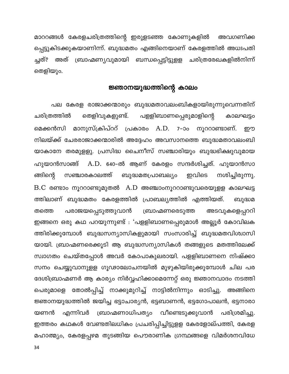മാററങ്ങൾ കേരളചരിത്രത്തിന്റെ ഇരുളടഞ്ഞ കോണുകളിൽ അവഗണിക്ക പ്പെട്ടുകിടക്കുകയാണിന്ന്. ബുദ്ധമതം എങ്ങിനെയാണ് കേരളത്തിൽ അധഃപതി ച്ചത്? അത് ബ്രാഹ്മണ്യവുമായി ബന്ധപ്പെട്ടിട്ടുളള ചരിത്രരേഖകളിൽനിന്ന് തെളിയും.

#### ജ്ഞാനയുദ്ധത്തിന്റെ കാലം

പല കേരള രാജാക്കന്മാരും ബുദ്ധമതാവലംബികളായിരുന്നുവെന്നതിന് തെളിവുകളുണ്ട്. പളളിബാണപ്പെരുമാളിന്റെ ചരിത്രത്തിൽ കാലഘട്ടം മെക്കൻസി മാനുസ്ക്രിപ്ററ് പ്രകാരം A.D. 7-ാം നൂററാണ്ടാണ്. றற നിലയ്ക്ക് ചേരരാജാക്കന്മാരിൽ അദ്ദേഹം അവസാനത്തെ ബുദ്ധമതാവലംബി യാകാനേ തരമുളളു. പ്രസിദ്ധ ചൈനീസ് സഞ്ചാരിയും ബുദ്ധഭിക്ഷുവുമായ ഹുയാൻസാങ്ങ് A.D. 640–ൽ ആണ് കേരളം സന്ദർശിച്ചത്. ഹുയാൻസാ ങ്ങിന്റെ സഞ്ചാരകാലത്ത് ബുദ്ധമതപ്രാബല്യം ഇവിടെ നശിച്ചിരുന്നു.  $B.C.$  രണ്ടാം നൂററാണ്ടുമുതൽ  $A.D.$  അഞ്ചാംനൂററാണ്ടുവരെയുളള കാലഘട്ട ത്തിലാണ് ബുദ്ധമതം കേരളത്തിൽ പ്രാബല്യത്തിൽ എത്തിയത്. ബുദ്ധമ ബ്രാഹ്മണരെടുത്ത പരാജയപ്പെടുത്തുവാൻ അടവുകളെപ്പററി തത്തെ ഇങ്ങനെ ഒരു കഥ പറയുന്നുണ്ട് : 'പളളിബാണപ്പെരുമാൾ അല്ലൂർ കോവിലക ത്തിരിക്കുമ്പോൾ ബുദ്ധസന്യാസികളുമായി സംസാരിച്ച് ബുദ്ധമതവിശ്വാസി യായി. ബ്രാഹ്മണരെക്കൂടി ആ ബുദ്ധസന്യാസികൾ തങ്ങളുടെ മതത്തിലേക്ക് സ്വാഗതം ചെയ്തപ്പോൾ അവർ കോപാകുലരായി. പളളിബാണനെ നിഷ്ക്കാ സനം ചെയ്യുവാനുളള ഗൂഢാലോചനയിൽ മുഴുകിയിരുക്കുമ്പോൾ ചില പര ദേശിബ്രാഹ്മണർ ആ കാര്യം നിർവ്വഹിക്കാമെന്നേറ്റ് ഒരു ജ്ഞാനവാദം നടത്തി പെരുമാളെ തോൽപ്പിച്ച് നാക്കുമുറിച്ച് നാട്ടിൽനിന്നും ഓടിച്ചു. അങ്ങിനെ ജ്ഞാനയുദ്ധത്തിൽ ജയിച്ച ഭട്ടാചാര്യൻ, ഭട്ടബാണൻ, ഭട്ടഗോപാലൻ, ഭട്ടനാരാ ബ്രാഹ്മണാധിപത്യം വീണ്ടെടുക്കുവാൻ പരിശ്രമിച്ചു. യണൻ എന്നിവർ ഇത്തരം കഥകൾ വേണ്ടതിലധികം പ്രചരിപ്പിച്ചിട്ടുളള കേരളോല്പത്തി, കേരള മഹാത്മ്യം, കേരളപ്പഴമ തുടങ്ങിയ പൌരാണിക ഗ്രന്ഥങ്ങളെ വിമർശനവിധേ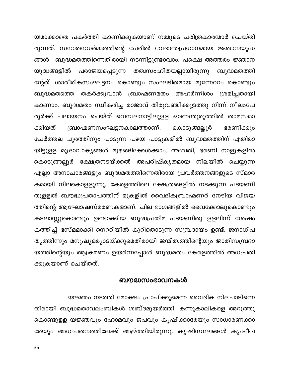യമാക്കാതെ പകർത്തി കാണിക്കുകയാണ് നമ്മുടെ ചരിത്രകാരന്മാർ ചെയ്തി രുന്നത്. സനാതനധർമ്മത്തിന്റെ പേരിൽ വേദാന്തപ്രധാനമായ ജ്ഞാനയുദ്ധ ങ്ങൾ ബുദ്ധമതത്തിന്നെതിരായി നടന്നിട്ടുണ്ടാവാം. പക്ഷെ അത്തരം ജ്ഞാന യുദ്ധങ്ങളിൽ പരാജയപ്പെടുന്ന തത്വസംഹിതയല്ലായിരുന്നു ബുദ്ധമതത്തി ന്റേത്. ശാരീരികസംഘട്ടനം കൊണ്ടും സംഘടിതമായ മുന്നേററം കൊണ്ടും ബുദ്ധമതത്തെ തകർക്കുവാൻ ബ്രാഹ്മണമതം അഹർന്നിശം ശ്രമിച്ചതായി കാണാം. ബുദ്ധമതം സ്വീകരിച്ച രാജാവ് തിരുവഞ്ചിക്കുളത്തു നിന്ന് നീലംപേ രൂർക്ക് പലായനം ചെയ്ത് വെമ്പലനാട്ടിലുളള ഓണന്തുരുത്തിൽ താമസമാ ബ്രാഹ്മണസംഘട്ടനകാലത്താണ്. ക്കിയത് കൊടുങ്ങല്ലൂർ ഭരണിക്കും ചേർത്തല പൂരത്തിനും പാടുന്ന പഴയ പാട്ടുകളിൽ ബുദ്ധമതത്തിന് എതിരാ യിട്ടുളള മുദ്രാവാക്യങ്ങൾ മുഴങ്ങിക്കേൾക്കാം. അശ്വതി, ഭരണി നാളുകളിൽ കൊടുങ്ങല്ലൂർ ക്ഷേത്രനടയ്ക്കൽ അപരിഷ്കൃതമായ നിലയിൽ ചെയ്യുന്ന എല്ലാ അനാചാരങ്ങളും ബുദ്ധമതത്തിന്നെതിരായ പ്രവർത്തനങ്ങളുടെ സ്മാര കമായി നിലകൊളളുന്നു. കേരളത്തിലെ ക്ഷേത്രങ്ങളിൽ നടക്കുന്ന പടയണി തുളളൽ ബൗദ്ധപ്രതാപത്തിന് മുകളിൽ വൈദികബ്രാഹ്മണർ നേടിയ വിജയ ത്തിന്റെ ആഘോഷസ്മരണകളാണ്. ചില ഭാഗങ്ങളിൽ വൈക്കോലുകൊണ്ടും കടലാസ്സുകൊണ്ടും ഉണ്ടാക്കിയ ബുദ്ധപ്രതിമ പടയണിതു ളളലിന്ന് ശേഷം കത്തിച്ച് ഭസ്മമാക്കി നെററിയിൽ കുറിതൊടുന്ന സമ്പ്രദായം ഉണ്ട്. ജനാധിപ ത്യത്തിന്നും മനുഷ്യമര്യാദയ്ക്കുമെതിരായി ജന്മിത്വത്തിന്റെയും ജാതിസമ്പ്രദാ യത്തിന്റെയും ആക്രമണം ഉയർന്നപ്പോൾ ബുദ്ധമതം കേരളത്തിൽ അധഃപതി ക്കുകയാണ് ചെയ്തത്.

#### ബൗദ്ധസംഭാവനകൾ

യജ്ഞം നടത്തി മോക്ഷം പ്രാപിക്കുമെന്ന വൈദിക നിലപാടിന്നെ തിരായി ബുദ്ധമതാവലംബികൾ ശബ്ദമുയർത്തി. കന്നുകാലികളെ അറുത്തു കൊണ്ടുളള യജ്ഞവും ഹോമവും ജപവും കൃഷിക്കാരേയും സാധാരണക്കാ രേയും അധഃപതനത്തിലേക്ക് ആഴ്ത്തിയിരുന്നു. കൃഷിസ്ഥലങ്ങൾ കൃഷീവ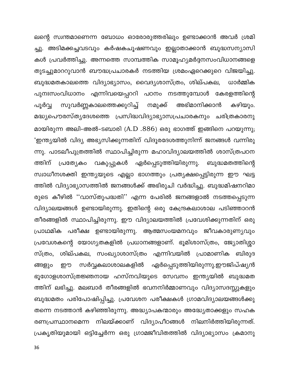ലന്റെ സ്വന്തമാണെന്ന ബോധം ഓരോരുത്തരിലും ഉണ്ടാക്കാൻ അവർ ശ്രമി ച്ചു. അടിമക്കച്ചവടവും കർഷകചൂഷണവും ഇല്ലാതാക്കാൻ ബുദ്ധസന്യാസി കൾ പ്രവർത്തിച്ചു. അന്നത്തെ സാമ്പത്തിക സാമൂഹ്യമർദ്ദനസംവിധാനങ്ങളെ തുടച്ചുമാററുവാൻ ബൗദ്ധപ്രചാരകർ നടത്തിയ ശ്രമംഏറെക്കുറെ വിജയിച്ചു. ബുദ്ധമതകാലത്തെ വിദ്യാഭ്യാസം, വൈദ്യശാസ്ത്രം, ശില്പകല, ധാർമ്മിക പുനഃസംവിധാനം എന്നിവയെപ്പററി പഠനം നടത്തുമ്പോൾ കേരളത്തിന്റെ സുവർണ്ണകാലത്തെക്കുറിച്ച് പൂർവ്വ നമുക്ക് അഭിമാനിക്കാൻ കഴിയും. മദ്ധ്യപൌരസ്ത്യദേശത്തെ പ്രസിദ്ധവിദ്യാഭ്യാസപ്രചാരകനും ചരിത്രകാരനു മായിരുന്ന അലി-അൽ-ടബാരി (A.D .886) ഒരു ഭാഗത്ത് ഇങ്ങിനെ പറയുന്നു; 'ഇന്ത്യയിൽ വിദ്യ അഭ്യസിക്കുന്നതിന് വിദൂരദേശത്തുനിന്ന് ജനങ്ങൾ വന്നിരു ന്നു. പാടലീപുത്രത്തിൽ സ്ഥാപിച്ചിരുന്ന മഹാവിദ്യാലയത്തിൽ ശാസ്ത്രപഠന ത്തിന് പ്രത്യേകാ വകുപ്പുകൾ ഏർപ്പെടുത്തിയിരുന്നു. ബുദ്ധമതത്തിന്റെ സ്വാധീനശക്തി ഇന്ത്യയുടെ എല്ലാ ഭാഗത്തും പ്രത്യക്ഷപ്പെട്ടിരുന്ന ഈ ഘട്ട ത്തിൽ വിദ്യാഭ്യാസത്തിൽ ജനങ്ങൾക്ക് അഭിരുചി വർദ്ധിച്ചു. ബുദ്ധമിഷനറിമാ രുടെ കീഴിൽ ''വാസ്തുപദ്ധതി'' എന്ന പേരിൽ ജനങ്ങളാൽ നടത്തപ്പെടുന്ന വിദ്യാലയങ്ങൾ ഉണ്ടായിരുന്നു. ഇതിന്റെ ഒരു കേന്ദ്രകലാശാല പടിഞ്ഞാറൻ തീരങ്ങളിൽ സ്ഥാപിച്ചിരുന്നു. ഈ വിദ്യാലയത്തിൽ പ്രവേശിക്കുന്നതിന് ഒരു പ്രാഥമിക പരീക്ഷ ഉണ്ടായിരുന്നു. ആത്മസംയമനവും ജീവകാരുണ്യവും പ്രവേശകന്റെ യോഗ്യതകളിൽ പ്രധാനങ്ങളാണ്. ഭൂമിശാസ്ത്രം, ജ്യോതിശ്ശാ സ്ത്രം, ശില്പകല, സംഖ്യാശാസ്ത്രം എന്നിവയിൽ പ്രാമാണിക ബിരുദ ്സർവ്വകലാശാലകളിൽ ഏർപ്പെടുത്തിയിരുന്നു.ഈജിപ്ഷ്യൻ ങ്ങളും ഈ ഭൂഗോളശാസ്ത്രജ്ഞനായ ഹസ്നവിയുടെ സേവനം ഇന്ത്യയിൽ ബുദ്ധമത ത്തിന് ലഭിച്ചു. മലബാർ തീരങ്ങളിൽ ഭവനനിർമ്മാണവും വിദ്യാസദസ്സുകളും ബുദ്ധമതം പരിപോഷിപ്പിച്ചു. പ്രവേശന പരീക്ഷകൾ ഗ്രാമവിദ്യാലയങ്ങൾക്കു തന്നെ നടത്താൻ കഴിഞ്ഞിരുന്നു. അദ്ധ്യാപകന്മാരും അദ്ധ്യേതാക്കളും സഹക രണപ്രസ്ഥാനമെന്ന നിലയ്ക്കാണ് വിദ്യാപീഠങ്ങൾ നിലനിർത്തിയിരുന്നത്. പ്രകൃതിയുമായി ഒട്ടിച്ചേർന്ന ഒരു ഗ്രാമജീവിതത്തിൽ വിദ്യാഭ്യാസം ക്രമാനു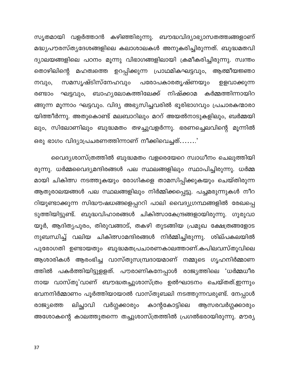സൃതമായി വളർത്താൻ കഴിഞ്ഞിരുന്നു. ബൗദ്ധവിദ്യാഭ്യാസതത്ത്വങ്ങളാണ് മദ്ധ്യപൗരസ്ത്യദേശങ്ങളിലെ കലാശാലകൾ അനുകരിച്ചിരുന്നത്. ബുദ്ധമതവി ദ്യാലയങ്ങളിലെ പഠനം മൂന്നു വിഭാഗങ്ങളിലായി ക്രമീകരിച്ചിരുന്നു. സ്വന്തം തൊഴിലിന്റെ മഹത്വത്തെ ഉറപ്പിക്കുന്ന പ്രാഥമികഘട്ടവും, ആത്മീയജ്ഞാ പരോപകാരതൃഷ്ണയും സമസൃഷ്ടിസ്നേഹവും നവും, ഉളവാക്കുന്ന ഘട്ടവും, ബാഹ്യലോകത്തിലേക്ക് നിഷ്ക്കാമ കർമ്മത്തിന്നായിറ രണ്ടാം ങ്ങുന്ന മൂന്നാം ഘട്ടവും. വിദ്യ അഭ്യസിച്ചവരിൽ ഭൂരിഭാഗവും പ്രചാരകന്മാരാ യിത്തീർന്നു. അതുകൊണ്ട് മലബാറിലും മററ് അയൽനാടുകളിലും, ബർമ്മയി ലും, സിലോണിലും ബുദ്ധമതം തഴച്ചുവളർന്നു. ഭരണച്ചെലവിന്റെ മൂന്നിൽ ഒരു ഭാഗം വിദ്യാപ്രചരണത്തിന്നാണ് നീക്കിവെച്ചത്.......'

വൈദ്യശാസ്ത്രത്തിൽ ബുദ്ധമതം വളരെയേറെ സ്വാധീനം ചെലുത്തിയി രുന്നു. ധർമ്മവൈദ്യമന്ദിരങ്ങൾ പല സ്ഥലങ്ങളിലും സ്ഥാപിച്ചിരുന്നു. ധർമ്മ മായി ചികിത്സ നടത്തുകയും രോഗികളെ താമസിപ്പിക്കുകയും ചെയ്തിരുന്ന ആതുരാലയങ്ങൾ പല സ്ഥലങ്ങളിലും നിർമ്മിക്കപ്പെട്ടു. പച്ചമരുന്നുകൾ നീറ റിയുണ്ടാക്കുന്ന സിദ്ധൗഷധങ്ങളെപ്പററി പാലി വൈദ്യഗ്രന്ഥങ്ങളിൽ രേഖപ്പെ ടുത്തിയിട്ടുണ്ട്. ബുദ്ധവിഹാരങ്ങൾ ചികിത്സാകേന്ദ്രങ്ങളായിരുന്നു. ഗുരുവാ യൂർ, ആദിതൃപുരം, തിരുവങ്ങാട്, തകഴി തുടങ്ങിയ പ്രമുഖ ക്ഷേത്രങ്ങളോട നുബന്ധിച്ച് വലിയ ചികിത്സാമന്ദിരങ്ങൾ നിർമ്മിച്ചിരുന്നു. ശില്പകലയിൽ പുരോഗതി ഉണ്ടായതും ബുദ്ധമതപ്രചാരണകാലത്താണ്.കപിലവസ്തുവിലെ ആശാരികൾ ആരംഭിച്ച വാസ്തുസമ്പ്രദായമാണ് നമ്മുടെ ഗൃഹനിർമ്മാണ ത്തിൽ പകർത്തിയിട്ടുളളത്. പൗരാണികനേപ്പാൾ രാജ്യത്തിലെ 'ധർമ്മധീര നായ വാസ്തു'വാണ് ബൗദ്ധതച്ചുശാസ്ത്രം ഉൽഘാടനം ചെയ്തത്.ഇന്നും ഭവനനിർമ്മാണം പൂർത്തിയായാൽ വാസ്തുബലി നടത്തുന്നവരുണ്ട്. നേപ്പാൾ ലിച്ഛാവി വർഗ്ഗക്കാരും കാന്റകോട്ടിലെ ആസരവർഗ്ഗക്കാരും രാജ്യത്തെ അശോകന്റെ കാലത്തുതന്നെ തച്ചുശാസ്ത്രത്തിൽ പ്രഗൽഭരായിരുന്നു. മൗര്യ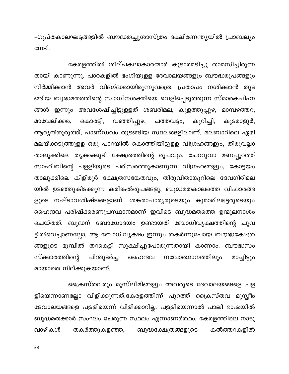-ഗുപ്തകാലഘട്ടങ്ങളിൽ ബൗദ്ധതച്ചുശാസ്ത്രം ദക്ഷിണേന്ത്യയിൽ പ്രാബല്യം നേടി.

കേരളത്തിൽ ശില്പകലാകാരന്മാർ കൂടാരമടിച്ചു താമസിച്ചിരുന്ന തായി കാണുന്നു. പാറകളിൽ ഭംഗിയുളള ദേവാലയങ്ങളും ബൗദ്ധരൂപങ്ങളും നിർമ്മിക്കാൻ അവർ വിദഗ്ദ്ധരായിരുന്നുവത്രെ. പ്രതാപം നശിക്കാൻ തുട ങ്ങിയ ബുദ്ധമതത്തിന്റെ സ്വാധീനശക്തിയെ വെളിപ്പെടുത്തുന്ന സ്മാരകചിഹ്ന ങ്ങൾ ഇന്നും അവശേഷിച്ചിട്ടുളളത് ശബരിമല, കുളത്തുപ്പുഴ, മാമ്പഴത്തറ, മാവേലിക്കര, കൊരട്ടി, വഞ്ഞിപ്പുഴ, ചത്തവട്ടം, കുറിച്ചി, കുടമാളൂർ, ആര്യൻതുരുത്ത്, പാണ്ഡവം തുടങ്ങിയ സ്ഥലങ്ങളിലാണ്. മലബാറിലെ ഏഴി മലയ്ക്കടുത്തുളള ഒരു പാറയിൽ കൊത്തിയിട്ടുളള വിഗ്രഹങ്ങളും, തിരുവല്ലാ താലൂക്കിലെ തൃക്കക്കുടി ക്ഷേത്രത്തിന്റെ രൂപവും, ചേററുവാ മണപ്പുറത്ത് സാഹിബിന്റെ പളളിയുടെ പരിസരത്തുകാണുന്ന വിഗ്രഹങ്ങളും, കോട്ടയം താലൂക്കിലെ കിളിരൂർ ക്ഷേത്രസങ്കേതവും, തിരുവിതാങ്കൂറിലെ ദേവഗിരിമല യിൽ ഉടഞ്ഞുകിടക്കുന്ന കരിങ്കൽരൂപങ്ങളു, ബുദ്ധമതകാലത്തെ വിഹാരങ്ങ ളുടെ നഷ്ടാവശിഷ്ടങ്ങളാണ്. ശങ്കരാചാര്യരുടെയും കുമാരിലഭട്ടരുടെയും ഹൈന്ദവ പരിഷ്ക്കരണപ്രസ്ഥാനമാണ് ഇവിടെ ബുദ്ധമതത്തെ ഉന്മൂലനാശം ചെയ്തത്. ബുദ്ധന് ബോധോദയം ഉണ്ടായത് ബോധിവൃക്ഷത്തിന്റെ ചുവ ട്ടിൽവെച്ചാണല്ലോ. ആ ബോധിവൃക്ഷം ഇന്നും തകർന്നുപോയ ബൗദ്ധക്ഷേത്ര ങ്ങളുടെ മുമ്പിൽ തറകെട്ടി സൂക്ഷിച്ചുപോരുന്നതായി കാണാം. ബൗദ്ധസം സ്ക്കാരത്തിന്റെ പിന്തുടർച്ച മാച്ചിട്ടും ഹൈന്ദവ നവോത്ഥാനത്തിലും മായാതെ നില്ക്കുകയാണ്.

ക്രൈസ്തവരും മുസ്ലീമിങ്ങളും അവരുടെ ദേവാലയങ്ങളെ പള ളിയെന്നാണല്ലോ വിളിക്കുന്നത്.കേരളത്തിന്ന് പുറത്ത് ക്രൈസ്തവ മുസ്ലീം ദേവാലയങ്ങളെ പളളിയെന്ന് വിളിക്കാറില്ല. പളളിയെന്നാൽ പാലി ഭാഷയിൽ ബുദ്ധമതക്കാർ സംഘം ചേരുന്ന സ്ഥലം എന്നാണർത്ഥം. കേരളത്തിലെ നാടു വാഴികൾ തകർത്തുകളഞ്ഞ, ബുദ്ധക്ഷേത്രങ്ങളുടെ കൽത്തറകളിൽ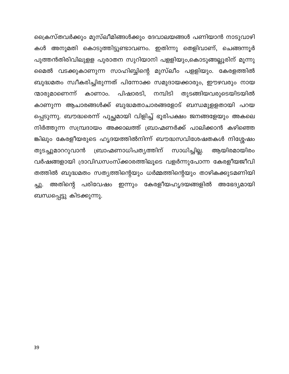ക്രൈസ്തവർക്കും മുസ്ലീമിങ്ങൾക്കും ദേവാലയങ്ങൾ പണിയാൻ നാടുവാഴി കൾ അനുമതി കൊടുത്തിട്ടുണ്ടാവണം. ഇതിന്നു തെളിവാണ്, ചെങ്ങന്നൂർ പുത്തൻതിരിവിലുളള പുരാതന സുറിയാനി പളളിയും,കൊടുങ്ങല്ലൂരിന് മൂന്നു മൈൽ വടക്കുകാണുന്ന സാഹിബ്ബിന്റെ മുസ്ലീം പളളിയും. കേരളത്തിൽ ബുദ്ധമതം സ്വീകരിച്ചിരുന്നത് പിന്നോക്ക സമുദായക്കാരും, ഈഴവരും നായ ന്മാരുമാണെന്ന് പിഷാരടി, നമ്പിടി തുടങ്ങിയവരുടെയിടയിൽ കാണാം. കാണുന്ന ആചാരങ്ങൾക്ക് ബുദ്ധമതാചാരങ്ങളോട് ബന്ധമുളളതായി പറയ പ്പെടുന്നു. ബൗദ്ധരെന്ന് പുച്ഛമായി വിളിച്ച് ഭൂരിപക്ഷം ജനങ്ങളേയും അകലെ നിർത്തുന്ന സമ്പ്രദായം അക്കാലത്ത് ബ്രാഹ്മണർക്ക് പാലിക്കാൻ കഴിഞ്ഞെ ങ്കിലും കേരളീയരുടെ ഹൃദയത്തിൽനിന്ന് ബൗദ്ധസവിശേഷതകൾ നിശ്ശേഷം സാധിച്ചില്ല. ബ്രാഹ്മണാധിപതൃത്തിന് തുടച്ചുമാററുവാൻ ആയിരമായിരം വർഷങ്ങളായി ദ്രാവിഡസംസ്ക്കാരത്തിലൂടെ വളർന്നുപോന്ന കേരളീയജീവി തത്തിൽ ബുദ്ധമതം സത്യത്തിന്റെയും ധർമ്മത്തിന്റെയും താഴികക്കുടമണിയി ഇന്നും കേരളീയഹൃദയങ്ങളിൽ അഭേദ്യമായി അതിന്റെ പരിവേഷം ച്ചു. ബന്ധപ്പെട്ടു കിടക്കുന്നു.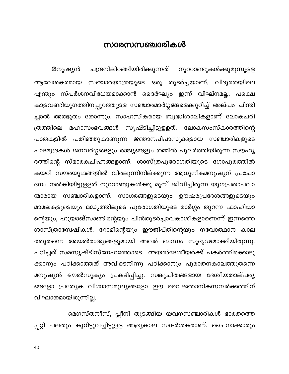## സാരസസഞ്ചാരികൾ

ചന്ദ്രനിലിറങ്ങിയിരിക്കുന്നത് **മ**നുഷ്യൻ നൂററാണ്ടുകൾക്കുമുമ്പുളള സഞ്ചാരയാത്രയുടെ ഒരു തുടർച്ചയാണ്. വിദൂരതയിലെ ആവേശകരമായ എന്തും സ്പർശനവിധേയമാക്കാൻ ദൈർഘ്യം ഇന്ന് വിഘ്നമല്ല. പക്ഷെ കാളവണ്ടിയുഗത്തിനപ്പുറത്തുളള സഞ്ചാരമാർഗ്ഗങ്ങളെക്കുറിച്ച് അല്പം ചിന്തി ച്ചാൽ അത്ഭുതം തോന്നും. സാഹസികരായ ബുദ്ധിശാലികളാണ് ലോകചരി മഹാസംഭവങ്ങൾ സൃഷ്ടിച്ചിട്ടുളളത്. ലോകസംസ്കാരത്തിന്റെ ത്രത്തിലെ പാതകളിൽ പതിഞ്ഞുകാണുന്ന ജ്ഞാനപിപാസുക്കളായ സഞ്ചാരികളുടെ പാദമുദ്രകൾ ജനവർഗ്ഗങ്ങളും രാജ്യങ്ങളും തമ്മിൽ പുലർത്തിയിരുന്ന സൗഹൃ ദത്തിന്റെ സ്മാരകചിഹ്നങ്ങളാണ്. ശാസ്ത്രപുരോഗതിയുടെ ഗോപുരത്തിൽ കയറി സൗരയൂഥങ്ങളിൽ വിരലൂന്നിനില്ക്കുന്ന ആധുനികമനുഷ്യന് പ്രചോ ദനം നൽകിയിട്ടുളളത് നൂററാണ്ടുകൾക്കു മുമ്പ് ജീവിച്ചിരുന്ന യുഗപ്രതാപവാ ന്മാരായ സഞ്ചാരികളാണ്. സാഗരങ്ങളുടെയും ഊഷരപ്രദേശങ്ങളുടെയും മാമലകളുടെയും മദ്ധ്യത്തിലൂടെ പുരോഗതിയുടെ മാർഗ്ഗം തുറന്ന ഫാഹിയാ ന്റെയും, ഹുയാങ്സാങ്ങിന്റെയും പിൻതുടർച്ചാവകാശികളാണെന്ന് ഇന്നത്തെ ശാസ്ത്രാന്വേഷികൾ. റോമിന്റെയും ഈജിപ്തിന്റെയും നവോത്ഥാന കാല ത്തുതന്നെ അയൽരാജ്യങ്ങളുമായി അവർ ബന്ധം സുദൃഢമാക്കിയിരുന്നു. പഠിച്ചത് സമസൃഷ്ടിസ്നേഹത്തോടെ അയൽദേശീയർക്ക് പകർത്തിക്കൊടു ക്കാനും പഠിക്കാത്തത് അവിടെനിന്നു പഠിക്കാനും പുരാതനകാലത്തുതന്നെ മനുഷ്യൻ ഔൽസുക്യം പ്രകടിപ്പിച്ചു. സങ്കുചിതങ്ങളായ ദേശീയതാല്പര്യ ങ്ങളോ പ്രത്യേക വിശ്വാസമൂല്യങ്ങളോ ഈ വൈജ്ഞാനികസമ്പർക്കത്തിന് വിഘാതമായിരുന്നില്ല.

മെഗസ്തനീസ്, പ്ലീനി തുടങ്ങിയ യവനസഞ്ചാരികൾ ഭാരതത്തെ പ്പറ്റി പലതും കുറിട്ടുവച്ചിട്ടുളള ആദ്യകാല സന്ദർശകരാണ്. ചൈനാക്കാരും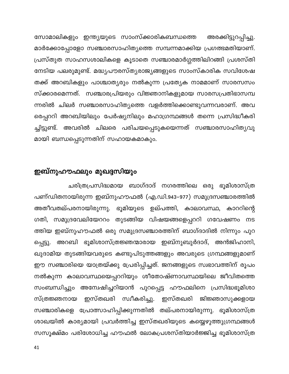സോമാലികളും ഇന്ത്യയുടെ സാംസ്ക്കാരികബന്ധത്തെ അരക്കിട്ടുറപ്പിച്ചു. മാർക്കോപ്പോളോ സഞ്ചാരസാഹിത്യത്തെ സമ്പന്നമാക്കിയ പ്രഗത്ഭമതിയാണ്. പ്രസ്തുത സാഹസശാലികളെ കൂടാതെ സഞ്ചാരമാർഗ്ഗത്തിലിറങ്ങി പ്രശസ്തി നേടിയ പലരുമുണ്ട്. മദ്ധ്യപൗരസ്ത്യരാജ്യങ്ങളുടെ സാംസ്കാരിക സവിശേഷ തക്ക് അറബികളും പാശ്ചാതൃരും നൽകുന്ന പ്രത്യേക നാമമാണ് സാരസസം സ്ക്കാരമെന്നത്. സഞ്ചാരപ്രിയരും വിജ്ഞാനികളുമായ സാരസപ്രതിഭാസമ്പ ന്നരിൽ ചിലർ സഞ്ചാരസാഹിത്യത്തെ വളർത്തിക്കൊണ്ടുവന്നവരാണ്. അവ രെപ്പററി അറബിയിലും പേർഷ്യനിലും മഹാഗ്രന്ഥങ്ങൾ തന്നെ പ്രസിദ്ധീകരി ച്ചിട്ടുണ്ട്. അവരിൽ ചിലരെ പരിചയപ്പെടുകയെന്നത് സഞ്ചാരസാഹിത്യവു മായി ബന്ധപ്പെടുന്നതിന് സഹായകമാകും.

## ഇബ്നുഹൗഫലും മുഖദ്ദസിയും

ചരിത്രപ്രസിദ്ധമായ ബാഗ്ദാദ് നഗരത്തിലെ ഒരു ഭൂമിശാസ്ത്ര പണ്ഡിതനായിരുന്ന ഇബ്നുഹൗഫൽ (എ.ഡി.943–977) സമുദ്രസഞ്ചാരത്തിൽ അതീവതല്പരനായിരുന്നു. ഭൂമിയുടെ ഉല്പത്തി, കാലാവസ്ഥ, കാററിന്റെ ഗതി, സമുദ്രവേലിയേററം തുടങ്ങിയ വിഷയങ്ങളെപ്പററി ഗവേഷണം നട ത്തിയ ഇബ്നുഹൗഫൽ ഒരു സമുദ്രസഞ്ചാരത്തിന് ബാഗ്ദാദിൽ നിന്നും പുറ അറബി ഭൂമിശാസ്ത്രജ്ഞന്മാരായ ഇബ്നുബുർദാദ്, അൻജിഹാനി, പ്പെട്ടു. ഖുദാമിയ തുടങ്ങിയവരുടെ കണ്ടുപിടുത്തങ്ങളും അവരുടെ ഗ്രന്ഥങ്ങളുമാണ് ഈ സഞ്ചാരിയെ യാത്രയ്ക്കു പ്രേരിപ്പിച്ചത്. ജനങ്ങളുടെ സ്വഭാവത്തിന് രൂപം നൽകുന്ന കാലാവസ്ഥയെപ്പററിയും ശീതോഷ്ണാവസ്ഥയിലെ ജീവിതത്തെ സംബന്ധിച്ചും അന്വേഷിച്ചറിയാൻ പുറപ്പെട്ട ഹൗഫലിനെ പ്രസിദ്ധഭൂമിശാ ഇസ്തഖരി സ്വീകരിച്ചു. ഇസ്തഖരി ജിജ്ഞാസുക്കളായ സ്ത്രജ്ഞനായ സഞ്ചാരികളെ പ്രോത്സാഹിപ്പിക്കുന്നതിൽ തല്പരനായിരുന്നു. ഭൂമിശാസ്ത്ര ശാഖയിൽ കാര്യമായി പ്രവർത്തിച്ച ഇസ്തഖരിയുടെ കയ്യെഴുത്തുഗ്രന്ഥങ്ങൾ സസൂക്ഷ്മം പരിശോധിച്ച ഹൗഫൽ ലോകപ്രശസ്തിയാർജ്ജിച്ച ഭൂമിശാസ്ത്ര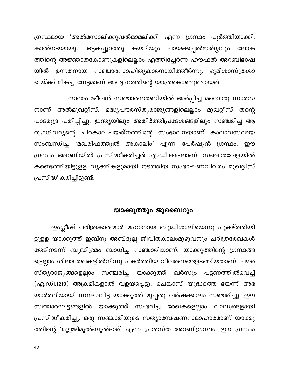ഗ്രന്ഥമായ 'അൽമസാലിക്കുവൽമാമലിക്ക്' എന്ന ഗ്രന്ഥം പൂർത്തിയാക്കി. കാൽനടയായും ഒട്ടകപ്പുറത്തു കയറിയും പായക്കപ്പൽമാർഗ്ഗവും ലോക ത്തിന്റെ അജ്ഞാതകോണുകളിലെല്ലാം എത്തിച്ചേർന്ന ഹൗഫൽ അറബിഭാഷ യിൽ ഉന്നതനായ സഞ്ചാരസാഹിത്യകാരനായിത്തീർന്നു. ഭൂമിശാസ്ത്രശാ ഖയ്ക്ക് മികച്ച നേട്ടമാണ് അദ്ദേഹത്തിന്റെ യാത്രകൊണ്ടുണ്ടായത്.

സ്വന്തം ജീവൻ സഞ്ചാരസരണിയിൽ അർപ്പിച്ച മറെറാരു സാരസ നാണ് അൽമുഖദ്ദീസ്. മദ്ധ്യപൗരസ്ത്യരാജ്യങ്ങളിലെല്ലാം മുഖദ്ദീസ് തന്റെ പാദമുദ്ര പതിപ്പിച്ചു. ഇന്ത്യയിലും അതിർത്തിപ്രദേശങ്ങളിലും സഞ്ചരിച്ച ആ ത്യാഗിവര്യന്റെ ചിരകാലപ്രയത്നത്തിന്റെ സംഭാവനയാണ് കാലാവസ്ഥയെ സംബന്ധിച്ച 'മഖരിഫത്തുൽ അകാലിം' എന്ന പേർഷ്യൻ ഗ്രന്ഥം. ഈ ഗ്രന്ഥം അറബിയിൽ പ്രസിദ്ധീകരിച്ചത് ഏ.ഡി.985–ലാണ്. സഞ്ചാരവേളയിൽ കണ്ടെത്തിയിട്ടുളള വ്യക്തികളുമായി നടത്തിയ സംഭാഷണവിവരം മുഖദ്ദീസ് പ്രസിദ്ധീകരിച്ചിട്ടുണ്ട്.

#### യാക്കൂത്തും ജൂബൈറും

ഇംഗ്ലീഷ് ചരിത്രകാരന്മാർ മഹാനായ ബുദ്ധിശാലിയെന്നു പുകഴ്ത്തിയി ട്ടുളള യാക്കൂത്ത് ഇബ്നു അബ്ദുല്ല ജീവിതകാലംമുഴുവനും ചരിത്രരേഖകൾ തേടിനടന്ന് ബുദ്ധിഭ്രമം ബാധിച്ച സഞ്ചാരിയാണ്. യാക്കൂത്തിന്റെ ഗ്രന്ഥങ്ങ ളെല്ലാം ശിലാരേഖകളിൽനിന്നു പകർത്തിയ വിവരണങ്ങളടങ്ങിയതാണ്. പൗര സ്ത്യരാജ്യങ്ങളെല്ലാം സഞ്ചരിച്ച യാക്കൂത്ത് ഖർസും പട്ടണത്തിൽവെച്ച് (ഏ.ഡി.1219) അക്രമികളാൽ വളയപ്പെട്ടു. ചെങ്കാസ് യുദ്ധത്തെ ഭയന്ന് അഭ യാർത്ഥിയായി സ്ഥലംവിട്ട യാക്കൂത്ത് മുപ്പതു വർഷക്കാലം സഞ്ചരിച്ചു. ഈ സഞ്ചാരഘട്ടങ്ങളിൽ യാക്കൂത്ത് സംഭരിച്ച രേഖകളെല്ലാം വാല്യങ്ങളായി പ്രസിദ്ധീകരിച്ചു. ഒരു സഞ്ചാരിയുടെ സത്യാന്വേഷണസമാഹാരമാണ് യാക്കൂ ത്തിന്റെ 'മുഉജിമുൽബുൽദാർ' എന്ന പ്രശസ്ത അറബിഗ്രന്ഥം. ഈ ഗ്രന്ഥം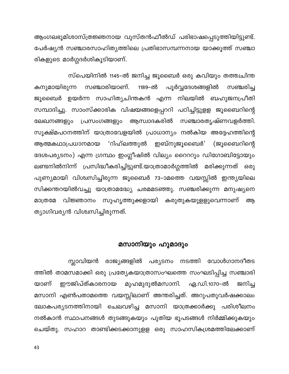ആംഗലഭൂമിശാസ്ത്രജ്ഞനായ വുസ്തൻഫീൽഡ് പരിഭാഷപ്പെടുത്തിയിട്ടുണ്ട്. പേർഷ്യൻ സഞ്ചാരസാഹിത്യത്തിലെ പ്രതിഭാസമ്പന്നനായ യാക്കൂത്ത് സഞ്ചാ രികളുടെ മാർഗ്ഗദർശികൂടിയാണ്.

സ്പെയിനിൽ 1145–ൽ ജനിച്ച ജൂബൈർ ഒരു കവിയും തത്ത്വചിന്ത പൂർവ്വദേശങ്ങളിൽ സഞ്ചാരിയാണ്. 1189-ൽ കനുമായിരുന്ന സഞ്ചരിച്ച ജൂബൈർ ഉയർന്ന സാഹിത്യചിന്തകൻ എന്ന നിലയിൽ ബഹുജനപ്രീതി സമ്പാദിച്ചു. സാംസ്ക്കാരിക വിഷയങ്ങളെപ്പററി പഠിച്ചിട്ടുളള ജൂബൈറിന്റെ പ്രസംഗങ്ങളും ആസ്വാദകരിൽ സഞ്ചാരതൃഷ്ണവളർത്തി. ലേഖനങ്ങളും സൂക്ഷ്മപഠനത്തിന് യാത്രാവേളയിൽ പ്രാധാന്യം നൽകിയ അദ്ദേഹത്തിന്റെ 'റിഹ്ലത്തുൽ ഇബ്നുജൂബൈർ' (ജൂബൈറിന്റെ ആത്മകഥാപ്രധാനമായ ദേശപര്യടനം) എന്ന ഗ്രന്ഥം ഇംഗ്ലീഷിൽ വില്യം റൈററും ഡിഗോബിട്ടോയും ലണ്ടനിൽനിന്ന് പ്രസിദ്ധീകരിച്ചിട്ടുണ്ട്.യാത്രാമാർഗ്ഗത്തിൽ മരിക്കുന്നത് ഒരു പുണ്യമായി വിശ്വസിച്ചിരുന്ന ജൂബൈർ 73–ാമത്തെ വയസ്സിൽ ഇന്ത്യയിലെ സിക്കന്തറയിൽവച്ചു യാത്രാമദ്ധ്യേ ചരമമടഞ്ഞു. സഞ്ചരിക്കുന്ന മനുഷ്യനെ വിജ്ഞാനം സുഹൃത്തുക്കളായി കരുതുകയുളളുവെന്നാണ് മാത്രമേ ആ ത്യാഗിവര്യൻ വിശ്വസിച്ചിരുന്നത്.

## മസാനിയും ഹുമാദും

സ്ലാവിയൻ രാജ്യങ്ങളിൽ പര്യടനം നടത്തി വോൾഗാനദീതട ത്തിൽ താമസമാക്കി ഒരു പ്രത്യേകയാത്രാസംഘത്തെ സംഘടിപ്പിച്ച സഞ്ചാരി മുഹമുദുൽമസാനി. ഈജിപ്ത്കാരനായ ഏ.ഡി.1070–ൽ യാണ് ജനിച്ച മസാനി എൺപതാമത്തെ വയസ്സിലാണ് അന്തരിച്ചത്. അറുപതുവർഷക്കാലം ലോകപര്യടനത്തിനായി ചെലവഴിച്ച മസാനി യാത്രക്കാർക്കു പരിശീലനം നൽകാൻ സ്ഥാപനങ്ങൾ തുടങ്ങുകയും പുതിയ ഭൂപടങ്ങൾ നിർമ്മിക്കുകയും ചെയ്തു. സഹാറ താണ്ടിക്കടക്കാനുളള ഒരു സാഹസികശ്രമത്തിലേക്കാണ്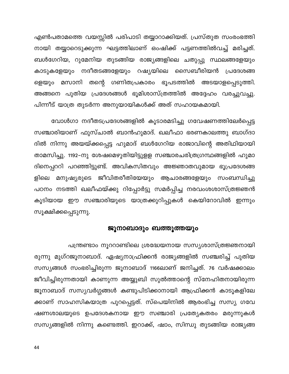എൺപതാമത്തെ വയസ്സിൽ പരിപാടി തയ്യാറാക്കിയത്. പ്രസ്തുത സംരംഭത്തി നായി തയ്യാറെടുക്കുന്ന ഘട്ടത്തിലാണ് ഒംഷിക്ക് പട്ടണത്തിൽവച്ച് മരിച്ചത്. ബൾഗേറിയ, റുമേനിയ തുടങ്ങിയ രാജ്യങ്ങളിലെ ചതുപ്പു സ്ഥലങ്ങളേയും കാടുകളേയും നദീതടങ്ങളേയും റഷ്യയിലെ സൈബീരിയൻ പ്രദേശങ്ങ മസാനി തന്റെ ഗണിതപ്രകാരം ഭൂപടത്തിൽ അടയാളപ്പെടുത്തി. ളെയും അങ്ങനെ പുതിയ പ്രദേശങ്ങൾ ഭൂമിശാസ്ത്രത്തിൽ അദ്ദേഹം വരച്ചുവച്ചു. പിന്നീട് യാത്ര തുടർന്ന അനുയായികൾക്ക് അത് സഹായകമായി.

വോൾഗാ നദീതടപ്രദേശങ്ങളിൽ കൂടാരമടിച്ചു ഗവേഷണത്തിലേർപ്പെട്ട സഞ്ചാരിയാണ് ഫുസ്ചാൽ ബാൻഹുമാദ്. ഖലീഫാ ഭരണകാലത്തു ബാഗ്ദാ ദിൽ നിന്നു അയയ്ക്കപ്പെട്ട ഹുമാദ് ബൾഗേറിയ രാജാവിന്റെ അതിഥിയായി താമസിച്ചു. 1192–നു ശേഷമെഴുതിയിട്ടുളള സഞ്ചാരചരിത്രഗ്രന്ഥങ്ങളിൽ ഹുമാ ദിനെപ്പററി പറഞ്ഞിട്ടുണ്ട്. അവികസിതവും അജ്ഞാതവുമായ ഭൂപ്രദേശങ്ങ ളിലെ മനുഷ്യരുടെ ജീവിതരീതിയേയും ആചാരങ്ങളേയും സംബന്ധിച്ചു പഠനം നടത്തി ഖലീഫയ്ക്കു റിപ്പോർട്ടു സമർപ്പിച്ച നരവംശശാസ്ത്രജ്ഞൻ കൂടിയായ ഈ സഞ്ചാരിയുടെ യാത്രക്കുറിപ്പുകൾ കെയിറോവിൽ ഇന്നും സൂക്ഷിക്കപ്പെടുന്നു.

## ജൂനാബാദും ബത്തൂത്തയും

പന്ത്രണ്ടാം നൂററാണ്ടിലെ ശ്രദ്ധേയനായ സസ്യശാസ്ത്രജ്ഞനായി രുന്നു മുഗ്റജൂനാബാദ്. ഏഷ്യനാഫ്രിക്കൻ രാജ്യങ്ങളിൽ സഞ്ചരിച്ച് പുതിയ സസ്യങ്ങൾ സംഭരിച്ചിരുന്ന ജൂനാബാദ് 1166ലാണ് ജനിച്ചത്. 76 വർഷക്കാലം ജീവിച്ചിരുന്നതായി കാണുന്ന അയ്യുബി സുൽത്താന്റെ സ്നേഹിതനായിരുന്ന ജൂനാബാദ് സസ്യവർഗ്ഗങ്ങൾ കണ്ടുപിടിക്കാനായി ആഫ്രിക്കൻ കാടൂകളിലേ ക്കാണ് സാഹസികയാത്ര പുറപ്പെട്ടത്. സ്പെയിനിൽ ആരംഭിച്ച സസ്യ ഗവേ ഷണശാലയുടെ ഉപദേശകനായ ഈ സഞ്ചാരി പ്രത്യേകതരം മരുന്നുകൾ സസ്യങ്ങളിൽ നിന്നു കണ്ടെത്തി. ഇറാക്ക്, ഷാം, സിന്ധു തുടങ്ങിയ രാജ്യങ്ങ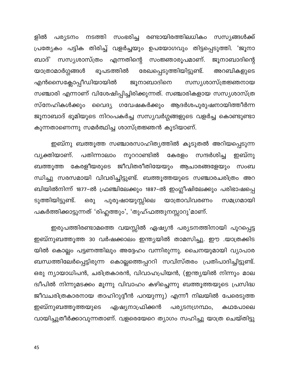പര്യടനം നടത്തി സംഭരിച്ച രണ്ടായിരത്തിലധികം സസ്യങ്ങൾക്ക് ളിൽ പ്രത്യേകം പട്ടിക തിരിച്ച് വളർച്ചയും ഉപയോഗവും തിട്ടപ്പെടുത്തി. 'ജൂനാ ബാദ്' സസ്യശാസ്ത്രം എന്നതിന്റെ സംജ്ഞാരൂപമാണ്. ജൂനാബാദിന്റെ ഭൂപടത്തിൽ യാത്രാമാർഗ്ഗങ്ങൾ രേഖപ്പെടുത്തിയിട്ടുണ്ട്. അറബികളുടെ എൻസൈക്ലോപ്പീഡിയായിൽ ജൂനാബാദിനെ സസ്യശാസ്ത്രജ്ഞനായ സഞ്ചാരി എന്നാണ് വിശേഷിപ്പിച്ചിരിക്കുന്നത്. സഞ്ചാരികളായ സസ്യശാസ്ത്ര സ്നേഹികൾക്കും വൈദ്യ ഗവേഷകർക്കും ആദർശപുരുഷനായിത്തീർന്ന ജൂനാബാദ് ഭൂമിയുടെ നിറംപകർച്ച സസ്യവർഗ്ഗങ്ങളുടെ വളർച്ച കൊണ്ടുണ്ടാ കുന്നതാണെന്നു സമർത്ഥിച്ച ശാസ്ത്രജ്ഞൻ കൂടിയാണ്.

ഇബ്നു ബത്തൂത്ത സഞ്ചാരസാഹിത്യത്തിൽ കൂടുതൽ അറിയപ്പെടുന്ന പതിന്നാലാം വ്യക്തിയാണ്. നൂററാണ്ടിൽ കേരളം സന്ദർശിച്ച ഇബ്നു ബത്തൂത്ത കേരളീയരുടെ ജീവിതരീതിയേയും ആചാരങ്ങളേയും സംബ ന്ധിച്ചു സരസമായി വിവരിച്ചിട്ടുണ്ട്. ബത്തൂത്തയുടെ സഞ്ചാരചരിത്രം അറ ബിയിൽനിന്ന് 1877–ൽ ഫ്രഞ്ചിലേക്കും 1887–ൽ ഇംഗ്ലീഷിലേക്കും പരിഭാഷപ്പെ ടുത്തിയിട്ടുണ്ട്. പുരുഷായുസ്സിലെ യാത്രാവിവരണം ഒരു സമഗ്രമായി പകർത്തിക്കാട്ടുന്നത് 'രിഹ്ലത്തും', 'തുഹ്ഫത്തുനസ്സാറു'മാണ്.

ഇരുപത്തിരണ്ടാമത്തെ വയസ്സിൽ ഏഷ്യൻ പര്യടനത്തിനായി പുറപ്പെട്ട ഇബ്നുബത്തൂത്ത 30 വർഷക്കാലം ഇന്ത്യയിൽ താമസിച്ചു. ഈ .യാത്രക്കിട യിൽ കൊല്ലം പട്ടണത്തിലും അദ്ദേഹം വന്നിരുന്നു. ചൈനയുമായി വ്യാപാര ബന്ധത്തിലേർപ്പെട്ടിരുന്ന കൊല്ലത്തെപ്പററി സവിസ്തരം പ്രതിപാദിച്ചിട്ടുണ്ട്. ഒരു ന്യായാധിപൻ, ചരിത്രകാരൻ, വിവാഹപ്രിയൻ, (ഇന്ത്യയിൽ നിന്നും മാല ദ്വീപിൽ നിന്നുമടക്കം മൂന്നു വിവാഹം കഴിച്ചെന്നു ബത്തൂത്തയുടെ പ്രസിദ്ധ ജീവചരിത്രകാരനായ താഹിറുദ്ദീൻ പറയുന്നു) എന്നീ നിലയിൽ പേരെടുത്ത ഏഷ്യനാഫ്രിക്കൻ ഇബ്നുബത്തൂത്തയുടെ പര്യടനഗ്രന്ഥം, കഥപോലെ വായിച്ചുതീർക്കാവുന്നതാണ്. വളരെയേറെ ത്യാഗം സഹിച്ചു യാത്ര ചെയ്തിട്ടു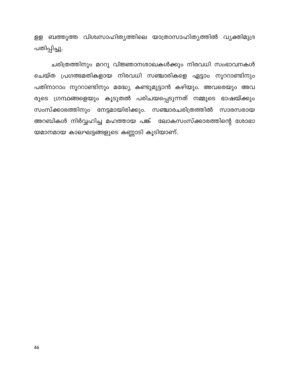ളള ബത്തൂത്ത വിശ്വസാഹിത്യത്തിലെ യാത്രാസാഹിത്യത്തിൽ വ്യക്തിമുദ്ര പതിപ്പിച്ചു.

ചരിത്രത്തിനും മററു വിജ്ഞാനശാഖകൾക്കും നിരവധി സംഭാവനകൾ ചെയ്ത പ്രഗത്ഭമതികളായ നിരവധി സഞ്ചാരികളെ ഏട്ടാം നൂററാണ്ടിനും പതിനാറാം നൂററാണ്ടിനും മദ്ധ്യേ കണ്ടുമുട്ടാൻ കഴിയും. അവരെയും അവ രുടെ ഗ്രന്ഥങ്ങളെയും കൂടുതൽ പരിചയപ്പെടുന്നത് നമ്മുടെ ഭാഷയ്ക്കും സംസ്ക്കാരത്തിനും നേട്ടമായിരിക്കും. സഞ്ചാരചരിത്രത്തിൽ സാരസരായ അറബികൾ നിർവ്വഹിച്ച മഹത്തായ പങ്ക് ലോകസംസ്ക്കാരത്തിന്റെ ശോഭാ യമാനമായ കാലഘട്ടങ്ങളുടെ കണ്ണാടി കൂടിയാണ്.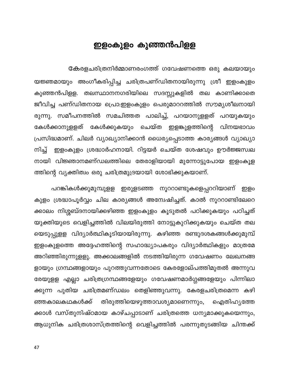# ഇളംകുളം കുഞ്ഞൻപിളള

കേരളചരിത്രനിർമ്മാണരംഗത്ത് ഗവേഷണത്തെ ഒരു കലയായും യജ്ഞമായും അംഗീകരിപ്പിച്ച ചരിത്രപണ്ഡിതനായിരുന്നു ശ്രീ ഇളംകുളം കുഞ്ഞൻപിളള. തലസ്ഥാനനഗരിയിലെ സദസ്സുകളിൽ തല കാണിക്കാതെ ജീവിച്ച പണ്ഡിതനായ പ്രൊ:ഇളംകുളം പെരുമാററത്തിൽ സൗമൃശീലനായി രുന്നു. സമീപനത്തിൽ സമചിത്തത പാലിച്ച്, പറയാനുളളത് പറയുകയും കേൾക്കാനുളളത് കേൾക്കുകയും ചെയ്ത ഇളങ്കുളത്തിന്റെ വിനയഭാവം പ്രസിദ്ധമാണ്. ചിലർ വ്യാഖ്യാനിക്കാൻ ധൈര്യപ്പെടാത്ത കാര്യങ്ങൾ വ്യാഖ്യാ ഇളംകുളം ശ്രദ്ധാർഹനായി. റിട്ടയർ ചെയ്ത ശേഷവും ഊർജ്ജസ്വല നിച്ച് നായി വിജ്ഞാനമണ്ഡലത്തിലെ തേരാളിയായി മുന്നോട്ടുപോയ ഇളംകൂള ത്തിന്റെ വ്യക്തിത്വം ഒരു ചരിത്രമുദ്രയായി ശോഭിക്കുകയാണ്.

പറങ്കികൾക്കുമുമ്പുളള ഇരുളടഞ്ഞ നൂററാണ്ടുകളെപ്പററിയാണ് ഇളം കുളം ശ്രദ്ധാപൂർവ്വം ചില കാര്യങ്ങൾ അന്വേഷിച്ചത്. കാൽ നൂററാണ്ടിലേറെ ക്കാലം നിശ്ശബ്ദനായിക്കഴിഞ്ഞ ഇളംകുളം കൂടുതൽ പഠിക്കുകയും പഠിച്ചത് യുക്തിയുടെ വെളിച്ചത്തിൽ വിലയിരുത്തി നോട്ടുകുറിക്കുകയും ചെയ്ത തല യെടുപ്പുളള വിദ്യാർത്ഥികൂടിയായിരുന്നു. കഴിഞ്ഞ രണ്ടുദശകങ്ങൾക്കുമുമ്പ് ഇളംകുളത്തെ അദ്ദേഹത്തിന്റെ സഹാദ്ധ്യാപകരും വിദ്യാർത്ഥികളും മാത്രമേ അറിഞ്ഞിരുന്നുളളു. അക്കാലങ്ങളിൽ നടത്തിയിരുന്ന ഗവേഷണം ലേഖനങ്ങ ളായും ഗ്രന്ഥങ്ങളായും പുറത്തുവന്നതോടെ കേരളോല്പത്തിമുതൽ അന്നുവ രേയുളള എല്ലാ ചരിത്രഗ്രന്ഥങ്ങളേയും ഗവേഷണമാർഗ്ഗങ്ങളേയും പിന്നിലാ ക്കുന്ന പുതിയ ചരിത്രമണ്ഡലം തെളിഞ്ഞുവന്നു. കേരളചരിത്രമെന്ന കഴി തിരുത്തിയെഴുത്താവശ്യമാണെന്നും, ഞ്ഞകാലകഥകൾക്ക് ഐതിഹ്യത്തേ ക്കാൾ വസ്തുനിഷ്ഠമായ കാഴ്ചപ്പാടാണ് ചരിത്രത്തെ ധന്യമാക്കുകയെന്നും, ആധുനിക ചരിത്രശാസ്ത്രത്തിന്റെ വെളിച്ചത്തിൽ പരന്നുതുടങ്ങിയ ചിന്തക്ക്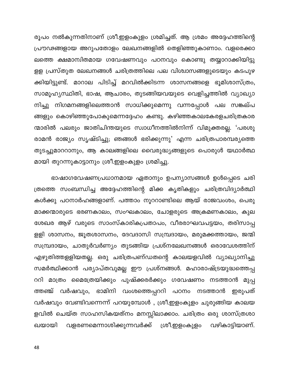രൂപം നൽകുന്നതിനാണ് ശ്രീ.ഇളംകുളം ശ്രമിച്ചത്. ആ ശ്രമം അദ്ദേഹത്തിന്റെ പ്രൗഢങ്ങളായ അറുപതോളം ലേഖനങ്ങളിൽ തെളിഞ്ഞുകാണാം. വളരെക്കാ ലത്തെ ക്ഷമാന്വിതമായ ഗവേഷണവും പഠനവും കൊണ്ടു തയ്യാറാക്കിയിട്ടു ളള പ്രസ്തുത ലേഖനങ്ങൾ ചരിത്രത്തിലെ പല വിശ്വാസങ്ങളുടെയും കടപുഴ ക്കിയിട്ടുണ്ട്. മാറാല പിടിച്ച് മറവിൽക്കിടന്ന ശാസനങ്ങളെ ഭൂമിശാസ്ത്രം, സാമൂഹ്യസ്ഥിതി, ഭാഷ, ആചാരം, തുടങ്ങിയവയുടെ വെളിച്ചത്തിൽ വ്യാഖ്യാ നിച്ചു നിഗമനങ്ങളിലെത്താൻ സാധിക്കുമെന്നു വന്നപ്പോൾ പല സങ്കല്പ ങ്ങളും കൊഴിഞ്ഞുപോകുമെന്നദ്ദേഹം കണ്ടു. കഴിഞ്ഞകാലകേരളചരിത്രകാര ന്മാരിൽ പലരും ജാതിചിന്തയുടെ സ്വാധീനത്തിൽനിന്ന് വിമുക്തരല്ല. 'പരശു രാമൻ രാജ്യം സൃഷ്ടിച്ചു; ഞങ്ങൾ ഭരിക്കുന്നു' എന്ന ചരിത്രപാരമ്പര്യത്തെ തുടച്ചുമാററാനും, ആ കാലങ്ങളിലെ വൈരുദ്ധ്യങ്ങളുടെ പൊരുൾ യഥാർത്ഥ മായി തുറന്നുകാട്ടാനും ശ്രീ.ഇളംകുളം ശ്രമിച്ചു.

ഭാഷാഗവേഷണപ്രധാനമായ ഏതാനും ഉപന്യാസങ്ങൾ ഉൾപ്പെടെ ചരി ത്രത്തെ സംബന്ധിച്ച അദ്ദേഹത്തിന്റെ മിക്ക കൃതികളും ചരിത്രവിദ്യാർത്ഥി കൾക്കു പഠനാർഹങ്ങളാണ്. പത്താം നൂററാണ്ടിലെ ആയ് രാജവംശം, പെരു മാക്കന്മാരുടെ ഭരണകാലം, സംഘകാലം, ചോളരുടെ അക്രമണകാലം, കുല ശേഖര ആഴ് വരുടെ സാംസ്കാരികപ്രതാപം, വീരരാഘവപട്ടയം, തരിസാപ്പ ളളി ശാസനം, ജൂതശാസനം, ദേവദാസി സമ്പ്രദായം, മരുമക്കത്തായം, ജന്മി സമ്പ്രദായം, ചാതുർവർണ്യം തുടങ്ങിയ പ്രശ്നലേഖനങ്ങൾ ഒരാവേശത്തിന് എഴുതിത്തളളിയതല്ല. ഒരു ചരിത്രപണ്ഡതന്റെ കാലയളവിൽ വ്യാഖ്യാനിച്ചു സമർത്ഥിക്കാൻ പര്യാപ്തവുമല്ല ഈ പ്രശ്നങ്ങൾ. മഹാരാഷ്ട്രയുദ്ധത്തെപ്പ ററി മാത്രം മൈത്രേയിക്കും പുഷ്ക്കരർക്കും ഗവേഷണം നടത്താൻ മുപ്പ ത്തഞ്ച് വർഷവും, ഭാമിനി വംശത്തെപ്പററി പഠനം നടത്താൻ ഇരുപത് വർഷവും വേണ്ടിവന്നെന്ന് പറയുമ്പോൾ , ശ്രീ.ഇളംകുളം ചുരുങ്ങിയ കാലയ ളവിൽ ചെയ്ത സാഹസികയത്നം മനസ്സിലാക്കാം. ചരിത്രം ഒരു ശാസ്ത്രശാ വളരണമെന്നാശിക്കുന്നവർക്ക് ശ്രീ.ഇളംകുളം വഴികാട്ടിയാണ്. ഖയായി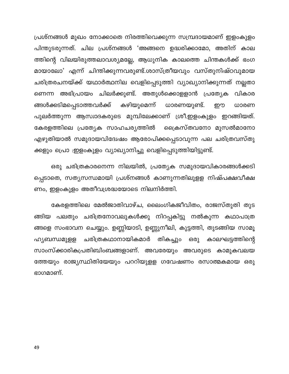പ്രശ്നങ്ങൾ മുഖം നോക്കാതെ നിരത്തിവെക്കുന്ന സമ്പ്രദായമാണ് ഇളംകുളം പിന്തുടരുന്നത്. ചില പ്രശ്നങ്ങൾ 'അങ്ങനെ ഉദ്ധരിക്കാമോ, അതിന് കാല ത്തിന്റെ വിലയിരുത്തലാവശ്യമല്ലേ, ആധുനിക കാലത്തെ ചിന്തകൾക്ക് ഭംഗ മായാലോ' എന്ന് ചിന്തിക്കുന്നവരുണ്ട്.ശാസ്ത്രീയവും വസ്തുനിഷ്ഠവുമായ ചരിത്രരചനയ്ക്ക് യഥാർത്ഥനില വെളിപ്പെടുത്തി വ്യാഖ്യാനിക്കുന്നത് നല്ലതാ ണെന്ന അഭിപ്രായം ചിലർക്കുണ്ട്. അതുൾക്കൊളളാൻ പ്രത്യേക വികാര കഴിയുമെന്ന് ങ്ങൾക്കടിമപ്പെടാത്തവർക്ക് ധാരണയുണ്ട്. றற ധാരണ പുലർത്തുന്ന ആസ്വാദകരുടെ മുമ്പിലേക്കാണ് ശ്രീ.ഇളംകുളം ഇറങ്ങിയത്. ക്രൈസ്തവനോ മുസൽമാനോ കേരളത്തിലെ പ്രത്യേക സാഹചര്യത്തിൽ എഴുതിയാൽ സമുദായവിദേേഷം ആരോപിക്കപ്പെടാവുന്ന പല ചരിത്രവസ്തു ക്കളും പ്രൊ :ഇളംകുളം വ്യാഖ്യാനിച്ചു വെളിപ്പെടുത്തിയിട്ടുണ്ട്.

ഒരു ചരിത്രകാരനെന്ന നിലയിൽ, പ്രത്യേക സമുദായവികാരങ്ങൾക്കടി പ്പെടാതെ, സത്യസന്ധമായി പ്രശ്നങ്ങൾ കാണുന്നതിലുളള നിഷ്പക്ഷവീക്ഷ ണം, ഇളംകുളം അതീവശ്രദ്ധയോടെ നിലനിർത്തി.

കേരളത്തിലെ മേൽജാതിവാഴ്ച, ലൈംഗികജീവിതം, രാജസ്തുതി തുട ങ്ങിയ പലതും ചരിത്രനോവലുകൾക്കു നിറപ്പകിട്ടു നൽകുന്ന കഥാപാത്ര ങ്ങളെ സംഭാവന ചെയ്യും. ഉണ്ണിയാടി, ഉണ്ണുനീലി, കുട്ടത്തി, തുടങ്ങിയ സാമൂ ഹ്യബന്ധമുളള ചരിത്രകഥാനായികമാർ തികച്ചും ഒരു കാലഘട്ടത്തിന്റെ സാംസ്ക്കാരികപ്രതിബിംബങ്ങളാണ്. അവരേയും അവരുടെ കാമുകവലയ ത്തേയും രാജ്യസ്ഥിതിയേയും പററിയുളള ഗവേഷണം രസാത്മകമായ ഒരു ഭാഗമാണ്.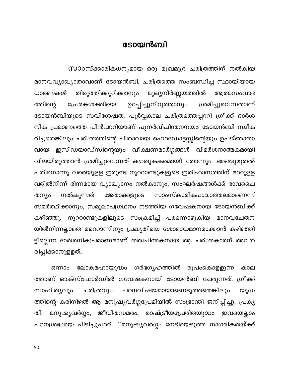## ടോയൻബി

സാഠസ്ക്കാരികധന്യമായ ഒരു മുഖമുദ്ര ചരിത്രത്തിന് നൽകിയ മാനവവ്യാഖ്യാതാവാണ് ടോയൻബി. ചരിത്രത്തെ സംബന്ധിച്ച സ്ഥായിയായ തിരുത്തിക്കുറിക്കാനും മൂല്യനിർണ്ണയത്തിൽ ധാരണകൾ ആത്മസംവാദ ശ്രമിച്ചുവെന്നതാണ് ത്തിന്റെ ഉറപ്പിച്ചുനിറുത്താനും പ്രേരകശക്തിയെ ടോയൻബിയുടെ സവിശേഷത. പൂർവ്വകാല ചരിത്രത്തെപ്പററി ഗ്രീക്ക് ദാർശ നിക പ്രമാണത്തെ പിൻപററിയാണ് പുനർവിചിന്തനനയം ടോയൻബി സ്വീക രിച്ചതെങ്കിലും ചരിത്രത്തിന്റെ പിതാവായ ഹെറഡോട്ടസ്സിന്റെയും ഉപജ്ഞാതാ ഇസിഡയാഡ്സിന്റെയും വീക്ഷണമാർഗ്ഗങ്ങൾ വിമർശനാത്മകമായി വായ വിലയിരുത്താൻ ശ്രമിച്ചുവെന്നത് കൗതുകകരമായി തോന്നും. അഞ്ചുമുതൽ പതിനൊന്നു വരെയുളള ഇരുണ്ട നൂററാണ്ടുകളുടെ ഇതിഹാസത്തിന് മററുളള വരിൽനിന്ന് ഭിന്നമായ വ്യാഖ്യാനം നൽകാനും, സംഘർഷങ്ങൾക്ക് ഭാവചൈ സാംസ്കാരികപശ്ചാത്തലമാണെന്ന് നൽകുന്നത് തന്യം ജേതാക്കളുടെ സമർത്ഥിക്കാനും, സമൂലാപഗ്രഥനം നടത്തിയ ഗവേഷകനായ ടോയൻബിക്ക് കഴിഞ്ഞു. നൂററാണ്ടുകളിലൂടെ സംക്രമിച്ച് പരന്നൊഴുകിയ മാനവചേതന യിൽനിന്നല്ലാതെ മറെറാന്നിനും പ്രകൃതിയെ ശോഭായമാനമാക്കാൻ കഴിഞ്ഞി ട്ടില്ലെന്ന ദാർശനികപ്രമാണമാണ് തത്വചിന്തകനായ ആ ചരിത്രകാരന് അവത രിപ്പിക്കാനുളളത്,

ലോകമഹായുദ്ധം ഗർഭഗൃഹത്തിൽ ഒന്നാം രൂപംകൊളളുന്ന കാല ത്താണ് ഓക്സ്ഫോർഡിൽ ഗവേഷകനായി ടോയൻബി ചേരുന്നത്. ഗ്രീക്ക് സാഹിത്യവും ചരിത്രവും പഠനവിഷയമായാണെടുത്തതെങ്കിലും യുദ്ധ ത്തിന്റെ കരിനിഴൽ ആ മനുഷ്യവർഗ്ഗപ്രേമിയിൽ സംഭ്രാന്തി ജനിപ്പിച്ചു. പ്രകൃ മനുഷ്യവർഗ്ഗം, ജീവിതസമരം, രാഷ്ട്രീയപ്രേരിതയുദ്ധം തി, ഇവയെല്ലാം പഠനശ്രദ്ധയെ പിടിച്ചുപററി. ''മനുഷ്യവർഗ്ഗം നേടിയെടുത്ത നാഗരികതയ്ക്ക്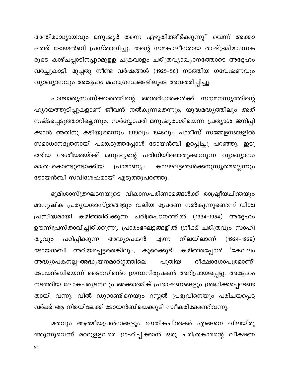അന്തിമാദ്ധ്യായവും മനുഷ്യർ തന്നെ എഴുതിത്തീർക്കുന്നു'' വെന്ന് അക്കാ ലത്ത് ടോയൻബി പ്രസ്താവിച്ചു. തന്റെ സമകാലീനരായ രാഷ്ട്രമീമാംസക രുടെ കാഴ്ചപ്പാടിനപ്പുറമുളള ചക്രവാളം ചരിത്രവ്യാഖ്യാനത്തോടെ അദ്ദേഹം വരച്ചുകാട്ടി. മുപ്പതു നീണ്ട വർഷങ്ങൾ (1925–56) നടത്തിയ ഗവേഷണവും വ്യാഖ്യാനവും അദ്ദേഹം മഹാഗ്രന്ഥങ്ങളിലൂടെ അവതരിപ്പിച്ചു.

പാശ്ചാത്യസംസ്ക്കാരത്തിന്റെ അന്തർധാരകൾക്ക് സൗമനസ്യത്തിന്റെ ഹൃദയത്തുടിപ്പുകളാണ് ജീവൻ നൽകുന്നതെന്നും, യുദ്ധമദ്ധ്യത്തിലും അത് നഷ്ടപ്പെടുത്താറില്ലെന്നും, സർവ്വോപരി മനുഷ്യരാശിയെന്ന പ്രത്യാശ ജനിപ്പി ക്കാൻ അതിനു കഴിയുമെന്നും 1919ലും 1945ലും പാരീസ് സമ്മേളനങ്ങളിൽ സമാധാനദൂതനായി പങ്കെടുത്തപ്പോൾ ടോയൻബി ഉറപ്പിച്ചു പറഞ്ഞു. ഇടു ങ്ങിയ ദേശീയതയ്ക്ക് മനുഷ്യന്റെ പരിധിയിലൊതുക്കാവുന്ന വ്യാഖ്യാനം മാത്രംകൊണ്ടുണ്ടാക്കിയ കാലഘട്ടങ്ങൾക്കനുസൃതമല്ലെന്നും പ്രാമാണ്യം ടോയൻബി സവിശേഷമായി എടുത്തുപറഞ്ഞു.

ഭൂമിശാസ്ത്രഘടനയുടെ വികാസപരിണാമങ്ങൾക്ക് രാഷ്ട്രീയചിന്തയും മാനുഷിക പ്രത്യയശാസ്ത്രങ്ങളും വലിയ പ്രേരണ നൽകുന്നുണ്ടെന്ന് വിശ്വ പ്രസിദ്ധമായി കഴിഞ്ഞിരിക്കുന്ന ചരിത്രപഠനത്തിൽ (1934–1954) അദ്ദേഹം ഊന്നിപ്രസ്താവിച്ചിരിക്കുന്നു. പ്രാരംഭഘട്ടങ്ങളിൽ ഗ്രീക്ക് ചരിത്രവും സാഹി എന്ന നിലയിലാണ് (1924–1929) പഠിപ്പിക്കുന്ന അദ്ധ്യാപകൻ ത്യവും ടോയൻബി അറിയപ്പെട്ടതെങ്കിലും, കുറെക്കൂടി കഴിഞ്ഞപ്പോൾ 'കേവലം അദ്ധ്യാപകനല്ല–അദ്ധ്യയനമാർഗ്ഗത്തിലെ പുതിയ ദീക്ഷാഗോപുരമാണ്' ടോയൻബിയെന്ന് ടൈംസിൻെറ ഗ്രന്ഥനിരൂപകൻ അഭിപ്രായപ്പെട്ടു. അദ്ദേഹം നടത്തിയ ലോകപര്യടനവും അക്കാദമിക് പ്രഭാഷണങ്ങളും ശ്രദ്ധിക്കപ്പെടേണ്ട തായി വന്നു. വിൽ ഡുറാണ്ടിനെയും റസ്സൽ പ്രഭുവിനെയും പരിചയപ്പെട്ട വർക്ക് ആ നിരയിലേക്ക് ടോയൻബിയെക്കൂടി സ്വീകരിക്കേണ്ടിവന്നു.

മതവും ആത്മീയപ്രശ്നങ്ങളും ഭൗതികചിന്തകർ എങ്ങനെ വിലയിരു ത്തുന്നുവെന്ന് മററുളളവരെ ഗ്രഹിപ്പിക്കാൻ ഒരു ചരിത്രകാരന്റെ വീക്ഷണ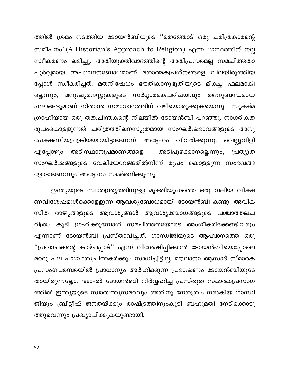ത്തിൽ ശ്രമം നടത്തിയ ടോയൻബിയുടെ ''മതത്തോട് ഒരു ചരിത്രകാരന്റെ സമീപനം"(A Historian's Approach to Religion) എന്ന ഗ്രന്ഥത്തിന് നല്ല സ്വീകരണം ലഭിച്ചു. അതിയുക്തിവാദത്തിന്റെ അതിപ്രസരമല്ല സമചിത്തതാ പൂർവ്വമായ അപഗ്രഥനബോധമാണ് മതാത്മകപ്രശ്നങ്ങളെ വിലയിരുത്തിയ പ്പോൾ സ്വീകരിച്ചത്. മതനിഷേധം ഭൗതികാനുഭൂതിയുടെ മികച്ച ഫലമാകി മനുഷ്യമനസ്സുകളുടെ സർഗ്ഗാത്മകപരിചയവും ല്ലെന്നും, തദനുബന്ധമായ ഫലങ്ങളുമാണ് നിതാന്ത സമാധാനത്തിന് വഴിയൊരുക്കുകയെന്നും സൂക്ഷ്മ ഗ്രാഹിയായ ഒരു തത്വചിന്തകന്റെ നിലയിൽ ടോയൻബി പറഞ്ഞു. നാഗരികത രൂപംകൊളളുന്നത് ചരിത്രത്തിലനസ്യൂതമായ സംഘർഷഭാവങ്ങളുടെ അനു പേക്ഷണീയപ്രക്രിയയായിട്ടാണെന്ന് അദ്ദേഹം വിവരിക്കുന്നു. വെല്ലുവിളി അടിസ്ഥാനപ്രമാണങ്ങളെ അടിപുഴക്കാനല്ലെന്നും, എപ്പോഴു൦ പ്രത്യുത സംഘർഷങ്ങളുടെ വേലിയേററങ്ങളിൽനിന്ന് രൂപം കൊളളുന്ന സംഭവങ്ങ ളോടാണെന്നും അദ്ദേഹം സമർത്ഥിക്കുന്നു.

ഇന്ത്യയുടെ സ്വാതന്ത്ര്യത്തിനുളള മുക്തിയുദ്ധത്തെ ഒരു വലിയ വീക്ഷ ണവിശേഷമുൾക്കൊളളുന്ന ആവശ്യബോധമായി ടോയൻബി കണ്ടു. അവിക സിത രാജ്യങ്ങളുടെ ആവശ്യങ്ങൾ ആവശ്യബോധങ്ങളുടെ പശ്ചാത്തലച രിത്രം കൂടി ഗ്രഹിക്കുമ്പോൾ സമചിത്തതയോടെ അംഗീകരിക്കേണ്ടിവരും എന്നാണ് ടോയൻബി പ്രസ്താവിച്ചത്. ഗാന്ധിജിയുടെ ആഹ്വാനത്തെ ഒരു ''പ്രവാചകന്റെ കാഴ്ചപ്പാട്'' എന്ന് വിശേഷിപ്പിക്കാൻ ടോയൻബിയെപ്പോലെ മററു പല പാശ്ചാത്യചിന്തകർക്കും സാധിച്ചിട്ടില്ല. മൗലാനാ ആസാദ് സ്മാരക പ്രസംഗപരമ്പരയിൽ പ്രാധാന്യം അർഹിക്കുന്ന പ്രഭാഷണം ടോയൻബിയുടേ തായിരുന്നല്ലോ. 1960–ൽ ടോയൻബി നിർവ്വഹിച്ച പ്രസ്തുത സ്മാരകപ്രസംഗ ത്തിൽ ഇന്ത്യയുടെ സ്വാതന്ത്ര്യസമരവും അതിനു നേതൃത്വം നൽകിയ ഗാന്ധി ജിയും ബ്രിട്ടീഷ് ജനതയ്ക്കും രാഷ്ട്രത്തിനുംകൂടി ബഹുമതി നേടിക്കൊടു ത്തുവെന്നും പ്രഖ്യാപിക്കുകയുണ്ടായി.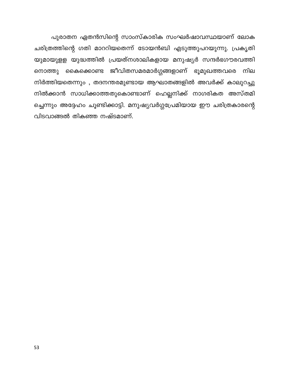പുരാതന ഏതൻസിന്റെ സാംസ്കാരിക സംഘർഷാവസ്ഥയാണ് ലോക ചരിത്രത്തിന്റെ ഗതി മാററിയതെന്ന് ടോയൻബി എടുത്തുപറയുന്നു. പ്രകൃതി യുമായുളള യുദ്ധത്തിൽ പ്രയത്നശാലികളായ മനുഷ്യർ സന്ദർഭഗൗരവത്തി നൊത്തു കൈക്കൊണ്ട ജീവിതസമരമാർഗ്ഗങ്ങളാണ് ഭൂമുഖത്തവരെ നില നിർത്തിയതെന്നും, തദനന്തരമുണ്ടായ ആഘാതങ്ങളിൽ അവർക്ക് കാലുറച്ചു നിൽക്കാൻ സാധിക്കാത്തതുകൊണ്ടാണ് ഹെല്ലനിക്ക് നാഗരികത അസ്തമി ച്ചെന്നും അദ്ദേഹം ചൂണ്ടിക്കാട്ടി. മനുഷ്യവർഗ്ഗപ്രേമിയായ ഈ ചരിത്രകാരന്റെ വിടവാങ്ങൽ തികഞ്ഞ നഷ്ടമാണ്.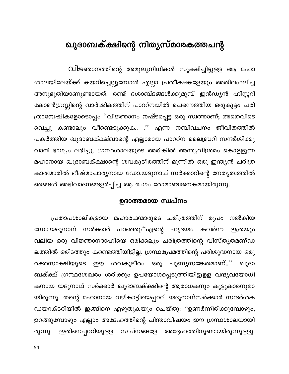# ഖുദാബക്ക്ഷിന്റെ നിത്യസ്മാരകത്തചന്റ

വിജ്ഞാനത്തിന്റെ അമൂല്യനിധികൾ സൂക്ഷിച്ചിട്ടുളള ആ മഹാ ശാലയിലേയ്ക്ക് കയറിച്ചെല്ലുമ്പോൾ എല്ലാ പ്രതീക്ഷകളേയും അതിലംഘിച്ച അനുഭൂതിയാണുണ്ടായത്. രണ്ട് ദശാബ്ദങ്ങൾക്കുമുമ്പ് ഇൻഡ്യൻ ഹിസ്റ്ററി കോൺഗ്രസ്സിന്റെ വാർഷികത്തിന് പാററ്നയിൽ ചെന്നെത്തിയ ഒരുകൂട്ടം ചരി ത്രാന്വേഷികളോടൊപ്പം ''വിജ്ഞാനം നഷ്ടപ്പെട്ട ഒരു സ്വത്താണ്; അതെവിടെ വെച്ചു കണ്ടാലും വീണ്ടെടുക്കുക.. .'' എന്ന നബിവചനം ജീവിതത്തിൽ പകർത്തിയ ഖുദാബക്ക്ഷ്ഖാന്റെ എല്ലാമായ പാററ്ന ലൈബ്രറി സന്ദർശിക്കു വാൻ ഭാഗ്യം ലഭിച്ചു. ഗ്രന്ഥശാലയുടെ അരികിൽ അന്ത്യവിശ്രമം കൊളളുന്ന മഹാനായ ഖുദാബക്ക്ഷാന്റെ ശവകുടീരത്തിന് മുന്നിൽ ഒരു ഇന്ത്യൻ ചരിത്ര കാരന്മാരിൽ ഭീഷ്മാചാര്യനായ ഡോ.യദുനാഥ് സർക്കാറിന്റെ നേതൃത്വത്തിൽ ഞങ്ങൾ അഭിവാദനങ്ങളർപ്പിച്ച ആ രംഗം രോമാഞ്ചജനകമായിരുന്നു.

## ഉദാത്തമായ സ്വപ്നം

പ്രതാപശാലികളായ മഹാരഥന്മാരുടെ ചരിത്രത്തിന് രൂപം നൽകിയ ഡോ.യദുനാഥ് സർക്കാർ പറഞ്ഞു:''എന്റെ ഹൃദയം കവർന്ന ഇത്രയും വലിയ ഒരു വിജ്ഞാനദാഹിയെ ഒരിക്കലും ചരിത്രത്തിന്റെ വിസ്തൃതമണ്ഡ ലത്തിൽ ഒരിടത്തും കണ്ടെത്തിയിട്ടില്ല. ഗ്രന്ഥപ്രേമത്തിന്റെ പരിശുദ്ധനായ ഒരു രക്തസാക്ഷിയുടെ ഈ ശവകുടീരം ഒരു പുണ്യസങ്കേതമാണ്..'' ഖുദാ ബക്ക്ഷ് ഗ്രന്ഥശേഖരം ശരിക്കും ഉപയോഗപ്പെടുത്തിയിട്ടുളള വന്ദ്യവയോധി കനായ യദുനാഥ് സർക്കാർ ഖുദാബക്ക്ഷിന്റെ ആരാധകനും കൂട്ടുകാരനുമാ യിരുന്നു. തന്റെ മഹാനായ വഴികാട്ടിയെപ്പററി യദുനാഥ്സർക്കാർ സന്ദർശക ഡയറക്ടറിയിൽ ഇങ്ങിനെ എഴുതുകയും ചെയ്തു: ''ഉണർന്നിരിക്കുമ്പോഴും, ഉറങ്ങുമ്പോഴും എല്ലാം അദ്ദേഹത്തിന്റെ ചിന്താവിഷയം ഈ ഗ്രന്ഥശാലയായി ്ഇതിനെപ്പററിയുളള സ്വപ്നങ്ങളേ അദ്ദേഹത്തിനുണ്ടായിരുന്നുളളു. രുന്നു.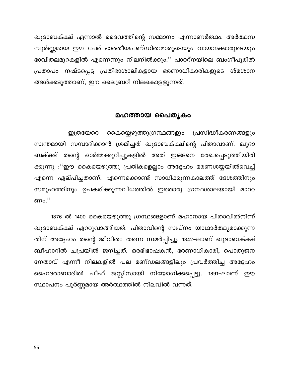ഖുദാബക്ക്ഷ് എന്നാൽ ദൈവത്തിന്റെ സമ്മാനം എന്നാണർത്ഥം. അർത്ഥസ മ്പൂർണ്ണമായ ഈ പേര് ഭാരതീയപണ്ഡിതന്മാരുടെയും വായനക്കാരുടെയും ഭാവിതലമുറകളിൽ എന്നെന്നും നിലനിൽക്കും.'' പാററ്നയിലെ ബംഗീപൂരിൽ പ്രതാപം നഷ്ടപ്പെട്ട പ്രതിഭാശാലികളായ ഭരണാധികാരികളുടെ ശ്മശാന ങ്ങൾക്കടുത്താണ്, ഈ ലൈബ്രറി നിലകൊളളുന്നത്.

#### മഹത്തായ പൈതൃകം

കൈയ്യെഴുത്തുഗ്രന്ഥങ്ങളും പ്രസിദ്ധീകരണങ്ങളും ഇത്രയേറെ സ്വന്തമായി സമ്പാദിക്കാൻ ശ്രമിച്ചത് ഖുദാബക്ക്ഷിന്റെ പിതാവാണ്. ഖുദാ ബക്ക്ഷ് തന്റെ ഓർമ്മക്കുറിപ്പുകളിൽ അത് ഇങ്ങനെ രേഖപ്പെടുത്തിയിരി ക്കുന്നു :''ഈ കൈയെഴുത്തു പ്രതികളെല്ലാം അദ്ദേഹം മരണശയ്യയിൽവെച്ച് എന്നെ ഏല്പിച്ചതാണ്. എന്നെക്കൊണ്ട് സാധിക്കുന്നകാലത്ത് ദേശത്തിനും സമൂഹത്തിനും ഉപകരിക്കുന്നവിധത്തിൽ ഇതൊരു ഗ്രന്ഥശാലയായി മാററ ണം.''

1876 ൽ 1400 കൈയെഴുത്തു ഗ്രന്ഥങ്ങളാണ് മഹാനായ പിതാവിൽനിന്ന് ഖുദാബക്ക്ഷ് ഏററുവാങ്ങിയത്. പിതാവിന്റെ സ്വപ്നം യാഥാർത്ഥ്യമാക്കുന്ന തിന് അദ്ദേഹം തന്റെ ജീവിതം തന്നെ സമർപ്പിച്ചു. 1842–ലാണ് ഖുദാബക്ക്ഷ് ബീഹാറിൽ ചപ്രയിൽ ജനിച്ചത്. ഒരഭിഭാഷകൻ, ഭരണാധികാരി, പൊതുജന നേതാവ് എന്നീ നിലകളിൽ പല മണ്ഡലങ്ങളിലും പ്രവർത്തിച്ച അദ്ദേഹം ഹൈദരാബാദിൽ ചീഫ് ജസ്റ്റിസായി നിയോഗിക്കപ്പെട്ടു. 1891–ലാണ് ഈ സ്ഥാപനം പൂർണ്ണമായ അർത്ഥത്തിൽ നിലവിൽ വന്നത്.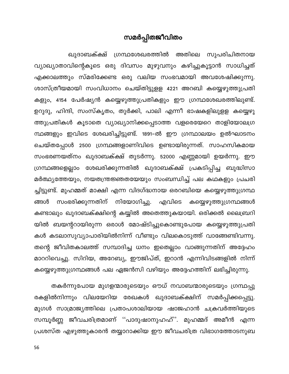## സമർപ്പിതജീവിതം

ഖുദാബക്ക്ഷ് ഗ്രന്ഥശേഖരത്തിൽ അതിലെ സുപരിചിതനായ വ്യാഖ്യാതാവിന്റെകൂടെ ഒരു ദിവസം മുഴുവനും കഴിച്ചുകൂട്ടാൻ സാധിച്ചത് എക്കാലത്തും സ്മരിക്കേണ്ട ഒരു വലിയ സംഭവമായി അവശേഷിക്കുന്നു. ശാസ്ത്രീയമായി സംവിധാനം ചെയ്തിട്ടുളള 4221 അറബി കയ്യെഴുത്തുപ്രതി കളും, 4154 പേർഷ്യൻ കയ്യെഴുത്തുപ്രതികളും ഈ ഗ്രന്ഥശേഖരത്തിലുണ്ട്. ഉറുദു, ഹിന്ദി, സംസ്കൃതം, തുർക്കി, പാലി എന്നീ ഭാഷകളിലുളള കയ്യെഴു ത്തുപ്രതികൾ കൂടാതെ വ്യാഖ്യാനിക്കപ്പെടാത്ത വളരെയേറെ താളിയോലഗ്ര ന്ഥങ്ങളും ഇവിടെ ശേഖരിച്ചിട്ടുണ്ട്. 1891–ൽ ഈ ഗ്രന്ഥാലയം ഉൽഘാടനം ചെയ്തപ്പോൾ 2500 ഗ്രന്ഥങ്ങളാണിവിടെ ഉണ്ടായിരുന്നത്. സാഹസികമായ സംഭരണയത്നം ഖുദാബക്ക്ഷ് തുടർന്നു. 52000 എണ്ണമായി ഉയർന്നു. ഈ ഗ്രന്ഥങ്ങളെല്ലാം ശേഖരിക്കുന്നതിൽ ഖുദാബക്ക്ഷ് പ്രകടിപ്പിച്ച ബുദ്ധിസാ മർത്ഥ്യത്തേയും, നയതന്ത്രജ്ഞതയേയും സംബന്ധിച്ച് പല കഥകളും പ്രചരി ച്ചിട്ടുണ്ട്. മുഹമ്മത് മാക്ഷി എന്ന വിദഗ്ദ്ധനായ ഒരറബിയെ കയ്യെഴുത്തുഗ്രന്ഥ എവിടെ നിയോഗിച്ചു. സംഭരിക്കുന്നതിന് ങ്ങൾ കയ്യെഴുത്തുഗ്രന്ഥങ്ങൾ കണ്ടാലും ഖുദാബക്ക്ഷിന്റെ കയ്യിൽ അതെത്തുകയായി. ഒരിക്കൽ ലൈബ്രറി യിൽ ബയന്ററായിരുന്ന ഒരാൾ മോഷ്ടിച്ചുകൊണ്ടുപോയ കയ്യെഴുത്തുപ്രതി കൾ കടലാസുവ്യാപാരിയിൽനിന്ന് വീണ്ടും വിലകൊടുത്ത് വാങ്ങേണ്ടിവന്നു. തന്റെ ജീവിതകാലത്ത് സമ്പാദിച്ച ധനം ഇതെല്ലാം വാങ്ങുന്നതിന് അദ്ദേഹം മാററിവെച്ചു. സിറിയ, അറേബ്യ, ഈജിപ്ത്, ഇറാൻ എന്നിവിടങ്ങളിൽ നിന്ന് കയ്യെഴുത്തുഗ്രന്ഥങ്ങൾ പല ഏജൻസി വഴിയും അദ്ദേഹത്തിന് ലഭിച്ചിരുന്നു.

തകർന്നുപോയ മുഗളന്മാരുടെയും ഔധ് നവാബന്മാരുടെയും ഗ്രന്ഥപ്പു രകളിൽനിന്നും വിലയേറിയ രേഖകൾ ഖുദാബക്ക്ഷിന് സമർപ്പിക്കപ്പെട്ടു. മുഗൾ സാമ്രാജ്യത്തിലെ പ്രതാപശാലിയായ ഷാജഹാൻ ചക്രവർത്തിയുടെ സമ്പൂർണ്ണ ജീവചരിത്രമാണ് ''പാദുഷാനുഹഹ്''. മുഹമ്മദ് അമീൻ എന്ന പ്രശസ്ത എഴുത്തുകാരൻ തയ്യാറാക്കിയ ഈ ജീവചരിത്ര വിഭാഗത്തോടനുബ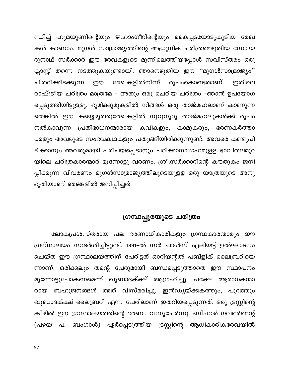ന്ധിച്ച് ഹുമയൂണിന്റെയും ജഹാംഗീറിന്റെയും കൈപ്പടയോടുകൂടിയ രേഖ കൾ കാണാം. മുഗൾ സാമ്രാജ്യത്തിന്റെ ആധുനിക ചരിത്രമെഴുതിയ ഡോ.യ ദുനാഥ് സർക്കാർ ഈ രേഖകളുടെ മുന്നിലെത്തിയപ്പോൾ സവിസ്തരം ഒരു ക്ലാസ്സ് തന്നെ നടത്തുകയുണ്ടായി. ഞാനെഴുതിയ ഈ ''മുഗൾസാമ്രാജ്യം'' ചിതറിക്കിടക്കുന്ന രേഖകളിൽനിന്ന് രൂപഠകൊണ്ടതാണ്. ഇതിലെ ഈ രാഷ്ട്രീയ ചരിത്രം മാത്രമേ – അതും ഒരു ചെറിയ ചരിത്രം –ഞാൻ ഉപയോഗ പ്പെടുത്തിയിട്ടുളളു. ഭൂമിക്കുമുകളിൽ നിങ്ങൾ ഒരു താജ്മഹലാണ് കാണുന്ന തെങ്കിൽ ഈ കയ്യെഴുത്തുരേഖകളിൽ നൂറുനൂറു താജ്മഹലുകൾക്ക് രൂപം നൽകാവുന്ന പ്രതിഭാധനന്മാരായ കവികളും, കാമുകരും, ഭരണകർത്താ ക്കളും അവരുടെ സംഭവകഥകളും പതുങ്ങിയിരിക്കുന്നുണ്ട്. അവരെ കണ്ടുപി ടിക്കാനും അവരുമായി പരിചയപ്പെടാനും പഠിക്കാനാഗ്രഹമുളള ഭാവിതലമുറ യിലെ ചരിത്രകാരന്മാർ മുന്നോട്ടു വരണം. ശ്രീ.സർക്കാറിന്റെ കൗതുകം ജനി പ്പിക്കുന്ന വിവരണം മുഗൾസാമ്രാജ്യത്തിലൂടെയുളള ഒരു യാത്രയുടെ അനു ഭൂതിയാണ് ഞങ്ങളിൽ ജനിപ്പിച്ചത്.

### ഗ്രന്ഥപ്പുരയുടെ ചരിത്രം

ലോകപ്രശസ്തരായ പല ഭരണാധികാരികളും ഗ്രന്ഥകാരന്മാരും ഈ ഗ്രന്ഥാലയം സന്ദർശിച്ചിട്ടുണ്ട്. 1891–ൽ സർ ചാൾസ് എലിയട്ട് ഉൽഘാടനം ചെയ്ത ഈ ഗ്രന്ഥാലയത്തിന് പേരിട്ടത് ഓറിയന്റൽ പബ്ളിക് ലൈബ്രറിയെ ന്നാണ്. ഒരിക്കലും തന്റെ പേരുമായി ബന്ധപ്പെടുത്താതെ ഈ സ്ഥാപനം മുന്നോട്ടുപോകണമെന്ന് ഖുബാദക്ക്ഷ് ആഗ്രഹിച്ചു. പക്ഷേ ആരാധകന്മാ രായ ബഹുജനങ്ങൾ അത് വിസ്മരിച്ചു. ഇൻഡ്യയ്ക്കകത്തും, പുറത്തും ഖുബാദക്ക്ഷ് ലൈബ്രറി എന്ന പേരിലാണ് ഇതറിയപ്പെടുന്നത്. ഒരു ട്രസ്റ്റിന്റെ കീഴിൽ ഈ ഗ്രന്ഥാലയത്തിന്റെ ഭരണം വന്നുചേർന്നു. ബീഹാർ ഗവൺമെന്റ് ബംഗാൾ) ഏർപ്പെടുത്തിയ ട്രസ്റ്റിന്റെ ആധികാരികരേഖയിൽ (പഴയ പ.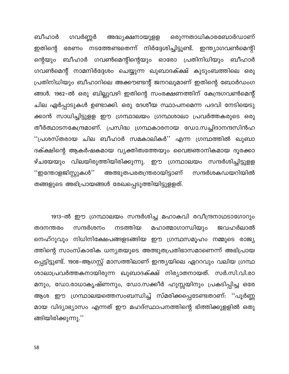ബീഹാർ ഒരുന്നതാധികാരബോർഡാണ് ഗവർണ്ണർ അദ്ധ്യക്ഷനായുളള ഭരണം നടത്തേണ്ടതെന്ന് നിർദ്ദേശിച്ചിട്ടുണ്ട്. ഇന്ത്യാഗവൺമെന്റി ഇതിന്റെ ന്റെയും ബീഹാർ ഗവൺമെന്റിന്റെയും ഓരോ പ്രതിനിധിയും ബീഹാർ ഗവൺമെന്റ് നാമനിർദ്ദേശം ചെയ്യുന്ന ഖുബാദക്ക്ഷ് കുടുംബത്തിലെ ഒരു പ്രതിനിധിയും ബീഹാറിലെ അക്കൗണ്ടന്റ് ജനറലുമാണ് ഇതിന്റെ ബോർഡംഗ ങ്ങൾ. 1962–ൽ ഒരു ബില്ലുവഴി ഇതിന്റെ സംരക്ഷണത്തിന് കേന്ദ്രഗവൺമെന്റ് ചില ഏർപ്പാടുകൾ ഉണ്ടാക്കി. ഒരു ദേശീയ സ്ഥാപനമെന്ന പദവി നേടിയെടു ക്കാൻ സാധിച്ചിട്ടുളള ഈ ഗ്രന്ഥാലയം ഗ്രന്ഥശാലാ പ്രവർത്തകരുടെ ഒരു തീർത്ഥാടനകേന്ദ്രമാണ്. പ്രസിദ്ധ ഗ്രന്ഥകാരനായ ഡോ.സച്ചിദാനന്ദസിൻഹ ''പ്രശസ്തരായ ചില ബീഹാർ സമകാലികർ'' എന്ന ഗ്രന്ഥത്തിൽ ഖുബാ ദക്ക്ഷിന്റെ ആകർഷകമായ വ്യക്തിത്വത്തേയും വൈജ്ഞാനികമായ ദൂരക്കാ ഴ്ചയേയും വിലയിരുത്തിയിരിക്കുന്നു. ഈ ഗ്രന്ഥാലയം സന്ദർശിച്ചിട്ടുളള ''ഇന്തോളജിസ്റ്റുകൾ'' അത്ഭുതപരതന്ത്രരായിട്ടാണ് സന്ദർശകഡയറിയിൽ തങ്ങളുടെ അഭിപ്രായങ്ങൾ രേഖപ്പെടുത്തിയിട്ടുളളത്.

1913-ൽ ഈ ഗ്രന്ഥാലയം സന്ദർശിച്ച മഹാകവി രവീന്ദ്രനാഥടാഗോറും മഹാത്മാഗാന്ധിയും സന്ദർശനം നടത്തിയ ജവഹർലാൽ തദനന്തരം നെഹ്റുവും നിധിനിക്ഷേപങ്ങളടങ്ങിയ ഈ ഗ്രന്ഥസമൂഹം നമ്മുടെ രാജ്യ ത്തിന്റെ സാംസ്കാരിക ധന്യതയുടെ അത്ഭുതപ്രതിഭാസമാണെന്ന് അഭിപ്രായ പ്പെട്ടിട്ടുണ്ട്. 1908–ആഗസ്റ്റ് മാസത്തിലാണ് ഇന്ത്യയിലെ ഏററവും വലിയ ഗ്രന്ഥ ശാലാപ്രവർത്തകനായിരുന്ന ഖുബാദക്ക്ഷ് നിര്യാതനായത്. സർ.സി.വി.രാ മനും, ഡോ.രാധാകൃഷ്ണനും, ഡോ.സക്കീർ ഹുസ്സയിനും പ്രകടിപ്പിച്ച ഒരേ ആശ ഈ ഗ്രന്ഥാലയത്തെസംബന്ധിച്ച് സ്മരിക്കപ്പെടേണ്ടതാണ്: ''പൂർണ്ണ മായ വിദ്യാഭ്യാസം എന്നത് ഈ മഹദ്സ്ഥാപനത്തിന്റെ ഭിത്തിക്കുളളിൽ ഒതു ങ്ങിയിരിക്കുന്നു.''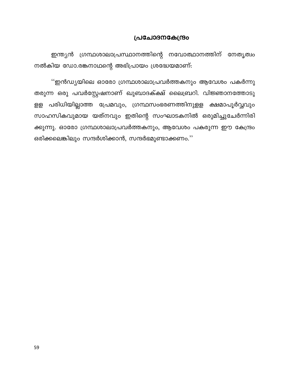#### പ്രചോദനകേന്ദ്രം

ഇന്ത്യൻ ഗ്രന്ഥശാലാപ്രസ്ഥാനത്തിന്റെ നവോത്ഥാനത്തിന് നേതൃത്വം നൽകിയ ഡോ.രങ്കനാഥന്റെ അഭിപ്രായം ശ്രദ്ധേയമാണ്:

''ഇൻഡ്യയിലെ ഓരോ ഗ്രന്ഥശാലാപ്രവർത്തകനും ആവേശം പകർന്നു തരുന്ന ഒരു പവർസ്റ്റേഷനാണ് ഖുബാദക്ക്ഷ് ലൈബ്രറി. വിജ്ഞാനത്തോടു ളള പരിധിയില്ലാത്ത പ്രേമവും, ഗ്രന്ഥസംഭരണത്തിനുളള ക്ഷമാപൂർവ്വവും സാഹസികവുമായ യത്നവും ഇതിന്റെ സംഘാടകനിൽ ഒരുമിച്ചുചേർന്നിരി ക്കുന്നു. ഓരോ ഗ്രന്ഥശാലാപ്രവർത്തകനും, ആവേശം പകരുന്ന ഈ കേന്ദ്രം ഒരിക്കലെങ്കിലും സന്ദർശിക്കാൻ, സന്ദർഭമുണ്ടാക്കണം.''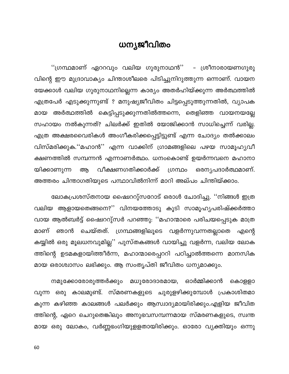# ധന്യജീവിതം

"ഗ്രന്ഥമാണ് ഏററവും വലിയ ഗുരുനാഥൻ'' – ശ്രീനാരായണഗുരു വിന്റെ ഈ മുദ്രാവാക്യം ചിന്താശീലരെ പിടിച്ചുനിറുത്തുന്ന ഒന്നാണ്. വായന യേക്കാൾ വലിയ ഗുരുനാഥനില്ലെന്ന കാര്യം അതർഹിയ്ക്കുന്ന അർത്ഥത്തിൽ എത്രപേർ എടുക്കുന്നുണ്ട് ? മനുഷ്യജീവിതം ചിട്ടപ്പെടുത്തുന്നതിൽ, വ്യാപക മായ അർത്ഥത്തിൽ കെട്ടിപ്പടുക്കുന്നതിൽത്തന്നെ, തെളിഞ്ഞ വായനയല്ലേ സഹായം നൽകുന്നത്? ചിലർക്ക് ഇതിൽ യോജിക്കാൻ സാധിച്ചെന്ന് വരില്ല. എത്ര അക്ഷരവൈരികൾ അംഗീകരിക്കപ്പെട്ടിട്ടുണ്ട് എന്ന ചോദ്യം തൽക്കാലം വിസ്മരിക്കുക.''മഹാൻ'' എന്ന വാക്കിന് ഗ്രാമങ്ങളിലെ പഴയ സാമൂഹ്യവീ ക്ഷണത്തിൽ സമ്പന്നൻ എന്നാണർത്ഥം. ധനംകൊണ്ട് ഉയർന്നവനെ മഹാനാ ഒരനൃപദാർത്ഥമാണ്. വീക്ഷണഗതിക്കാർക്ക് യിക്കാണുന്ന ആ ഗ്രന്ഥം അത്തരം ചിന്താഗതിയുടെ പന്ഥാവിൽനിന്ന് മാറി അല്പം ചിന്തിയ്ക്കാം.

ലോകപ്രശസ്തനായ ഷൈററു്സറോട് ഒരാൾ ചോദിച്ചു. ''നിങ്ങൾ ഇത്ര വലിയ ആളായതെങ്ങനെ?'' വിനയത്തോടു കൂടി സാമൂഹ്യപരിഷ്ക്കർത്താ വായ ആൽബർട്ട് ഷൈററു്സർ പറഞ്ഞു: ''മഹാന്മാരെ പരിചയപ്പെടുക മാത്ര ഞാൻ ചെയ്തത്. ഗ്രന്ഥങ്ങളിലൂടെ വളർന്നുവന്നതല്ലാതെ മാണ് എന്റെ കയ്യിൽ ഒരു മൂലധനവുമില്ല'' പുസ്തകങ്ങൾ വായിച്ചു വളർന്ന, വലിയ ലോക ത്തിന്റെ ഉടമകളായിത്തീർന്ന, മഹാന്മാരെപ്പററി പഠിച്ചാൽത്തന്നെ മാനസിക മായ ഒരാശ്വാസം ലഭിക്കും. ആ സംതൃപ്തി ജീവിതം ധന്യമാക്കും.

നമുക്കോരോരുത്തർക്കും മധുരോദാരമായ, ഓർമ്മിക്കാൻ കൊള്ളാ വുന്ന ഒരു കാലമുണ്ട്. സ്മരണകളുടെ ചുരുളഴിക്കുമ്പോൾ പ്രകാശിതമാ കുന്ന കഴിഞ്ഞ കാലങ്ങൾ പലർക്കും ആസ്വാദ്യമായിരിക്കും.എളിയ ജീവിത ത്തിന്റെ, ഏറെ ചെറുതെങ്കിലും അനുഭവസമ്പന്നമായ സ്മരണകളുടെ, സ്വന്ത മായ ഒരു ലോകം, വർണ്ണഭംഗിയുളളതായിരിക്കും. ഓരോ വ്യക്തിയും ഒന്നു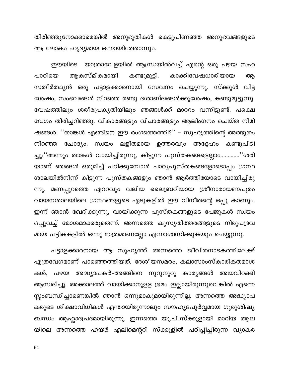തിരിഞ്ഞുനോക്കാമെങ്കിൽ അനുഭൂതികൾ കെട്ടുപിണഞ്ഞ അനുഭവങ്ങളുടെ ആ ലോകം ഹൃദ്യമായ ഒന്നായിത്തോന്നും.

ഈയിടെ യാത്രാവേളയിൽ ആന്ധ്രയിൽവച്ച് എന്റെ ഒരു പഴയ സഹ പാഠിയെ ആകസ്മികമായി കണ്ടുമുട്ടി. കാക്കിവേഷധാരിയായ ആ സതീർത്ഥ്യൻ ഒരു പട്ടാളക്കാരനായി സേവനം ചെയ്യുന്നു. സ്ക്കൂൾ വിട്ട ശേഷം, സംഭവങ്ങൾ നിറഞ്ഞ രണ്ടു ദശാബ്ദങ്ങൾക്കുശേഷം, കണ്ടുമുട്ടുന്നു. വേഷത്തിലും ശരീരപ്രകൃതിയിലും ഞങ്ങൾക്ക് മാററം വന്നിട്ടുണ്ട്. പക്ഷെ വേഗം തിരിച്ചറിഞ്ഞു. വികാരങ്ങളും വിചാരങ്ങളും ആലിംഗനം ചെയ്ത നിമി ഷങ്ങൾ! ''താങ്കൾ എങ്ങിനെ ഈ രംഗത്തെത്തി?'' – സുഹൃത്തിന്റെ അത്ഭുതം നിറഞ്ഞ ചോദ്യം. സ്വയം ലളിതമായ ഉത്തരവും അദ്ദേഹം കണ്ടുപിടി ച്ചു:''അന്നും താങ്കൾ വായിച്ചിരുന്നു, കിട്ടുന്ന പുസ്തകങ്ങളെല്ലാം.............''ശരി യാണ് ഞങ്ങൾ ഒരുമിച്ച് പഠിക്കുമ്പോൾ പാഠ്യപുസ്തകങ്ങളോടൊപ്പം ഗ്രന്ഥ ശാലയിൽനിന്ന് കിട്ടുന്ന പുസ്തകങ്ങളും ഞാൻ ആർത്തിയോടെ വായിച്ചിരു ന്നു. മണപ്പുറത്തെ ഏററവും വലിയ ലൈബ്രറിയായ ശ്രീനാരായണപുരം വായനശാലയിലെ ഗ്രന്ഥങ്ങളുടെ ഏടുകളിൽ ഈ വിനീതന്റെ ഒപ്പു കാണും. ഇന്ന് ഞാൻ ഖേദിക്കുന്നു, വായിക്കുന്ന പുസ്തകങ്ങളുടെ പേജുകൾ സ്വയം ഒപ്പുവച്ച് മോശമാക്കരുതെന്ന്. അന്നത്തെ കുസൃതിത്തരങ്ങളുടെ നിരുപദ്രവ മായ പട്ടികകളിൽ ഒന്നു മാത്രമാണല്ലോ എന്നാശ്വസിക്കുകയും ചെയ്യുന്നു.

പട്ടാളക്കാരനായ ആ സുഹൃത്ത് അന്നത്തെ ജീവിതനാടകത്തിലേക്ക് എത്രവേഗമാണ് പാഞ്ഞെത്തിയത്. ദേശീയസമരം, കലാസാംസ്കാരികതമാശ കൾ, പഴയ അദ്ധ്യാപകർ–അങ്ങിനെ നൂറുനൂറു കാര്യങ്ങൾ അയവിറക്കി ആസ്വദിച്ചു. അക്കാലത്ത് വായിക്കാനുളള ഭ്രമം ഇല്ലായിരുന്നുവെങ്കിൽ എന്നെ സ്സംബന്ധിച്ചാണെങ്കിൽ ഞാൻ ഒന്നുമാകുമായിരുന്നില്ല. അന്നത്തെ അദ്ധ്യാപ കരുടെ ശിക്ഷാവിധികൾ എന്തായിരുന്നാലും സൗഹൃദപൂർവ്വമായ ഗുരുശിഷ്യ ബന്ധം ആഹ്ലാദപ്രദമായിരുന്നു. ഇന്നത്തെ യു.പി.സ്ക്കൂളായി മാറിയ ആല യിലെ അന്നത്തെ ഹയർ എലിമെന്ററി സ്ക്കൂളിൽ പഠിപ്പിച്ചിരുന്ന വ്യാകര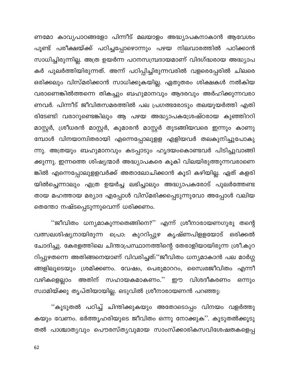ണമോ കാവ്യപാഠങ്ങളോ പിന്നീട് മലയാളം അദ്ധ്യാപകനാകാൻ ആവേശം പൂണ്ട് പരീക്ഷയ്ക്ക് പഠിച്ചപ്പോഴൊന്നും പഴയ നിലവാരത്തിൽ പഠിക്കാൻ സാധിച്ചിരുന്നില്ല. അത്ര ഉയർന്ന പഠനസമ്പ്രദായമാണ് വിദഗ്ദ്ധരായ അദ്ധ്യാപ കർ പുലർത്തിയിരുന്നത്. അന്ന് പഠിപ്പിച്ചിരുന്നവരിൽ വളരെപ്പേരിൽ ചിലരെ ഒരിക്കലും വിസ്മരിക്കാൻ സാധിക്കുകയില്ല. ഏതുതരം ശിക്ഷകൾ നൽകിയ വരാണെങ്കിൽത്തന്നെ തികച്ചും ബഹുമാനവും ആദരവും അർഹിക്കുന്നവരാ ണവർ. പിന്നീട് ജീവിതസമരത്തിൽ പല പ്രഗത്ഭരോടും തലയുയർത്തി എതി രിടേണ്ടി വരാറുണ്ടെങ്കിലും ആ പഴയ അദ്ധ്യാപകശ്രേഷ്ഠരായ കുഞ്ഞിററി മാസ്റ്റർ, ശ്രീധരൻ മാസ്റ്റർ, കുമാരൻ മാസ്റ്റർ തുടങ്ങിയവരെ ഇന്നും കാണു മ്പോൾ വിനയാന്വിതരായി എന്നെപ്പോലുളള എളിയവർ തലകുനിച്ചുപോകു ന്നു. അത്രയും ബഹുമാനവും കടപ്പാടും ഹൃദയംകൊണ്ടവർ പിടിച്ചുവാങ്ങി ക്കുന്നു. ഇന്നത്തെ ശിഷ്യന്മാർ അദ്ധ്യാപകരെ കൂകി വിലയിരുത്തുന്നവരാണെ ങ്കിൽ എന്നെപ്പോലുളളവർക്ക് അതാലോചിക്കാൻ കൂടി കഴിയില്ല. ഏത് കളരി യിൽച്ചെന്നാലും എത്ര ഉയർച്ച ലഭിച്ചാലും അദ്ധ്യാപകരോട് പുലർത്തേണ്ട തായ മഹത്തായ മര്യാദ എപ്പോൾ വിസ്മരിക്കപ്പെടുന്നുവോ അപ്പോൾ വലിയ തെന്തോ നഷ്ടപ്പെടുന്നുവെന്ന് ധരിക്കണം.

''ജീവിതം ധന്യമാകുന്നതെങ്ങിനെ?'' എന്ന് ശ്രീനാരായണഗുരു തന്റെ വത്സലശിഷ്യനായിരുന്ന പ്രൊ: കുററിപ്പുഴ കൃഷ്ണപിളളയോട് ഒരിക്കൽ ചോദിച്ചു. കേരളത്തിലെ ചിന്താപ്രസ്ഥാനത്തിന്റെ തേരാളിയായിരുന്ന ശ്രീ.കുറ റിപ്പുഴതന്നെ അതിങ്ങനെയാണ് വിവരിച്ചത്:''ജീവിതം ധന്യമാകാൻ പല മാർഗ്ഗ ങ്ങളിലൂടെയും ശ്രമിക്കണം. വേഷം, പെരുമാററം, സൈ!രജീവിതം എന്നീ അതിന് സഹായകമാകണം.'' ഈ വിശദീകരണം വഴികളെല്ലാം ഒന്നും സ്വാമിയ്ക്കു തൃപ്തിയായില്ല. ഒടുവിൽ ശ്രീനാരായണൻ പറഞ്ഞു:

''കൂടുതൽ പഠിച്ച് ചിന്തിക്കുകയും അതോടൊപ്പം വിനയം വളർത്തു കയും വേണം. ഭർത്തൃഹരിയുടെ ജീവിതം ഒന്നു നോക്കുക''. കൂടുതൽക്കൂടു തൽ പാശ്ചാതൃവും പൌരസ്തൃവുമായ സാംസ്ക്കാരികസവിശേഷതകളെപ്പ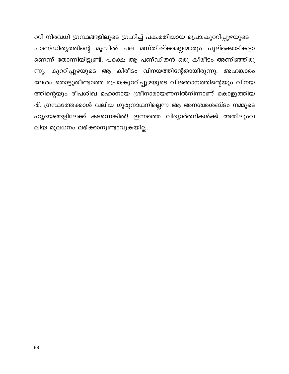ററി നിരവധി ഗ്രന്ഥങ്ങളിലൂടെ ഗ്രഹിച്ച് പക്വമതിയായ പ്രൊ:കുററിപ്പുഴയുടെ പാണ്ഡിത്യത്തിന്റെ മുമ്പിൽ പല മസ്തിഷ്ക്കമല്ലന്മാരും പുല്ക്കൊടികളാ ണെന്ന് തോന്നിയിട്ടുണ്ട്. പക്ഷെ ആ പണ്ഡിതൻ ഒരു കീരീടം അണിഞ്ഞിരു ന്നു. കുററിപ്പുഴയുടെ ആ കിരീടം വിനയത്തിന്റേതായിരുന്നു. അഹങ്കാരം ലേശം തൊട്ടുതീണ്ടാത്ത പ്രൊ:കുററിപ്പുഴയുടെ വിജ്ഞാനത്തിന്റെയും വിനയ ത്തിന്റെയും ദീപശിഖ മഹാനായ ശ്രീനാരായണനിൽനിന്നാണ് കൊളുത്തിയ ത്. ഗ്രന്ഥത്തേക്കാൾ വലിയ ഗുരുനാഥനില്ലെന്ന ആ അനശ്വരശബ്ദം നമ്മുടെ ഹൃദയങ്ങളിലേക്ക് കടന്നെങ്കിൽ! ഇന്നത്തെ വിദ്യാർത്ഥികൾക്ക് അതിലുംവ ലിയ മൂലധനം ലഭിക്കാനുണ്ടാവുകയില്ല.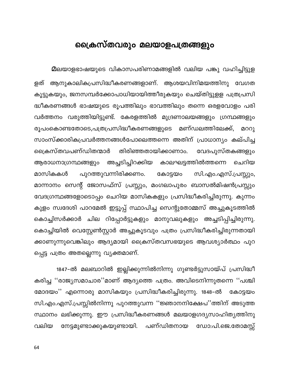# ക്രൈസ്തവരും മലയാളപത്രങ്ങളും

മലയാളഭാഷയുടെ വികാസപരിണാമങ്ങളിൽ വലിയ പങ്കു വഹിച്ചിട്ടുള ആനുകാലികപ്രസിദ്ധീകരണങ്ങളാണ്. ആശയവിനിമയത്തിനു വേഗത ളത് കൂട്ടുകയും, ജനസമ്പർക്കോപാധിയായിത്തീരുകയും ചെയ്തിട്ടുളള പത്രപ്രസി ദ്ധീകരണങ്ങൾ ഭാഷയുടെ രൂപത്തിലും ഭാവത്തിലും തന്നെ ഒരളവോളം പരി വർത്തനം വരുത്തിയിട്ടുണ്ട്. കേരളത്തിൽ മുദ്രണാലയങ്ങളും ഗ്രന്ഥങ്ങളും രൂപംകൊണ്ടതോടെ,പത്രപ്രസിദ്ധീകരണങ്ങളുടെ മണ്ഡലത്തിലേക്ക്. മററു സാംസ്ക്കാരികപ്രവർത്തനങ്ങൾപോലെത്തന്നെ അതിന് പ്രാധാന്യം കല്പിച്ച ക്രൈസ്തവപണ്ഡിതന്മാർ തിരിഞ്ഞതായിക്കാണാം. വേദപുസ്തകങ്ങളും ആരാധനാഗ്രന്ഥങ്ങളും അച്ചടിച്ചിറക്കിയ കാലഘട്ടത്തിൽത്തന്നെ ചെറിയ പുറത്തുവന്നിരിക്കണം. മാസികകൾ കോട്ടയം സി.എം.എസ്.പ്രസ്സും, മാന്നാനം സെന്റ് ജോസഫ്സ് പ്രസ്സും, മംഗലാപുരം ബാസൽമിഷൻപ്രസ്സും വേദഗ്രന്ഥങ്ങളോടൊപ്പം ചെറിയ മാസികകളും പ്രസിദ്ധീകരിച്ചിരുന്നു. കുന്നം കുളം സ്വദേശി പാറമേൽ ഇട്ടൂപ്പ് സ്ഥാപിച്ച സെന്റുതോ<mark>മ്മ</mark>സ് അച്ചുകൂടത്തിൽ കൊച്ചിസർക്കാർ ചില റിപ്പോർട്ടുകളും മാനുവലുകളും അച്ചടിപ്പിച്ചിരുന്നു. കൊച്ചിയിൽ വെസ്റ്റേൺസ്റ്റാർ അച്ചുകൂടവും പത്രം പ്രസിദ്ധീകരിച്ചിരുന്നതായി ക്കാണുന്നുവെങ്കിലും ആദ്യമായി ക്രൈസ്തവസഭയുടെ ആവശ്യാർത്ഥം പുറ പ്പെട്ട പത്രം അതല്ലെന്നു വ്യക്തമാണ്.

1847–ൽ മലബാറിൽ ഇല്ലിക്കുന്നിൽനിന്നു ഗുണ്ടർട്ടുസായ്പ് പ്രസിദ്ധീ കരിച്ച ''രാജ്യസമാചാര''മാണ് ആദ്യത്തെ പത്രം. അവിടെനിന്നുതന്നെ ''പശ്ചി മോദയം'' എന്നൊരു മാസികയും പ്രസിദ്ധീകരിച്ചിരുന്നു. 1848–ൽ കോട്ടയം സി.എം.എസ്.പ്രസ്സിൽനിന്നു പുറത്തുവന്ന ''ജ്ഞാനനിക്ഷേപ''ത്തിന് അടുത്ത സ്ഥാനം ലഭിക്കുന്നു. ഈ പ്രസിദ്ധീകരണങ്ങൾ മലയാളഗദൃസാഹിതൃത്തിനു നേട്ടമുണ്ടാക്കുകയുണ്ടായി. പണ്ഡിതനായ ഡോ:പി.ജെ.തോമസ്സ് വലിയ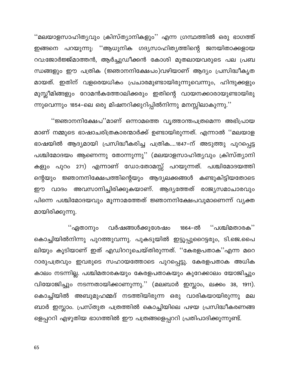''മലയാളസാഹിത്യവും ക്രിസ്ത്യാനികളും'' എന്ന ഗ്രന്ഥത്തിൽ ഒരു ഭാഗത്ത് ഇങ്ങനെ പറയുന്നു: ''ആധുനിക ഗദ്യസാഹിത്യത്തിന്റെ ജനയിതാക്കളായ റവ:ജോർജ്ജ്മാത്തൻ, ആർച്ചുഡീക്കൻ കോശി മുതലായവരുടെ പല പ്രബ ന്ധങ്ങളും ഈ പത്രിക (ജ്ഞാനനിക്ഷേപം)വഴിയാണ് ആദ്യം പ്രസിദ്ധീകൃത മായത്. ഇതിന് വളരെയധികം പ്രചാരമുണ്ടായിരുന്നുവെന്നും, ഹിന്ദുക്കളും മുസ്ലീമിങ്ങളും റോമൻകത്തോലിക്കരും ഇതിന്റെ വായനക്കാരായുണ്ടായിരു ന്നുവെന്നും 1854–ലെ ഒരു മിഷനറിക്കുറിപ്പിൽനിന്നു മനസ്സിലാകുന്നു.''

''ജ്ഞാനനിക്ഷേപ''മാണ് ഒന്നാമത്തെ വൃത്താന്തപത്രമെന്ന അഭിപ്രായ മാണ് നമ്മുടെ ഭാഷാചരിത്രകാരന്മാർക്ക് ഉണ്ടായിരുന്നത്. എന്നാൽ ''മലയാള ഭാഷയിൽ ആദ്യമായി പ്രസിദ്ധീകരിച്ച പത്രിക....1847-ന് അടുത്തു പുറപ്പെട്ട പശ്ചിമോദയം ആണെന്നു തോന്നുന്നു'' (മലയാളസാഹിത്യവും ക്രിസ്ത്യാനി കളും പുറം 271) എന്നാണ് ഡോ:തോമസ്സ് പറയുന്നത്. പശ്ചിമോദയത്തി ന്റെയും ജ്ഞാനനിക്ഷേപത്തിന്റെയും ആദ്യലക്കങ്ങൾ കണ്ടുകിട്ടിയതോടെ ഈ വാദം അവസാനിച്ചിരിക്കുകയാണ്. ആദ്യത്തേത് രാജ്യസമാചാരവും പിന്നെ പശ്ചിമോദയവും മൂന്നാമത്തേത് ജ്ഞാനനിക്ഷേപവുമാണെന്ന് വ്യക്ത മായിരിക്കുന്നു.

"പശ്ചിമതാരക" ''ഏതാനും വർഷങ്ങൾക്കുശേഷം 1864–ൽ കൊച്ചിയിൽനിന്നു പുറത്തുവന്നു. പുകടുയിൽ ഇട്ടൂപ്പുറൈട്ടരും, ടി.ജെ.പൈ ലിയും കൂടിയാണ് ഇത് എഡിററുചെയ്തിരുന്നത്. ''കേരളപതാക''എന്ന മറെ റാരുപത്രവും ഇവരുടെ സഹായത്തോടെ പുറപ്പെട്ടു. കേരളപതാക അധിക കാലം നടന്നില്ല. പശ്ചിമതാരകയും കേരളപതാകയും കുറേക്കാലം യോജിച്ചും വിയോജിച്ചും നടന്നതായിക്കാണുന്നു.'' (മലബാർ ഇസ്ലാം, ലക്കം 38, 1911). കൊച്ചിയിൽ അബുമുഹമ്മദ് നടത്തിയിരുന്ന ഒരു വാരികയായിരുന്നു മല ബാർ ഇസ്ലാം. പ്രസ്തുത പത്രത്തിൽ കൊച്ചിയിലെ പഴയ പ്രസിദ്ധീകരണങ്ങ ളെപ്പററി എഴുതിയ ഭാഗത്തിൽ ഈ പത്രങ്ങളെപ്പററി പ്രതിപാദിക്കുന്നുണ്ട്.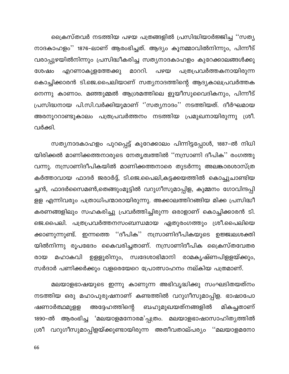ക്രൈസ്തവർ നടത്തിയ പഴയ പത്രങ്ങളിൽ പ്രസിദ്ധിയാർജ്ജിച്ച ''സത്യ നാദകാഹളം'' 1876–ലാണ് ആരംഭിച്ചത്. ആദ്യം കൂനമ്മാവിൽനിന്നും, പിന്നീട് വരാപ്പുഴയിൽനിന്നും പ്രസിദ്ധീകരിച്ച സത്യനാദകാഹളം കുറേക്കാലങ്ങൾക്കു പത്രപ്രവർത്തകനായിരുന്ന എറണാകുളത്തേക്കു മാററി. പഴയ ശേഷം കൊച്ചിക്കാരൻ ടി.ജെ.പൈലിയാണ് സത്യനാദത്തിന്റെ ആദ്യകാലപ്രവർത്തക നെന്നു കാണാം. മഞ്ഞുമ്മൽ ആശ്രമത്തിലെ ളൂയീസുവൈദികനും, പിന്നീട് പ്രസിദ്ധനായ പി.സി.വർക്കിയുമാണ് ''സത്യനാദം'' നടത്തിയത്. ദീർഘമായ അരനൂററാണ്ടുകാലം പത്രപ്രവർത്തനം നടത്തിയ പ്രമുഖനായിരുന്നു ശ്രീ. വർക്കി.

സത്യനാദകാഹളം പുറപ്പെട്ട് കുറേക്കാലം പിന്നിട്ടപ്പോൾ, 1887–ൽ നിധി യിരിക്കൽ മാണിക്കത്തനാരുടെ നേതൃത്വത്തിൽ ''നസ്രാണി ദീപിക'' രംഗത്തു വന്നു. നസ്രാണിദീപികയിൽ മാണിക്കത്തനാരെ തുടർന്നു അലങ്കാരശാസ്ത്ര കർത്താവായ ഫാദർ ജരാർദ്ദ്, ടി.ജെ.പൈലി,കട്ടക്കയത്തിൽ കൊച്ചുചാണ്ടിയ ച്ചൻ, ഫാദർസൈമൺ,തെങ്ങുംമൂട്ടിൽ വറുഗീസുമാപ്പിള, കുമ്മനം ഗോവിന്ദപ്പി ളള എന്നിവരും പത്രാധിപന്മാരായിരുന്നു. അക്കാലത്തിറങ്ങിയ മിക്ക പ്രസിദ്ധീ കരണങ്ങളിലും സഹകരിച്ചു പ്രവർത്തിച്ചിരുന്ന ഒരാളാണ് കൊച്ചിക്കാരൻ ടി. ജെ.പൈലി. പത്രപ്രവർത്തനസംബന്ധമായ ഏതുരംഗത്തും ശ്രീ.പൈലിയെ ക്കാണുന്നുണ്ട്. ഇന്നത്തെ ''ദീപിക'' നസ്രാണിദീപികയുടെ ഉജ്ജ്വലശക്തി യിൽനിന്നു രൂപഭേദം കൈവരിച്ചതാണ്. നസ്രാണിദീപിക ക്രൈസ്തവേതര മഹാകവി ഉള്ളൂരിനും, സ്വദേശാഭിമാനി രാമകൃഷ്ണപിള്ളയ്ക്കും, രായ സർദാർ പണിക്കർക്കും വളരെയേറെ പ്രോത്സാഹനം നല്കിയ പത്രമാണ്.

മലയാളഭാഷയുടെ ഇന്നു കാണുന്ന അഭിവൃദ്ധിക്കു സംഘടിതയത്നം നടത്തിയ ഒരു മഹാപുരുഷനാണ് കണ്ടത്തിൽ വറുഗീസുമാപ്പിള. ഭാഷാപോ അദ്ദേഹത്തിന്റെ ബഹുമുഖയത്നങ്ങളിൽ ഷണാർത്ഥമുളള മികച്ചതാണ് 1890–ൽ ആരംഭിച്ച 'മലയാളമനോരമ'പ്പത്രം. മലയാളഭാഷാസാഹിത്യത്തിൽ ശ്രീ വറുഗീസുമാപ്പിളയ്ക്കുണ്ടായിരുന്ന അതീവതാല്പര്യം ''മലയാളമനോ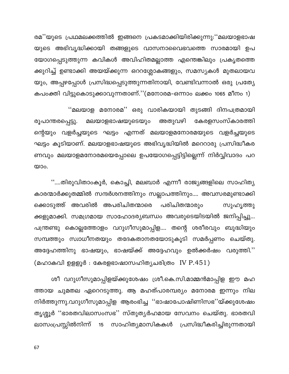രമ''യുടെ പ്രഥമലക്കത്തിൽ ഇങ്ങനെ പ്രകടമാക്കിയിരിക്കുന്നു:''മലയാളഭാഷ യുടെ അഭിവൃദ്ധിക്കായി തങ്ങളുടെ വാസനാവൈഭവത്തെ സാരമായി ഉപ യോഗപ്പെടുത്തുന്ന കവികൾ അവിഹിതമല്ലാത്ത എന്തെങ്കിലും പ്രകൃതത്തെ ക്കുറിച്ച് ഉണ്ടാക്കി അയയ്ക്കുന്ന ഒററശ്ലോകങ്ങളും, സമസ്യകൾ മുതലായവ യും, അപ്പഴപ്പോൾ പ്രസിദ്ധപ്പെടുത്തുന്നതിനായി, വേണ്ടിവന്നാൽ ഒരു പ്രത്യേ കപംക്തി വിട്ടുകൊടുക്കാവുന്നതാണ്.''(മനോരമ–ഒന്നാം ലക്കം 1065 മീനം 1)

''മലയാള മനോരമ'' ഒരു വാരികയായി തുടങ്ങി ദിനപത്രമായി കേരളസംസ്കാരത്തി അതുവഴി മലയാളഭാഷയുടെയും രൂപാന്തരപ്പെട്ടു. ന്റെയും വളർച്ചയുടെ ഘട്ടം എന്നത് മലയാളമനോരമയുടെ വളർച്ചയുടെ ഘട്ടം കൂടിയാണ്. മലയാളഭാഷയുടെ അഭിവൃദ്ധിയിൽ മറെറാരു പ്രസിദ്ധീകര ണവും മലയാളമനോരമയെപ്പോലെ ഉപയോഗപ്പെട്ടിട്ടില്ലെന്ന് നിർവ്വിവാദം പറ യാം.

''....തിരുവിതാംകൂർ, കൊച്ചി, മലബാർ എന്നീ രാജ്യങ്ങളിലെ സാഹിത്യ കാരന്മാർക്കുതമ്മിൽ സന്ദർശനത്തിനും സല്ലാപത്തിനും.... അവസരമുണ്ടാക്കി ക്കൊടുത്ത് അവരിൽ അപരിചിതന്മാരെ പരിചിതന്മാരും സുഹൃത്തു ക്കളുമാക്കി. സമഗ്രമായ സാഹോദര്യബന്ധം അവരുടെയിടയിൽ ജനിപ്പിച്ചു... പന്ത്രണ്ടു കൊല്ലത്തോളം വറുഗീസുമാപ്പിള.... തന്റെ ശരീരവും ബുദ്ധിയും സമ്പത്തും സ്വാധീനതയും തദേകതാനതയോടുകൂടി സമർപ്പണം ചെയ്തു. അദ്ദേഹത്തിനു ഭാഷയും, ഭാഷയ്ക്ക് അദ്ദേഹവും ഉൽക്കർഷം വരുത്തി.'' (മഹാകവി ഉളളൂർ : കേരളഭാഷാസഹിതൃചരിത്രം IV  $P.451)$ 

ശീ വറുഗീസുമാപ്പിളയ്ക്കുശേഷം ശ്രീ.കെ.സി.മാമ്മൻമാപ്പിള ഈ മഹ ത്തായ ചുമതല ഏറെറടുത്തു. ആ മഹത്പാരമ്പര്യം മനോരമ ഇന്നും നില നിർത്തുന്നു.വറുഗീസുമാപ്പിള ആരംഭിച്ച ''ഭാഷാപോഷിണിസഭ''യ്ക്കുശേഷം തൃശ്ശൂർ ''ഭാരതവിലാസംസഭ'' സ്തുതൃർഹമായ സേവനം ചെയ്തു. ഭാരതവി ലാസംപ്രസ്സിൽനിന്ന് 15 സാഹിത്യമാസികകൾ പ്രസിദ്ധീകരിച്ചിരുന്നതായി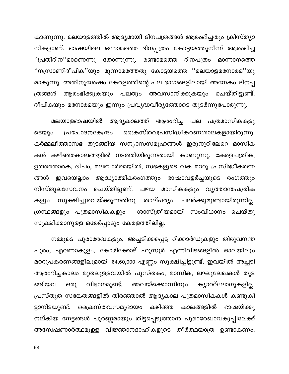കാണുന്നു. മലയാളത്തിൽ ആദ്യമായി ദിനപത്രങ്ങൾ ആരംഭിച്ചതും ക്രിസ്ത്യാ നികളാണ്. ഭാഷയിലെ ഒന്നാമത്തെ ദിനപ്പത്രം കോട്ടയത്തുനിന്ന് ആരംഭിച്ച ''പ്രതിദിന''മാണെന്നു തോന്നുന്നു. രണ്ടാമത്തെ ദിനപത്രം മാന്നാനത്തെ ''നസ്രാണിദീപിക''യും മൂന്നാമത്തേതു കോട്ടയത്തെ ''മലയാളമനോരമ''യു മാകുന്നു. അതിനുശേഷം കേരളത്തിന്റെ പല ഭാഗങ്ങളിലായി അനേകം ദിനപ്പ ആരംഭിക്കുകയും പലതും അവസാനിക്കുകയും ത്രങ്ങൾ ചെയ്തിട്ടുണ്ട്. ദീപികയും മനോരമയും ഇന്നും പ്രവൃദ്ധവീര്യത്തോടെ തുടർന്നുപോരുന്നു.

ആദ്യകാലത്ത് ആരംഭിച്ച പല പത്രമാസികകളു മലയാളഭാഷയിൽ ക്രൈസ്തവപ്രസിദ്ധീകരണശാലകളായിരുന്നു. ടെയും പ്രചോദനകേന്ദ്രം കർമ്മലീത്താസഭ തുടങ്ങിയ സന്യാസസമൂഹങ്ങൾ ഇരുനൂറിലേറെ മാസിക കൾ കഴിഞ്ഞകാലങ്ങളിൽ നടത്തിയിരുന്നതായി കാണുന്നു. കേരളപത്രിക, ഉത്തരതാരക, ദീപം, മലബാർമെയിൽ, സഭകളുടെ വക മററു പ്രസിദ്ധീകരണ ഇവയെല്ലാം ആദ്ധ്യാത്മികരംഗത്തും ഭാഷാവളർച്ചയുടെ രംഗത്തും ങ്ങൾ നിസ്തുലസേവനം ചെയ്തിട്ടുണ്ട്. പഴയ മാസികകളും വൃത്താന്തപത്രിക സൂക്ഷിച്ചുവെയ്ക്കുന്നതിനു താല്പര്യം പലർക്കുമുണ്ടായിരുന്നില്ല. കളും ഗ്രന്ഥങ്ങളും പത്രമാസികകളും ശാസ്ത്രീയമായി സംവിധാനം ചെയ്തു സൂക്ഷിക്കാനുളള ഒരേർപ്പാടും കേരളത്തിലില്ല.

നമ്മുടെ പുരാരേഖകളും, അച്ചടിക്കപ്പെട്ട റിക്കാർഡുകളും തിരുവനന്ത പുരം, എറണാകുളം, കോഴിക്കോട് ഹുസൂർ എന്നിവിടങ്ങളിൽ ഓലയിലും മററുപകരണങ്ങളിലുമായി 64,60,000 എണ്ണം സൂക്ഷിച്ചിട്ടുണ്ട്. ഇവയിൽ അച്ചടി ആരംഭിച്ചകാലം മുതലുളളവയിൽ പുസ്തകം, മാസിക, ലഘുലേഖകൾ തുട അവയ്ക്കൊന്നിനും ഒരു വിഭാഗമുണ്ട്. ക്യാററ്ലോഗുകളില്ല. ങ്ങിയവ പ്രസ്തുത സങ്കേതങ്ങളിൽ തിരഞ്ഞാൽ ആദ്യകാല പത്രമാസികകൾ കണ്ടുകി ക്രൈസ്തവസമുദായം കഴിഞ്ഞ ട്ടാനിടയുണ്ട്. കാലങ്ങളിൽ ഭാഷയ്ക്കു നല്കിയ നേട്ടങ്ങൾ പൂർണ്ണമായും തിട്ടപ്പെടുത്താൻ പുരാരേഖാവകുപ്പിലേക്ക് അന്വേഷണാർത്ഥമുളള വിജ്ഞാനദാഹികളുടെ തീർത്ഥയാത്ര ഉണ്ടാകണം.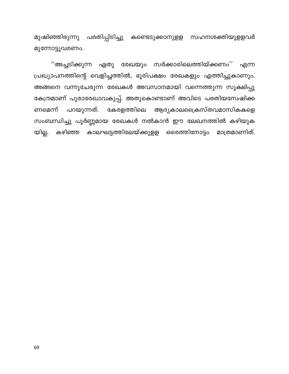മുഷിഞ്ഞിരുന്നു പരതിപ്പിടിച്ചു കണ്ടെടുക്കാനുളള സഹനശക്തിയുളളവർ മുന്നോട്ടുവരണം.

''അച്ചടിക്കുന്ന ഏതു രേഖയും സർക്കാരിലെത്തിയ്ക്കണം'' എന്ന പ്രഖ്യാപനത്തിന്റെ വെളിച്ചത്തിൽ, ഭൂരിപക്ഷം രേഖകളും എത്തിച്ചുകാണും. അങ്ങനെ വന്നുചേരുന്ന രേഖകൾ അവസാനമായി വന്നെത്തുന്ന സൂക്ഷിപ്പു കേന്ദ്രമാണ് പുരാരേഖാവകുപ്പ്. അതുകൊണ്ടാണ് അവിടെ പരതിയന്വേഷിക്ക പറയുന്നത്. കേരളത്തിലെ ആദ്യകാലക്രൈസ്തവമാസികകളെ ണമെന്ന് സംബന്ധിച്ചു പൂർണ്ണമായ രേഖകൾ നൽകാൻ ഈ ലേഖനത്തിൽ കഴിയുക യില്ല. കഴിഞ്ഞ കാലഘട്ടത്തിലേയ്ക്കുള്ള ഒരെത്തിനോട്ടം മാത്രമാണിത്.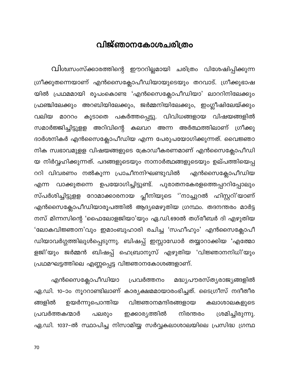# വിജ്ഞാനകോശചരിത്രം

വിശ്വസംസ്ക്കാരത്തിന്റെ ഈററില്ലമായി ചരിത്രം വിശേഷിപ്പിക്കുന്ന ഗ്രീക്കുതന്നെയാണ് എൻസൈക്ലോപീഡിയായുടെയും തറവാട്. ഗ്രീക്കുഭാഷ യിൽ പ്രഥമമായി രൂപംകൊണ്ട 'എൻസൈക്ലോപീഡിയാ' ലാററിനിലേക്കു<mark>ം</mark> ഫ്രഞ്ചിലേക്കും അറബിയിലേക്കും, ജർമ്മനിയിലേക്കും, ഇംഗ്ലീഷിലേയ്ക്കും വലിയ മാററം കൂടാതെ പകർത്തപ്പെട്ടു. വിവിധങ്ങളായ വിഷയങ്ങളിൽ സമാർജ്ജിച്ചിട്ടുളള അറിവിന്റെ കലവറ അന്ന അർത്ഥത്തിലാണ് ഗ്രീക്കു ദാർശനികർ എൻസൈക്ലോപീഡിയ എന്ന പേരുപയോഗിക്കുന്നത്. വൈജ്ഞാ നിക സ്വഭാവമുളള വിഷയങ്ങളുടെ ക്രോഡീകരണമാണ് എൻസൈക്ലോപീഡി യ നിർവ്വഹിക്കുന്നത്. പദങ്ങളുടെയും നാനാർത്ഥങ്ങളുടെയും ഉല്പത്തിയെപ്പ ററി വിവരണം നൽകുന്ന പ്രാചീനനിഘണ്ടുവിൽ എൻസൈക്ലോപീഡിയ വാക്കുതന്നെ ഉപയോഗിച്ചിട്ടുണ്ട്. പുരാതനകേരളത്തെപ്പററിപ്പോലും എന്ന സ്പർശിച്ചിട്ടുളള റോമാക്കാരനായ പ്ലീനിയുടെ ''നാച്ചുറൽ ഹിസ്റ്ററി'യാണ് എൻസൈക്ലോപീഡിയാരൂപത്തിൽ ആദ്യമെഴുതിയ ഗ്രന്ഥം. തദനന്തരം മാർട്ട നസ് മിന്നസിന്റെ 'ഫൈലോളജിയാ'യും ഏ.ഡി.690ൽ തഗ്രീബർ ദി എഴുതിയ 'ലോകവിജ്ഞാന'വും ഇമാംബുഹാരി രചിച്ച 'സഹീഹും' എൻസൈക്ലോപീ ഡിയാവർഗ്ഗത്തിലുൾപ്പെടുന്നു. ബിഷപ്പ് ഇസ്സാഡോർ തയ്യാറാക്കിയ 'എത്മോ ളജി'യും ജർമ്മൻ ബിഷപ്പ് ഹെബ്രാനൂസ് എഴുതിയ 'വിജ്ഞാനനിധി'യും പ്രഥമഘട്ടത്തിലെ എണ്ണപ്പെട്ട വിജ്ഞാനകോശങ്ങളാണ്.

എൻസൈക്ലോപീഡിയാ പ്രവർത്തനം മദ്ധ്യപൗരസ്ത്യരാജ്യങ്ങളിൽ ഏ.ഡി. 10–ാം നൂററാണ്ടിലാണ് കാര്യക്ഷമമായാരംഭിച്ചത്. ടൈഗ്രീസ് നദീതീര വിജ്ഞാനമന്ദിരങ്ങളായ ങ്ങളിൽ ഉയർന്നുപൊന്തിയ കലാശാലകളുടെ ഇക്കാര്യത്തിൽ ശ്രമിച്ചിരുന്നു. പ്രവർത്തകന്മാർ പലരും നിരന്തരം ഏ.ഡി. 1037–ൽ സ്ഥാപിച്ച നിസാമിയ്യ സർവ്വകലാശാലയിലെ പ്രസിദ്ധ ഗ്രന്ഥ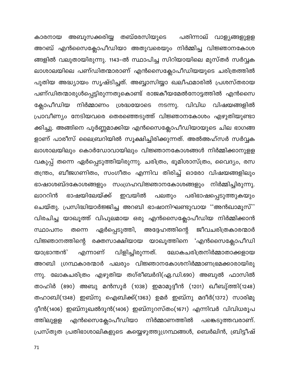അബൂസക്കരിയ്യ തബ്രേസിയുടെ പതിന്നാല് വാള്യങ്ങളുളള കാരനായ അറബ് എൻസൈക്ലോപീഡിയാ അതുവരെയും നിർമ്മിച്ച വിജ്ഞാനകോശ ങ്ങളിൽ വലുതായിരുന്നു. 1143–ൽ സ്ഥാപിച്ച സിറിയായിലെ മുസ്തർ സർവ്വക ലാശാലയിലെ പണ്ഡിതന്മാരാണ് എൻസൈക്ലോപീഡിയയുടെ ചരിത്രത്തിൽ പുതിയ അദ്ധ്യായം സൃഷ്ടിച്ചത്. അബ്ബാസിയ്യാ ഖലീഫമാരിൽ പ്രശസ്തരായ പണ്ഡിതന്മാരുൾപ്പെട്ടിരുന്നതുകൊണ്ട് രാജകീയമേൽനോട്ടത്തിൽ എൻസൈ ക്ലോപീഡിയ നിർമ്മാണം ശ്രദ്ധയോടെ നടന്നു. വിവിധ വിഷയങ്ങളിൽ പ്രാവീണ്യം നേടിയവരെ തെരഞ്ഞെടുത്ത് വിജ്ഞാനകോശം എഴുതിയുണ്ടാ ക്കിച്ചു. അങ്ങിനെ പൂർണ്ണമാക്കിയ എൻസൈക്ലോപീഡിയായുടെ ചില ഭാഗങ്ങ ളാണ് പാരീസ് ലൈബ്രറിയിൽ സൂക്ഷിച്ചിരിക്കുന്നത്. അൽഅഹ്സർ സർവ്വക ലാശാലയിലും കൊർഡോവായിലും വിജ്ഞാനകോശങ്ങൾ നിർമ്മിക്കാനുളള വകുപ്പ് തന്നെ ഏർപ്പെടുത്തിയിരുന്നു. ചരിത്രം, ഭൂമിശാസ്ത്രം, വൈദ്യം, രസ തന്ത്രം, ബീജഗണിതം, സംഗീതം എന്നിവ തിരിച്ച് ഓരോ വിഷയങ്ങളിലും ഭാഷാശബ്ദകോശങ്ങളും സംഗ്രഹവിജ്ഞാനകോശങ്ങളും നിർമ്മിച്ചിരുന്നു. ഭാഷയിലേയ്ക്ക് ഇവയിൽ ലാററിൻ പലതും പരിഭാഷപ്പെടുത്തുകയും ചെയ്തു. പ്രസിദ്ധിയാർജ്ജിച്ച അറബി ഭാഷാനിഘണ്ടുവായ ''അൻഖാമൂസ്'' വിരചിച്ച യാഖൂത്ത് വിപുലമായ ഒരു എൻസൈക്ലോപീഡിയ നിർമ്മിക്കാൻ ഏർപ്പെടുത്തി, അദ്ദേഹത്തിന്റെ ജീവചരിത്രകാരന്മാർ സ്ഥാപനം തന്നെ വിജ്ഞാനത്തിന്റെ രക്തസാക്ഷിയായ യാഖൂത്തിനെ 'എൻസൈക്ലോപീഡി എന്നാണ് വിളിച്ചിരുന്നത്. ലോകചരിത്രനിർമ്മാതാക്കളായ യാഭ്രാന്തൻ' അറബി ഗ്രന്ഥകാരന്മാർ പലരും വിജ്ഞാനകോശനിർമ്മാണഭ്രമക്കാരായിരു ന്നു. ലോകചരിത്രം എഴുതിയ തഗ്രീബർദി(ഏ.ഡി.690) അബുൽ ഫാസിൽ താഹിർ (890) അബു മൻസൂർ (1038) ഇമാമുദ്ദീൻ (1201) ഖീബു്ത്തി(1248) തഹാബി(1348) ഇബ്നു ഐബിക്ക്(1363) ഉമർ ഇബ്നു മദീർ(1372) സാരിമു ദ്ദീൻ(1406) ഇബ്നുഖൽദൂൻ(1406) ഇബ്നുറസ്തം(1671) എന്നിവർ വിവിധരൂപ എൻസൈക്ലോപീഡിയാ നിർമ്മാണത്തിൽ പങ്കെടുത്തവരാണ്. ത്തിലുളള പ്രസ്തുത പ്രതിഭാശാലികളുടെ കയ്യെഴുത്തുഗ്രന്ഥങ്ങൾ, ബെർലിൻ, ബ്രിട്ടീഷ്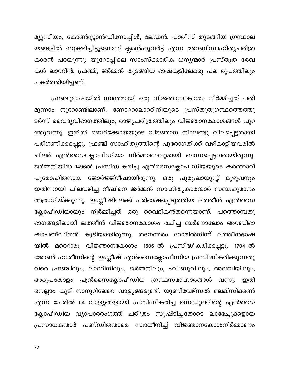മ്യൂസിയം, കോൺസ്റ്റാൻഡിനോപ്പിൾ, ലേഡൻ, പാരീസ് തുടങ്ങിയ ഗ്രന്ഥാല യങ്ങളിൽ സൂക്ഷിച്ചിട്ടുണ്ടെന്ന് ക്ലമൻഹുവർട്ട് എന്ന അറബിസാഹിത്യചരിത്ര കാരൻ പറയുന്നു. യൂറോപ്പിലെ സാംസ്ക്കാരിക ധന്യന്മാർ പ്രസ്തുത രേഖ കൾ ലാററിൻ, ഫ്രഞ്ച്, ജർമ്മൻ തുടങ്ങിയ ഭാഷകളിലേക്കു പല രൂപത്തിലും പകർത്തിയിട്ടുണ്ട്.

ഫ്രഞ്ചുഭാഷയിൽ സ്വന്തമായി ഒരു വിജ്ഞാനകോശം നിർമ്മിച്ചത് പതി മൂന്നാം നൂററാണ്ടിലാണ്. ണോററാലാററിനിയുടെ പ്രസ്തുതഗ്രന്ഥത്തെത്തു ടർന്ന് വൈദ്യവിഭാഗത്തിലും, രാജ്യചരിത്രത്തിലും വിജ്ഞാനകോശങ്ങൾ പുറ ത്തുവന്നു. ഇതിൽ ബെർക്കോയയുടെ വിജ്ഞാന നിഘണ്ടു വിലപ്പെട്ടതായി പരിഗണിക്കപ്പെട്ടു. ഫ്രഞ്ച് സാഹിത്യത്തിന്റെ പുരോഗതിക്ക് വഴികാട്ടിയവരിൽ ചിലർ എൻസൈക്ലോപീഡിയാ നിർമ്മാണവുമായി ബന്ധപ്പെട്ടവരായിരുന്നു. ജർമ്മനിയിൽ 1496ൽ പ്രസിദ്ധീകരിച്ച എൻസൈക്ലോപീഡിയയുടെ കർത്താവ് പുരോഹിതനായ ജോർജ്ജ്റീഷായിരുന്നു. ഒരു പുരുഷായുസ്സ് മുഴുവനും ഇതിന്നായി ചിലവഴിച്ച റീഷിനെ ജർമ്മൻ സാഹിത്യകാരന്മാർ സബഹുമാനം ആരാധിയ്ക്കുന്നു. ഇംഗ്ലീഷിലേക്ക് പരിഭാഷപ്പെടുത്തിയ ലത്തീൻ എൻസൈ ക്ലോപീഡിയായും നിർമ്മിച്ചത് ഒരു വൈദികൻതന്നെയാണ്. പത്തൊമ്പതു ഭാഗങ്ങളിലായി ലത്തീൻ വിജ്ഞാനകോശം രചിച്ച ബർണാലോം അറബിഭാ ഷാപണ്ഡിതൻ കൂടിയായിരുന്നു. തദനന്തരം റോമിൽനിന്ന് ലത്തീൻഭാഷ യിൽ മറെറാരു വിജ്ഞാനകോശം 1506–ൽ പ്രസിദ്ധീകരിക്കപ്പട്ടു. 1704–ൽ ജോൺ ഹാരീസിന്റെ ഇംഗ്ലീഷ് എൻസൈക്ലോപീഡിയ പ്രസിദ്ധീകരിക്കുന്നതു വരെ ഫ്രഞ്ചിലും, ലാററിനിലും, ജർമ്മനിലും, ഹീബ്രുവിലും, അറബിയിലും, അറുപതോളം എൻസൈക്ലോപീഡിയ ഗ്രന്ഥസമാഹാരങ്ങൾ വന്നു. ഇതി നെല്ലാം കൂടി നാനൂറിലേറെ വാള്യങ്ങളുണ്ട്. യൂണിവേഴ്സൽ ലെക്സിക്കൺ എന്ന പേരിൽ 64 വാള്യങ്ങളായി പ്രസിദ്ധീകരിച്ച സെഡുലറിന്റെ എൻസൈ ക്ലോപീഡിയ വ്യാപാരരംഗത്ത് ചരിത്രം സൃഷ്ടിച്ചതോടെ ലാഭേച്ഛുക്കളായ പ്രസാധകന്മാർ പണ്ഡിതന്മാരെ സ്വാധീനിച്ച് വിജ്ഞാനകോശനിർമ്മാണം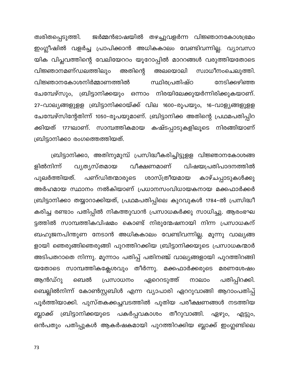ജർമ്മൻഭാഷയിൽ തഴച്ചുവളർന്ന വിജ്ഞാനകോശഭ്രമം ത്വരിതപ്പെടുത്തി. ഇംഗ്ലീഷിൽ വളർച്ച പ്രാപിക്കാൻ അധികകാലം വേണ്ടിവന്നില്ല. വ്യാവസാ യിക വിപ്ലവത്തിന്റെ വേലിയേററം യൂറോപ്പിൽ മാററങ്ങൾ വരുത്തിയതോടെ അതിന്റെ വിജ്ഞാനമണ്ഡലത്തിലും അലയൊലി സ്വാധീനംചെലുത്തി. വിജ്ഞാനകോശനിർമ്മാണത്തിൽ സ്ഥിരപ്രതിഷ്ഠ നേടിക്കഴിഞ്ഞ ചേമ്പേഴ്സും, ബ്രിട്ടാനിക്കയും ഒന്നാം നിരയിലേക്കുയർന്നിരിക്കുകയാണ്. 27–വാല്യങ്ങളുളള ബ്രിട്ടാനിക്കായ്ക്ക് വില 1600–രൂപയും, 16–വാള്യങ്ങളുളള ചേമ്പേഴ്സിന്റേതിന്ന് 1050–രൂപയുമാണ്. ബ്രിട്ടാനിക്ക അതിന്റെ പ്രഥമപതിപ്പിറ ക്കിയത് 1771ലാണ്. സാമ്പത്തികമായ കഷ്ടപ്പാടുകളിലൂടെ നിരങ്ങിയാണ് ബ്രിട്ടാനിക്കാ രംഗത്തെത്തിയത്.

ബ്രിട്ടാനിക്കാ, അതിനുമുമ്പ് പ്രസിദ്ധീകരിച്ചിട്ടുളള വിജ്ഞാനകോശങ്ങ ളിൽനിന്ന് വീക്ഷണമാണ് വൃതൃസ്തമായ വിഷയപ്രതിപാദനത്തിൽ പുലർത്തിയത്. പണ്ഡിതന്മാരുടെ ശാസ്ത്രീയമായ കാഴ്ചപ്പാടുകൾക്കു അർഹമായ സ്ഥാനം നൽകിയാണ് പ്രധാനസംവിധായകനായ മക്കഫാർക്കർ ബ്രിട്ടാനിക്കാ തയ്യാറാക്കിയത്, പ്രഥമപതിപ്പിലെ കുറവുകൾ 1784-ൽ പ്രസിദ്ധീ കരിച്ച രണ്ടാം പതിപ്പിൽ നികത്തുവാൻ പ്രസാധകർക്കു സാധിച്ചു. ആരംഭഘ ട്ടത്തിൽ സാമ്പത്തികവിഷമം കൊണ്ട് നിരുന്മേഷനായി നിന്ന പ്രസാധകന് ബഹുജനപിന്തുണ നേടാൻ അധികകാലം വേണ്ടിവന്നില്ല. മൂന്നു വാല്യങ്ങ ളായി ഞെരുങ്ങിഞെരുങ്ങി പുറത്തിറക്കിയ ബ്രിട്ടാനിക്കയുടെ പ്രസാധകന്മാർ അടിപതറാതെ നിന്നു. മൂന്നാം പതിപ്പ് പതിനഞ്ച് വാല്യങ്ങളായി പുറത്തിറങ്ങി യതോടെ സാമ്പത്തികക്ലേശവും തീർന്നു. മക്കഫാർക്കരുടെ മരണശേഷം പതിപ്പിറക്കി. ആൻഡ്റു ബെൽ പ്രസാധനം ഏറെറടുത്ത് നാലാം ബെല്ലിൽനിന്ന് കോൺസ്റ്റബിൾ എന്ന വ്യാപാരി ഏററുവാങ്ങി ആറാംപതിപ്പ് പൂർത്തിയാക്കി. പുസ്തകക്കച്ചവടത്തിൽ പുതിയ പരീക്ഷണങ്ങൾ നടത്തിയ ബ്ലാക്ക് ബ്രിട്ടാനിക്കയുടെ പകർപ്പവകാശം തീറുവാങ്ങി. ഏഴും, എട്ടും, ഒൻപതും പതിപ്പുകൾ ആകർഷകമായി പുറത്തിറക്കിയ ബ്ലാക്ക് ഇംഗ്ലണ്ടിലെ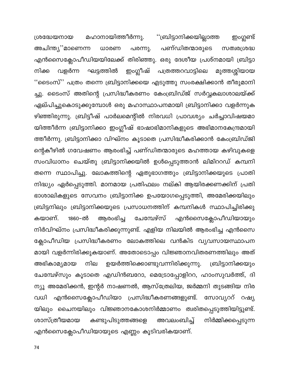"ബ്രിട്ടാനിക്കയില്ലാത്ത മഹാനായിത്തീർന്നു. ഇംഗ്ലണ്ട് ശ്രദ്ധേയനായ പണ്ഡിതന്മാരുടെ അചിന്ത്യ''മാണെന്ന പരന്നു. ധാരണ സത്വരശ്രദ്ധ എൻസൈക്ലോപീഡിയയിലേക്ക് തിരിഞ്ഞു. ഒരു ദേശീയ പ്രശ്നമായി ബ്രിട്ടാ ഇംഗ്ലീഷ് വളർന്ന ഘട്ടത്തിൽ പത്രത്തറവാട്ടിലെ മുത്തശ്ശിയായ നിക്ക ''ടൈംസ്'' പത്രം തന്നെ ബ്രിട്ടാനിക്കയെ എടുത്തു സംരക്ഷിക്കാൻ തീരുമാനി ച്ചു. ടൈംസ് അതിന്റെ പ്രസിദ്ധീകരണം കേംബ്രിഡ്ജ് സർവ്വകലാശാലയ്ക്ക് ഏല്പിച്ചുകൊടുക്കുമ്പോൾ ഒരു മഹാസ്ഥാപനമായി ബ്രിട്ടാനിക്കാ വളർന്നുക ഴിഞ്ഞിരുന്നു. ബ്രിട്ടീഷ് പാർലമെന്റിൽ നിരവധി പ്രാവശ്യം ചർച്ചാവിഷയമാ യിത്തീർന്ന ബ്രിട്ടാനിക്കാ ഇംഗ്ലീഷ് ഭാഷാഭിമാനികളുടെ അഭിമാനകേന്ദ്രമായി ത്തീർന്നു. ബ്രിട്ടാനിക്കാ വിഘ്നം കൂടാതെ പ്രസിദ്ധീകരിക്കാൻ കേംബ്രിഡ്ജി ന്റെകീഴിൽ ഗവേഷണം ആരംഭിച്ച് പണ്ഡിതന്മാരുടെ മഹത്തായ കഴിവുകളെ സംവിധാനം ചെയ്തു ബ്രിട്ടാനിക്കയിൽ ഉൾപ്പെടുത്താൻ ലിമിററഡ് കമ്പനി തന്നെ സ്ഥാപിച്ചു. ലോകത്തിന്റെ ഏതുഭാഗത്തും ബ്രിട്ടാനിക്കയുടെ പ്രാതി നിദ്ധ്യം ഏർപ്പെടുത്തി. മാനമായ പ്രതിഫലം നല്കി ആയിരക്കണക്കിന് പ്രതി ഭാശാലികളുടെ സേവനം ബ്രിട്ടാനിക്ക ഉപയോഗപ്പെടുത്തി, അമേരിക്കയിലും ബ്രിട്ടനിലും ബ്രിട്ടാനിക്കയുടെ പ്രസാധനത്തിന് കമ്പനികൾ സ്ഥാപിച്ചിരിക്കു കയാണ്. 1860-ൽ ആരംഭിച്ച ചേമ്പേഴ്സ് എൻസൈക്ലോപീഡിയായും നിർവിഘ്നം പ്രസിദ്ധീകരിക്കുന്നുണ്ട്. എളിയ നിലയിൽ ആരംഭിച്ച എൻസൈ ക്ലോപീഡിയ പ്രസിദ്ധീകരണം ലോകത്തിലെ വൻകിട വ്യവസായസ്ഥാപന മായി വളർന്നിരിക്കുകയാണ്. അതോടൊപ്പം വിജ്ഞാനവിതരണത്തിലും അത് അഭികാമ്യമായ ഉയർത്തിക്കൊണ്ടുവന്നിരിക്കുന്നു. ബ്രിട്ടാനിക്കയും നില ചേമ്പേഴ്സും കൂടാതെ എഡിൻബറോ, മെട്രോപ്പോളിററ, ഹാംസുവർത്ത്, ദി ന്യൂ അമേരിക്കൻ, ഇന്റർ നാഷണൽ, ആസ്ത്രേലിയ, ജർമ്മനി തുടങ്ങിയ നിര എൻസൈക്ലോപീഡിയാ പ്രസിദ്ധീകരണങ്ങളുണ്ട്. വധി സോവ്യററ് റഷ്യ യിലും ചൈനയിലും വിജ്ഞാനകോശനിർമ്മാണം ത്വരിതപ്പെടുത്തിയിട്ടുണ്ട്. കണ്ടുപിടുത്തങ്ങളെ അവലംബിച്ച് ശാസ്ത്രീയമായ നിർമ്മിക്കപ്പെടുന്ന എൻസൈക്ലോപീഡിയായുടെ എണ്ണം കൂടിവരികയാണ്.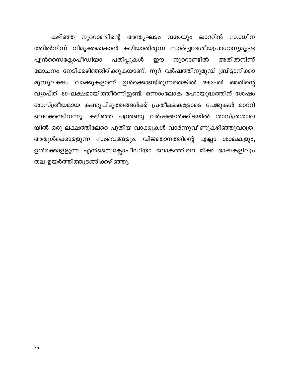കഴിഞ്ഞ നൂററാണ്ടിന്റെ അന്ത്യഘട്ടം വരേയും ലാററിൻ സ്വാധീന ത്തിൽനിന്ന് വിമുക്തമാകാൻ കഴിയാതിരുന്ന സാർവ്വദേശീയപ്രാധാന്യമുളള എൻസൈക്ലോപീഡിയാ നൂററാണ്ടിൽ പതിപ്പുകൾ അതിൽനിന്ന് ഈ മോചനം നേടിക്കഴിഞ്ഞിരിക്കുകയാണ്. നൂറ് വർഷത്തിനുമുമ്പ് ബ്രിട്ടാനിക്കാ മൂന്നുലക്ഷം വാക്കുകളാണ് ഉൾക്കൊണ്ടിരുന്നതെങ്കിൽ 1953–ൽ അതിന്റെ വ്യാപ്തി 80–ലക്ഷമായിത്തീർന്നിട്ടുണ്ട്. ഒന്നാംലോക മഹായുദ്ധത്തിന് ശേഷം ശാസ്ത്രീയമായ കണ്ടുപിടുത്തങ്ങൾക്ക് പ്രതീക്ഷകളോടെ പേജുകൾ മാററി വെക്കേണ്ടിവന്നു. കഴിഞ്ഞ പന്ത്രണ്ടു വർഷങ്ങൾക്കിടയിൽ ശാസ്ത്രശാഖ യിൽ ഒരു ലക്ഷത്തിലേറെ പുതിയ വാക്കുകൾ വാർന്നുവീണുകഴിഞ്ഞുവത്രെ! അതുൾക്കൊളളുന്ന സംഭവങ്ങളും, വിജ്ഞാനത്തിന്റെ എല്ലാ ശാഖകളും, ഉൾക്കൊളളുന്ന എൻസൈക്ലോപീഡിയാ ലോകത്തിലെ മിക്ക ഭാഷകളിലും തല ഉയർത്തിത്തുടങ്ങിക്കഴിഞ്ഞു.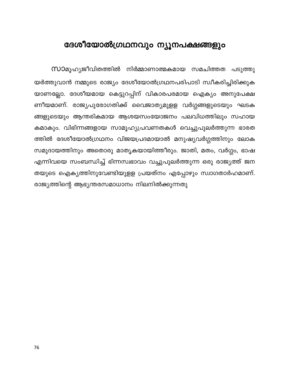## ദേശീയോൽഗ്രഥനവും ന്യൂനപക്ഷങ്ങളും

**സാ**മൂഹ്യജീവിതത്തിൽ നിർമ്മാണാത്മകമായ സമചിത്തത പടുത്തു യർത്തുവാൻ നമ്മുടെ രാജ്യം ദേശീയോൽഗ്രഥനപരിപാടി സ്വീകരിച്ചിരിക്കുക യാണല്ലോ. ദേശീയമായ കെട്ടുറപ്പിന് വികാരപരമായ ഐക്യം അനുപേക്ഷ ണീയമാണ്. രാജ്യപുരോഗതിക്ക് വൈജാത്യമുളള വർഗ്ഗങ്ങളുടെയും ഘടക ങ്ങളുടെയും ആന്തരികമായ ആശയസംയോജനം പലവിധത്തിലും സഹായ കമാകും. വിഭിന്നങ്ങളായ സാമൂഹ്യപ്രവണതകൾ വെച്ചുപുലർത്തുന്ന ഭാരത ത്തിൽ ദേശീയോൽഗ്രഥനം വിജയപ്രദമായാൽ മനുഷ്യവർഗ്ഗത്തിനും ലോക സമുദായത്തിനും അതൊരു മാതൃകയായിത്തീരും. ജാതി, മതം, വർഗ്ഗം, ഭാഷ എന്നിവയെ സംബന്ധിച്ച് ഭിന്നസ്വഭാവം വച്ചുപുലർത്തുന്ന ഒരു രാജ്യത്ത് ജന തയുടെ ഐക്യത്തിനുവേണ്ടിയുളള പ്രയത്നം എപ്പോഴും സ്വാഗതാർഹമാണ്. രാജ്യത്തിന്റെ ആഭ്യന്തരസമാധാനം നിലനിൽക്കുന്നതു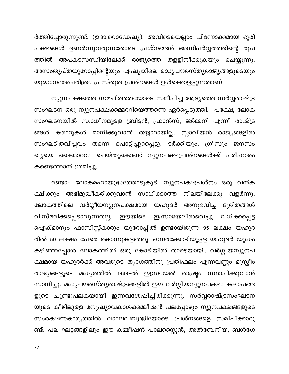ർത്തിപ്പോരുന്നുണ്ട്. (ഉദാ:റൊഡേഷ്യ). അവിടെയെല്ലാം പിന്നോക്കമായ ഭൂരി പക്ഷങ്ങൾ ഉണർന്നുവരുന്നതോടെ പ്രശ്നങ്ങൾ അഗ്നിപർവ്വതത്തിന്റെ രൂപ ത്തിൽ അപകടസന്ധിയിലേക്ക് രാജ്യത്തെ തളളിനീക്കുകയും ചെയ്യുന്നു. അസംതൃപ്തയൂറോപ്പിന്റെയും ഏഷ്യയിലെ മദ്ധ്യപൗരസ്ത്യരാജ്യങ്ങളുടെയും യുദ്ധാനന്തരചരിത്രം പ്രസ്തുത പ്രശ്നങ്ങൾ ഉൾക്കൊളളുന്നതാണ്.

ന്യൂനപക്ഷത്തെ സമചിത്തതയോടെ സമീപിച്ച ആദ്യത്തെ സർവ്വരാഷ്ട്ര സംഘടന ഒരു ന്യൂനപക്ഷക്കമ്മററിയെത്തന്നെ ഏർപ്പെടുത്തി. പക്ഷേ, ലോക സംഘടനയിൽ സ്വാധീനമുളള ബ്രിട്ടൻ, ഫ്രാൻസ്, ജർമ്മനി എന്നീ രാഷ്ട്ര ങ്ങൾ കരാറുകൾ മാനിക്കുവാൻ തയ്യാറായില്ല. സ്ലാവിയൻ രാജ്യങ്ങളിൽ സംഘടിതവിപ്ലവം തന്നെ പൊട്ടിപ്പുറപ്പെട്ടു. ടർക്കിയും, ഗ്രീസും ജനസം ഖ്യയെ കൈമാററം ചെയ്തുകൊണ്ട് ന്യൂനപക്ഷപ്രശ്നങ്ങൾക്ക് പരിഹാരം കണ്ടെത്താൻ ശ്രമിച്ചു.

രണ്ടാം ലോകമഹായുദ്ധത്തോടുകൂടി ന്യൂനപക്ഷപ്രശ്നം ഒരു വൻക ക്ഷിക്കും അഭിമുഖീകരിക്കുവാൻ സാധിക്കാത്ത നിലയിലേക്കു വളർന്നു. ലോകത്തിലെ വർഗ്ഗീയന്യൂനപക്ഷമായ യഹൂദർ അനുഭവിച്ച ദുരിതങ്ങൾ വിസ്മരിക്കപ്പെടാവുന്നതല്ല. ഈയിടെ ഇസ്രായേലിൽവെച്ചു വധിക്കപ്പെട്ട ഐക്മാനും ഫാസിസ്റ്റ്കാരും യൂറോപ്പിൽ ഉണ്ടായിരുന്ന 95 ലക്ഷം യഹൂദ രിൽ 50 ലക്ഷം പേരെ കൊന്നുകളഞ്ഞു. ഒന്നരക്കോടിയുളള യഹൂദർ യുദ്ധം കഴിഞ്ഞപ്പോൾ ലോകത്തിൽ ഒരു കോടിയിൽ താഴെയായി. വർഗ്ഗീയന്യൂനപ ക്ഷമായ യഹൂദർക്ക് അവരുടെ ത്യാഗത്തിനു പ്രതിഫലം എന്നവണ്ണം മുസ്ലീം രാജ്യങ്ങളുടെ മദ്ധ്യത്തിൽ 1948–ൽ ഇസ്രയേൽ രാഷ്ട്രം സ്ഥാപിക്കുവാൻ സാധിച്ചു. മദ്ധ്യപൗരസ്ത്യരാഷ്ട്രങ്ങളിൽ ഈ വർഗ്ഗീയന്യൂനപക്ഷം കലാപങ്ങ ളുടെ ചൂണ്ടുപലകയായി ഇന്നവശേഷിച്ചിരിക്കുന്നു. സർവ്വരാഷ്ട്രസംഘടന യുടെ കീഴിലുളള മനുഷ്യാവകാശക്കമ്മീഷൻ പലപ്പോഴും ന്യൂനപക്ഷങ്ങളുടെ സംരക്ഷണകാര്യത്തിൽ ലാഘവബുദ്ധിയോടെ പ്രശ്നങ്ങളെ സമീപിക്കാറു ണ്ട്. പല ഘട്ടങ്ങളിലും ഈ കമ്മീഷൻ പാലസ്റ്റൈൻ, അൽബേനിയ, ബൾഗേ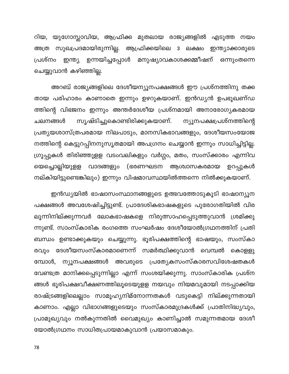റിയ, യുഗോസ്ലാവിയ, ആഫ്രിക്ക മുതലായ രാജ്യങ്ങളിൽ എടുത്ത നയം അത്ര സുഖപ്രദമായിരുന്നില്ല. ആഫ്രിക്കയിലെ 3 ലക്ഷം ഇന്ത്യാക്കാരുടെ പ്രശ്നം ഇന്ത്യ ഉന്നയിച്ചപ്പോൾ മനുഷ്യാവകാശക്കമ്മീഷന് ഒന്നുംതന്നെ ചെയ്യുവാൻ കഴിഞ്ഞില്ല.

അറബ് രാജ്യങ്ങളിലെ ദേശീയന്യൂനപക്ഷങ്ങൾ ഈ പ്രശ്നത്തിനു തക്ക തായ പരിഹാരം കാണാതെ ഇന്നും ഉഴറുകയാണ്. ഇൻഡ്യൻ ഉപഭൂഖണ്ഡ ത്തിന്റെ വിഭജനം ഇന്നും അന്തർദേശീയ പ്രശ്നമായി അനാരോഗ്യകരമായ സൃഷ്ടിച്ചുകൊണ്ടിരിക്കുകയാണ്. ന്യൂനപക്ഷപ്രശ്നത്തിന്റെ ചലനങ്ങൾ പ്രത്യയശാസ്ത്രപരമായ നിലപാടും, മാനസികഭാവങ്ങളും, ദേശീയസംയോജ നത്തിന്റെ കെട്ടുറപ്പിനനുസൃതമായി അപഗ്രനം ചെയ്യാൻ ഇന്നും സാധിച്ചിട്ടില്ല. ഗ്രൂപ്പുകൾ തിരിഞ്ഞുളള വടംവലികളും വർഗ്ഗം, മതം, സംസ്ക്കാരം എന്നിവ യെച്ചൊല്ലിയുളള വാദങ്ങളും (ഭരണഘടന ആശ്വാസകരമായ ഉറപ്പുകൾ നല്കിയിട്ടുണ്ടെങ്കിലും) ഇന്നും വിഷമാവസ്ഥയിൽത്തന്നെ നിൽക്കുകയാണ്.

ഇൻഡ്യയിൽ ഭാഷാസംസ്ഥാനങ്ങളുടെ ഉത്ഭവത്തോടുകൂടി ഭാഷാന്യൂന പക്ഷങ്ങൾ അവശേഷിച്ചിട്ടുണ്ട്. പ്രാദേശികഭാഷകളുടെ പുരോഗതിയിൽ വിര ലൂന്നിനില്ക്കുന്നവർ ലോകഭാഷകളെ നിരുത്സാഹപ്പെടുത്തുവാൻ ശ്രമിക്കു ന്നുണ്ട്. സാംസ്കാരിക രംഗത്തെ സംഘർഷം ദേശീയോൽഗ്രഥനത്തിന് പ്രതി ബന്ധം ഉണ്ടാക്കുകയും ചെയ്യുന്നു. ഭൂരിപക്ഷത്തിന്റെ ഭാഷയും, സംസ്കാ രവും ദേശീയസംസ്കാരമാണെന്ന് സമർത്ഥിക്കുവാൻ വെമ്പൽ കൊളളു മ്പോൾ, ന്യൂനപക്ഷങ്ങൾ അവരുടെ പ്രത്യേകസംസ്കാരസവിശേഷതകൾ വേണ്ടത്ര മാനിക്കപ്പെടുന്നില്ലാ എന്ന് സംശയിക്കുന്നു. സാംസ്കാരിക പ്രശ്ന ങ്ങൾ ഭൂരിപക്ഷവീക്ഷണത്തിലൂടെയുളള നയവും നിയമവുമായി നടപ്പാക്കിയ രാഷ്ട്രങ്ങളിലെല്ലാം സാമൂഹ്യനിമ്നോന്നതകൾ വടുകെട്ടി നില്ക്കുന്നതായി കാണാം. എല്ലാ വിഭാഗങ്ങളുടെയും സംസ്കാരമുദ്രകൾക്ക് പ്രാതിനിദ്ധ്യവും, പ്രാമുഖ്യവും നൽകുന്നതിൽ വൈമുഖ്യം കാണിച്ചാൽ സമുന്നതമായ ദേശീ യോൽഗ്രഥനം സാധിതപ്രായമാകുവാൻ പ്രയാസമാകും.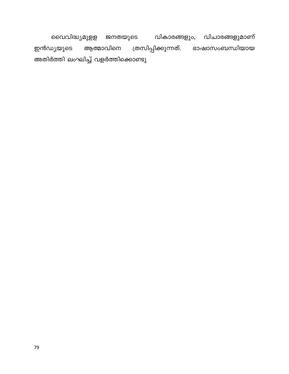വൈവിദ്ധ്യമുളള ജനതയുടെ വികാരങ്ങളും, വിചാരങ്ങളുമാണ് ഇൻഡ്യയുടെ ആത്മാവിനെ ത്രസിപ്പിക്കുന്നത്. ഭാഷാസംബന്ധിയായ അതിർത്തി ലംഘിച്ച് വളർത്തിക്കൊണ്ടു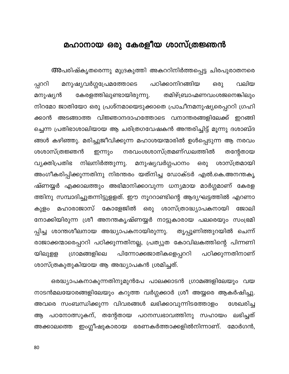## മഹാനായ ഒരു കേരളീയ ശാസ്ത്രജ്ഞൻ

അപരിഷ്കൃതരെന്നു മുദ്രകുത്തി അകററിനിർത്തപ്പെട്ട ചിരപുരാതനരെ പ്പററി പഠിക്കാനിറങ്ങിയ മനുഷ്യവർഗ്ഗപ്രേമത്തോടെ ഒരു വലിയ കേരളത്തിലുണ്ടായിരുന്നു. തമിഴ്ബ്രാഹ്മണവംശജനെങ്കിലും മനുഷ്യൻ നിറമോ ജാതിയോ ഒരു പ്രശ്നമായെടുക്കാതെ പ്രാചീനമനുഷ്യരെപ്പററി ഗ്രഹി ക്കാൻ അടങ്ങാത്ത വിജ്ഞാനദാഹത്തോടെ വനാന്തരങ്ങളിലേക്ക് ഇറങ്ങി ച്ചെന്ന പ്രതിഭാശാലിയായ ആ ചരിത്രഗവേഷകൻ അന്തരിച്ചിട്ട് മൂന്നു ദശാബ്ദ ങ്ങൾ കഴിഞ്ഞു. മരിച്ചുജീവിക്കുന്ന മഹാശയന്മാരിൽ ഉൾപ്പെടുന്ന ആ നരവം ശശാസ്ത്രജ്ഞൻ നരവംശശാസ്ത്രമണ്ഡലത്തിൽ തന്റേതായ ഇന്നും നിലനിർത്തുന്നു. മനുഷ്യവർഗ്ഗപഠനം വ്യക്തിപ്രതിഭ ഒരു ശാസ്ത്രമായി അംഗീകരിപ്പിക്കുന്നതിനു നിരന്തരം യത്നിച്ച ഡോക്ടർ എൽ.കെ.അനന്തകൃ ഷ്ണയ്യർ എക്കാലത്തും അഭിമാനിക്കാവുന്ന ധന്യമായ മാർഗ്ഗമാണ് കേരള ത്തിനു സമ്പാദിച്ചുതന്നിട്ടുളളത്. ഈ നൂററാണ്ടിന്റെ ആദ്യഘട്ടത്തിൽ എറണാ മഹാരാജാസ് കോളേജിൽ ഒരു ശാസ്ത്രാദ്ധ്യാപകനായി ജോലി കുളം നോക്കിയിരുന്ന ശ്രീ അനന്തകൃഷ്ണയ്യർ നാട്ടുകാരായ പലരെയും സംഭ്രമി തൃപ്പൂണിത്തുറയിൽ ചെന്ന് പ്പിച്ച ശാന്തശീലനായ അദ്ധ്യാപകനായിരുന്നു. രാജാക്കന്മാരെപ്പററി പഠിക്കുന്നതിനല്ല, പ്രത്യുത കോവിലകത്തിന്റെ പിന്നണി യിലുളള ഗ്രാമങ്ങളിലെ പിന്നോക്കജാതികളെപ്പററി പഠിക്കുന്നതിനാണ് ശാസ്ത്രകുതുകിയായ ആ അദ്ധ്യാപകൻ ശ്രമിച്ചത്.

ഒരദ്ധ്യാപകനാകുന്നതിനുമുൻപേ പാലക്കാടൻ ഗ്രാമങ്ങളിലേയും വയ നാടൻമലയോരങ്ങളിലേയും കറുത്ത വർഗ്ഗക്കാർ ശ്രീ അയ്യരെ ആകർഷിച്ചു. അവരെ സംബന്ധിക്കുന്ന വിവരങ്ങൾ ലഭിക്കാവുന്നിടത്തോളം ശേഖരിച്ച ആ പഠനോത്സുകന്, തന്റേതായ പഠനസ്വഭാവത്തിനു സഹായം ലഭിച്ചത് അക്കാലത്തെ ഇംഗ്ലീഷുകാരായ ഭരണകർത്താക്കളിൽനിന്നാണ്. മോർഗൻ,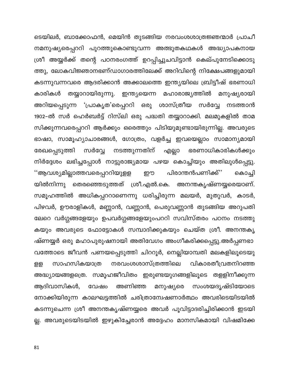ടെയിലർ, ബാക്കോഫൻ, മെയിൻ തുടങ്ങിയ നരവംശശാത്രജ്ഞന്മാർ പ്രാചീ നമനുഷ്യരെപ്പററി പുറത്തുകൊണ്ടുവന്ന അത്ഭുതകഥകൾ അദ്ധ്യാപകനായ ശ്രീ അയ്യർക്ക് തന്റെ പഠനരംഗത്ത് ഉറപ്പിച്ചുചവിട്ടാൻ കെല്പുനേടിക്കൊടു ത്തു, ലോകവിജ്ഞാനഭണ്ഡാഗാരത്തിലേക്ക് അറിവിന്റെ നിക്ഷേപങ്ങളുമായി കടന്നുവന്നവരെ ആദരിക്കാൻ അക്കാലത്തെ ഇന്ത്യയിലെ ബ്രിട്ടീഷ് ഭരണാധി തയ്യാറായിരുന്നു. ഇന്ത്യയെന്ന മഹാരാജ്യത്തിൽ മനുഷ്യരായി കാരികൾ അറിയപ്പെടുന്ന 'പ്രാകൃത'രെപ്പററി ഒരു ശാസ്ത്രീയ സർവ്വേ നടത്താൻ 1902–ൽ സർ ഹെർബർട്ട് റിസ്ലി ഒരു പദ്ധതി തയ്യാറാക്കി. മലമുകളിൽ താമ സിക്കുന്നവരെപ്പററി ആർക്കും ഒരെത്തും പിടിയുമുണ്ടായിരുന്നില്ല. അവരുടെ ഭാഷാ, സാമൂഹ്യാചാരങ്ങൾ, ഗോത്രം, വളർച്ച ഇവയെല്ലാം സാമാന്യമായി നടത്തുന്നതിന് എല്ലാ രേഖപ്പെടുത്തി സർവ്വേ ഭരണാധികാരികൾക്കും നിർദ്ദേശം ലഭിച്ചപ്പോൾ നാട്ടുരാജ്യമായ പഴയ കൊച്ചിയും അതിലുൾപ്പെട്ടു. ''ആവശ്യമില്ലാത്തവരെപ്പററിയുളള പിരാന്തൻപണിക്ക്'' ഈ കൊച്ചി അനന്തകൃഷ്ണയ്യരെയാണ്. യിൽനിന്നു തെരഞ്ഞെടുത്തത് ശ്രീ.എൽ.കെ. സമൂഹത്തിൽ അധികപ്പററാണെന്നു ധരിച്ചിരുന്ന മലയർ, മുതുവർ, കാടർ, പിഴവർ, ഊരാളികൾ, മണ്ണാൻ, വണ്ണാൻ, പെരുവണ്ണാൻ തുടങ്ങിയ അറുപതി ലേറെ വർഗ്ഗങ്ങളേയും ഉപവർഗ്ഗങ്ങളേയുംപററി സവിസ്തരം പഠനം നടത്തു കയും അവരുടെ ഫോട്ടോകൾ സമ്പാദിക്കുകയും ചെയ്ത ശ്രീ. അനന്തകൃ ഷ്ണയ്യർ ഒരു മഹാപുരുഷനായി അതിവേഗം അംഗീകരിക്കപ്പെട്ടു.അർപ്പണഭാ വത്തോടെ ജീവൻ പണയപ്പെടുത്തി ചിററൂർ, നെല്ലിയാമ്പതി മലകളിലൂടെയു സാഹസികയാത്ര നരവംശശാസ്ത്രത്തിലെ വികാരതീവ്രതനിറഞ്ഞ ളള അദ്ധ്യായങ്ങളത്രെ. സമൂഹജീവിതം ഇരുണ്ടയുഗങ്ങളിലൂടെ തളളിനീക്കുന്ന സംശയദൃഷ്ടിയോടെ ആദിവാസികൾ, വേഷം അണിഞ്ഞ മനുഷ്യരെ നോക്കിയിരുന്ന കാലഘട്ടത്തിൽ ചരിത്രാന്വേഷണാർത്ഥം അവരിടെയിടയിൽ കടന്നുചെന്ന ശ്രീ അനന്തകൃഷ്ണയ്യരെ അവർ പൂവിട്ടാദരിച്ചിരിക്കാൻ ഇടയി ല്ല. അവരുടെയിടയിൽ ഇഴുകിച്ചേരാൻ അദ്ദേഹം മാനസികമായി വിഷമിക്കേ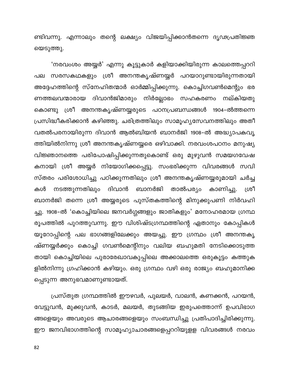ണ്ടിവന്നു. എന്നാലും തന്റെ ലക്ഷ്യം വിജയിപ്പിക്കാൻതന്നെ ദൃഢപ്രതിജ്ഞ യെടുത്തു.

'നരവംശം അയ്യർ' എന്നു കൂട്ടുകാർ കളിയാക്കിയിരുന്ന കാലത്തെപ്പററി പല സരസകഥകളും ശ്രീ അനന്തകൃഷ്ണയ്യർ പറയാറുണ്ടായിരുന്നതായി അദ്ദേഹത്തിന്റെ സ്നേഹിതന്മാർ ഓർമ്മിപ്പിക്കുന്നു. കൊച്ചിഗവൺമെന്റും ഭര ണത്തലവന്മാരായ ദിവാൻജിമാരും നിർല്ലോഭം സഹകരണം നല്കിയതു കൊണ്ടു ശ്രീ അനന്തകൃഷ്ണയ്യരുടെ പഠനപ്രബന്ധങ്ങൾ 1904–ൽത്തന്നെ പ്രസിദ്ധീകരിക്കാൻ കഴിഞ്ഞു. ചരിത്രത്തിലും സാമൂഹ്യസേവനത്തിലും അതീ വതൽപരനായിരുന്ന ദിവാൻ ആൽബിയൻ ബാനർജി 1908–ൽ അദ്ധ്യാപകവൃ ത്തിയിൽനിന്നു ശ്രീ അനന്തകൃഷ്ണയ്യരെ ഒഴിവാക്കി. നരവംശപഠനം മനുഷ്യ വിജ്ഞാനത്തെ പരിപോഷിപ്പിക്കുന്നതുകൊണ്ട് ഒരു മുഴുവൻ സമയഗവേഷ കനായി ശ്രീ അയ്യർ നിയോഗിക്കപ്പെട്ടു. സംഭരിക്കുന്ന വിവരങ്ങൾ സവി സ്തരം പരിശോധിച്ചു പഠിക്കുന്നതിലും ശ്രീ അനന്തകൃഷ്ണയ്യരുമായി ചർച്ച നടത്തുന്നതിലും ദിവാൻ ബാനർജി താൽപര്യം കാണിച്ചു. ശ്രീ കൾ ബാനർജി തന്നെ ശ്രീ അയ്യരുടെ പുസ്തകത്തിന്റെ മിനുക്കുപണി നിർവഹി ച്ചു. 1908–ൽ 'കൊച്ചിയിലെ ജനവർഗ്ഗങ്ങളും ജാതികളും' മനോഹരമായ ഗ്രന്ഥ രൂപത്തിൽ പുറത്തുവന്നു. ഈ വിശിഷ്ടഗ്രന്ഥത്തിന്റെ ഏതാനും കോപ്പികൾ യൂറോപ്പിന്റെ പല ഭാഗങ്ങളിലേക്കും അയച്ചു. ഈ ഗ്രന്ഥം ശ്രീ അനന്തകൃ ഷ്ണയ്യർക്കും കൊച്ചി ഗവൺമെന്റിനും വലിയ ബഹുമതി നേടിക്കൊടുത്ത തായി കൊച്ചിയിലെ പുരാരേഖാവകുപ്പിലെ അക്കാലത്തെ ഒരുകൂട്ടം കത്തുക ളിൽനിന്നു ഗ്രഹിക്കാൻ കഴിയും. ഒരു ഗ്രന്ഥം വഴി ഒരു രാജ്യം ബഹുമാനിക്ക പ്പെടുന്ന അനുഭവമാണുണ്ടായത്.

പ്രസ്തുത ഗ്രന്ഥത്തിൽ ഈഴവർ, പുലയർ, വാലൻ, കണക്കൻ, പറയൻ, വേട്ടുവൻ, മുക്കുവൻ, കാടർ, മലയർ, തുടങ്ങിയ ഇരുപത്തൊന്ന് ഉപവിഭാഗ ങ്ങളെയും അവരുടെ ആചാരങ്ങളെയും സംബന്ധിച്ചു പ്രതിപാദിച്ചിരിക്കുന്നു. ഈ ജനവിഭാഗത്തിന്റെ സാമൂഹ്യാചാരങ്ങളെപ്പററിയുളള വിവരങ്ങൾ നരവം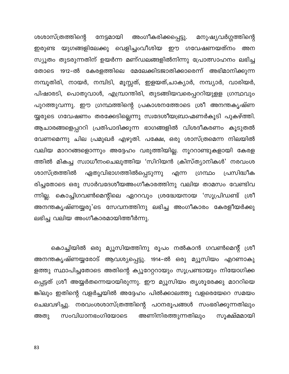ശശാസ്ത്രത്തിന്റെ നേട്ടമായി അംഗീകരിക്കപ്പെട്ടു. മനുഷ്യവർഗ്ഗത്തിന്റെ ഇരുണ്ട യുഗങ്ങളിലേക്കു വെളിച്ചംവീശിയ ഈ ഗവേഷണയത്നം അന സ്യൂതം തുടരുന്നതിന് ഉയർന്ന മണ്ഡലങ്ങളിൽനിന്നു പ്രോത്സാഹനം ലഭിച്ച തോടെ 1912–ൽ കേരളത്തിലെ മേലേക്കിടജാതിക്കാരെന്ന് അഭിമാനിക്കുന്ന നമ്പൂതിരി, നായർ, നമ്പിടി, മൂസ്സത്, ഇളയത്,ചാക്യാർ, നമ്പ്യാർ, വാരിയർ, പിഷാരടി, പൊതുവാൾ, എമ്പ്രാന്തിരി, തുടങ്ങിയവരെപ്പററിയുളള ഗ്രന്ഥവും പുറത്തുവന്നു. ഈ ഗ്രന്ഥത്തിന്റെ പ്രകാശനത്തോടെ ശ്രീ അനന്തകൃഷ്ണ യ്യരുടെ ഗവേഷണം തരക്കേടില്ലെന്നു സ്വദേശീയബ്രാഹ്മണർകൂടി പുകഴ്ത്തി. ആചാരങ്ങളെപ്പററി പ്രതിപാദിക്കുന്ന ഭാഗങ്ങളിൽ വിശദീകരണം കൂടുതൽ വേണമെന്നു ചില പ്രമുഖർ എഴുതി. പക്ഷേ, ഒരു ശാസ്ത്രമെന്ന നിലയിൽ വലിയ മാററങ്ങളൊന്നും അദ്ദേഹം വരുത്തിയില്ല. നൂററാണ്ടുകളായി കേരള ത്തിൽ മികച്ച സ്വാധീനംചെലുത്തിയ 'സിറിയൻ ക്രിസ്ത്യാനികൾ' നരവംശ ഏതുവിഭാഗത്തിൽപ്പെടുന്നു ശാസ്ത്രത്തിൽ പ്രസിദ്ധീക എന്ന ഗ്രന്ഥം രിച്ചതോടെ ഒരു സാർവദേശീയഅംഗീകാരത്തിനു വലിയ താമസം വേണ്ടിവ ന്നില്ല. കൊച്ചിഗവൺമെന്റിലെ ഏററവും ശ്രദ്ധേയനായ 'സൂപ്രിഡണ്ട് ശ്രീ അനന്തകൃഷ്ണയ്യരു'ടെ സേവനത്തിനു ലഭിച്ച അംഗീകാരം കേരളീയർക്കു ലഭിച്ച വലിയ അംഗീകാരമായിത്തീർന്നു.

കൊച്ചിയിൽ ഒരു മ്യൂസിയത്തിനു രൂപം നൽകാൻ ഗവൺമെന്റ് ശ്രീ അനന്തകൃഷ്ണയ്യരോട് ആവശ്യപ്പെട്ടു. 1914–ൽ ഒരു മ്യൂസിയം എറണാകു ളത്തു സ്ഥാപിച്ചതോടെ അതിന്റെ ക്യൂറേറ്ററായും സൂപ്രണ്ടായും നിയോഗിക്ക പ്പെട്ടത് ശ്രീ അയ്യർതന്നെയായിരുന്നു. ഈ മ്യൂസിയം തൃശൂരേക്കു മാററിയെ ങ്കിലും ഇതിന്റെ വളർച്ചയിൽ അദ്ദേഹം പിൽക്കാലത്തു വളരെയേറെ സമയം ചെലവഴിച്ചു. നരവംശശാസ്ത്രത്തിന്റെ പഠനരൂപങ്ങൾ സംഭരിക്കുന്നതിലും അണിനിരത്തുന്നതിലും സൂക്ഷ്മമായി സംവിധാനഭംഗിയോടെ അതു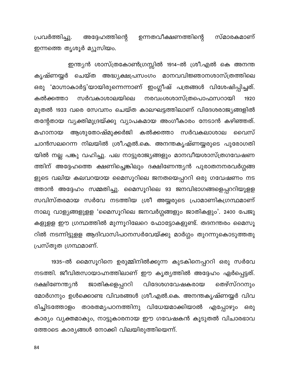ഉന്നതവീക്ഷണത്തിന്റെ സ്മാരകമാണ് പ്രവർത്തിച്ചു. അദ്ദേഹത്തിന്റെ ഇന്നത്തെ തൃശൂർ മ്യൂസിയം.

ഇന്ത്യൻ ശാസ്ത്രകോൺഗ്രസ്സിൽ 1914–ൽ ശ്രീ.എൽ കെ അനന്ത കൃഷ്ണയ്യർ ചെയ്ത അദ്ധ്യക്ഷപ്രസംഗം മാനവവിജ്ഞാനശാസ്ത്രത്തിലെ ഒരു 'മാഗ്നാകാർട്ട'യായിരുന്നെന്നാണ് ഇംഗ്ലീഷ് പത്രങ്ങൾ വിശേഷിപ്പിച്ചത്. നരവംശശാസ്ത്രപൊഫസറായി സർവകാശാലയിലെ കൽക്കത്താ 1920 മുതൽ 1933 വരെ സേവനം ചെയ്ത കാലഘട്ടത്തിലാണ് വിദേശരാജ്യങ്ങളിൽ തന്റേതായ വ്യക്തിമുദ്രയ്ക്കു വ്യാപകമായ അംഗീകാരം നേടാൻ കഴിഞ്ഞത്. ആശുതോഷ്മുക്കർജി കൽക്കത്താ സർവകലാശാല മഹാനായ വൈസ് ചാൻസലറെന്ന നിലയിൽ ശ്രീ.എൽ.കെ. അനന്തകൃഷ്ണയ്യരുടെ പുരോഗതി യിൽ നല്ല പങ്കു വഹിച്ചു. പല നാട്ടുരാജ്യങ്ങളും മാനവീയശാസ്ത്രഗവേഷണ ത്തിന് അദ്ദേഹത്തെ ക്ഷണിച്ചെങ്കിലും ദക്ഷിണേന്ത്യൻ പുരാതനനരവർഗ്ഗങ്ങ ളുടെ വലിയ കലവറയായ മൈസൂറിലെ ജനതയെപ്പററി ഒരു ഗവേഷണം നട ത്താൻ അദ്ദേഹം സമ്മതിച്ചു. മൈസൂറിലെ 93 ജനവിഭാഗങ്ങളെപ്പററിയുളള സവിസ്തരമായ സർവേ നടത്തിയ ശ്രീ അയ്യരുടെ പ്രാമാണികഗ്രന്ഥമാണ് നാലു വാള്യങ്ങളുളള 'മൈസൂറിലെ ജനവർഗ്ഗങ്ങളും ജാതികളും'. 2400 പേജു കളുളള ഈ ഗ്രന്ഥത്തിൽ മുന്നൂറിലേറെ ഫോട്ടോകളുണ്ട്. തദനന്തരം മൈസൂ റിൽ നടന്നിട്ടുളള ആദിവാസിപഠനസർവേയ്ക്കു മാർഗ്ഗം തുറന്നുകൊടുത്തതു പ്രസ്തുത ഗ്രന്ഥമാണ്.

1935–ൽ മൈസൂറിനെ ഉരുമ്മിനിൽക്കുന്ന കുടകിനെപ്പററി ഒരു സർവേ നടത്തി. ജീവിതസായാഹ്നത്തിലാണ് ഈ കൃത്യത്തിൽ അദ്ദേഹം ഏർപ്പെട്ടത്. ജാതികളെപ്പററി വിദേശഗവേഷകരായ ദക്ഷിണേന്ത്യൻ തെഴ്സ്ററനും മോർഗനും ഉൾക്കൊണ്ട വിവരങ്ങൾ ശ്രീ.എൽ.കെ. അനന്തകൃഷ്ണയ്യർ വിവ രിച്ചിടത്തോളം താരതമ്യപഠനത്തിനു വിധേയമാക്കിയാൽ എപ്പോഴും ഒരു കാര്യം വ്യക്തമാകും, നാട്ടുകാരനായ ഈ ഗവേഷകൻ കൂടുതൽ വിചാരഭാവ ത്തോടെ കാര്യങ്ങൾ നോക്കി വിലയിരുത്തിയെന്ന്.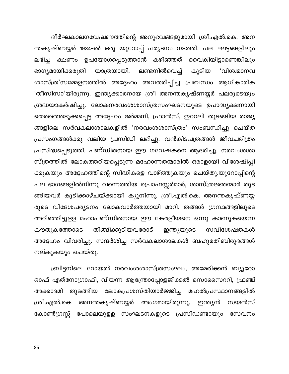ദീർഘകാലഗവേഷണത്തിന്റെ അനുഭവങ്ങളുമായി ശ്രീ.എൽ.കെ. അന ന്തകൃഷ്ണയ്യർ 1934–ൽ ഒരു യൂറോപ്പ് പര്യടനം നടത്തി. പല ഘട്ടങ്ങളിലും ലഭിച്ച ക്ഷണം ഉപയോഗപ്പെടുത്താൻ കഴിഞ്ഞത് വൈകിയിട്ടാണെങ്കിലും കൂടിയ 'വിശ്വമാനവ ഭാഗ്യമായിക്കരുതി യാത്രയായി. ലണ്ടനിൽവെച്ച് ശാസ്ത്ര'സമ്മേളനത്തിൽ അദ്ദേഹം അവതരിപ്പിച്ച പ്രബന്ധം ആധികാരിക 'തീസിസാ'യിരുന്നു. ഇന്ത്യക്കാരനായ ശ്രീ അനന്തകൃഷ്ണയ്യർ പലരുടെയും ശ്രദ്ധയാകർഷിച്ചു. ലോകനരവംശശാസ്ത്രസംഘടനയുടെ ഉപാദ്ധ്യക്ഷനായി തെരഞ്ഞെടുക്കപ്പെട്ട അദ്ദേഹം ജർമ്മനി, ഫ്രാൻസ്, ഇററലി തുടങ്ങിയ രാജ്യ ങ്ങളിലെ സർവകലാശാലകളിൽ 'നരവംശശാസ്ത്രം' സംബന്ധിച്ചു ചെയ്ത പ്രസംഗങ്ങൾക്കു വലിയ പ്രസിദ്ധി ലഭിച്ചു. വൻകിടപത്രങ്ങൾ ജീവചരിത്രം പ്രസിദ്ധപ്പെടുത്തി. പണ്ഡിതനായ ഈ ഗവേഷകനെ ആദരിച്ചു. നരവംശശാ സ്ത്രത്തിൽ ലോകത്തറിയപ്പെടുന്ന മഹോന്നതന്മാരിൽ ഒരാളായി വിശേഷിപ്പി ക്കുകയും അദ്ദേഹത്തിന്റെ സിദ്ധികളെ വാഴ്ത്തുകയും ചെയ്തു.യൂറോപ്പിന്റെ പല ഭാഗങ്ങളിൽനിന്നു വന്നെത്തിയ പ്രൊഫസ്സർമാർ, ശാസ്ത്രജ്ഞന്മാർ തുട ങ്ങിയവർ കൂടിക്കാഴ്ചയ്ക്കായി ക്യൂനിന്നു. ശ്രീ.എൽ.കെ. അനന്തകൃഷ്ണയ്യ രുടെ വിദേശപര്യടനം ലോകവാർത്തയായി മാറി. തങ്ങൾ ഗ്രന്ഥങ്ങളിലൂടെ അറിഞ്ഞിട്ടുളള മഹാപണ്ഡിതനായ ഈ കേരളീയനെ ഒന്നു കാണുകയെന്ന കൗതുകത്തോടെ തിങ്ങിക്കൂടിയവരോട് ഇന്ത്യയുടെ സവിശേഷതകൾ അദ്ദേഹം വിവരിച്ചു. സന്ദർശിച്ച സർവകലാശാലകൾ ബഹുമതിബിരുദങ്ങൾ നല്കുകയും ചെയ്തു.

ബ്രിട്ടനിലെ റോയൽ നരവംശശാസ്ത്രസംഘം, അമേരിക്കൻ ബ്യൂറോ ഓഫ് എത്നോഗ്രാഫി, വിയന്ന ആന്ത്രോപ്പോളജിക്കൽ സൊസൈററി, ഫ്രഞ്ച് അക്കാദമി തുടങ്ങിയ ലോകപ്രശസ്തിയാർജ്ജിച്ച മഹൽപ്രസ്ഥാനങ്ങളിൽ അനന്തകൃഷ്ണയ്യർ ശ്രീ.എൽ.കെ അംഗമായിരുന്നു. ഇന്ത്യൻ സയൻസ് കോൺഗ്രസ്സ് പോലെയുളള സംഘടനകളുടെ പ്രസിഡണ്ടായും സേവനം